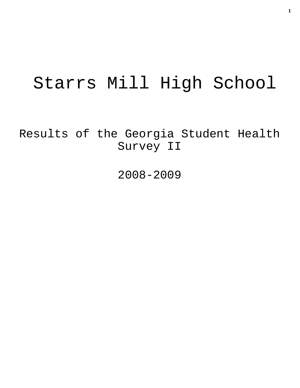# Starrs Mill High School

Results of the Georgia Student Health Survey II

2008-2009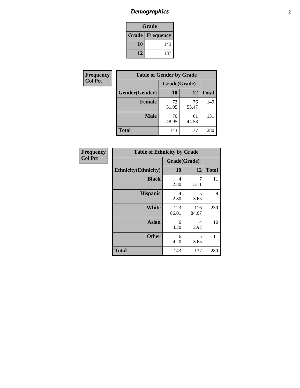# *Demographics* **2**

| Grade                    |     |  |  |  |
|--------------------------|-----|--|--|--|
| <b>Grade   Frequency</b> |     |  |  |  |
| 10                       | 143 |  |  |  |
| 12                       | 137 |  |  |  |

| Frequency      | <b>Table of Gender by Grade</b> |              |             |              |  |  |
|----------------|---------------------------------|--------------|-------------|--------------|--|--|
| <b>Col Pct</b> |                                 | Grade(Grade) |             |              |  |  |
|                | Gender(Gender)                  | 10           | 12          | <b>Total</b> |  |  |
|                | <b>Female</b>                   | 73<br>51.05  | 76<br>55.47 | 149          |  |  |
|                | <b>Male</b>                     | 70<br>48.95  | 61<br>44.53 | 131          |  |  |
|                | <b>Total</b>                    | 143          | 137         | 280          |  |  |

| <b>Frequency</b> |
|------------------|
| <b>Col Pct</b>   |

| <b>Table of Ethnicity by Grade</b> |              |              |              |  |  |  |
|------------------------------------|--------------|--------------|--------------|--|--|--|
|                                    | Grade(Grade) |              |              |  |  |  |
| <b>Ethnicity</b> (Ethnicity)       | 10           | 12           | <b>Total</b> |  |  |  |
| <b>Black</b>                       | 4<br>2.80    | 7<br>5.11    | 11           |  |  |  |
| <b>Hispanic</b>                    | 4<br>2.80    | 5<br>3.65    | 9            |  |  |  |
| White                              | 123<br>86.01 | 116<br>84.67 | 239          |  |  |  |
| <b>Asian</b>                       | 6<br>4.20    | 4<br>2.92    | 10           |  |  |  |
| <b>Other</b>                       | 6<br>4.20    | 5<br>3.65    | 11           |  |  |  |
| <b>Total</b>                       | 143          | 137          | 280          |  |  |  |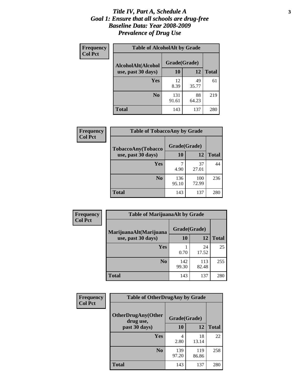### *Title IV, Part A, Schedule A* **3** *Goal 1: Ensure that all schools are drug-free Baseline Data: Year 2008-2009 Prevalence of Drug Use*

| Frequency<br><b>Col Pct</b> | <b>Table of AlcoholAlt by Grade</b> |              |             |              |  |  |
|-----------------------------|-------------------------------------|--------------|-------------|--------------|--|--|
|                             | AlcoholAlt(Alcohol                  | Grade(Grade) |             |              |  |  |
|                             | use, past 30 days)                  | <b>10</b>    | 12          | <b>Total</b> |  |  |
|                             | Yes                                 | 12<br>8.39   | 49<br>35.77 | 61           |  |  |
|                             | N <sub>0</sub>                      | 131<br>91.61 | 88<br>64.23 | 219          |  |  |
|                             | Total                               | 143          | 137         | 280          |  |  |

| Frequency      | <b>Table of TobaccoAny by Grade</b> |              |              |              |  |  |
|----------------|-------------------------------------|--------------|--------------|--------------|--|--|
| <b>Col Pct</b> | <b>TobaccoAny(Tobacco</b>           | Grade(Grade) |              |              |  |  |
|                | use, past 30 days)                  | 10           | 12           | <b>Total</b> |  |  |
|                | Yes                                 | 7<br>4.90    | 37<br>27.01  | 44           |  |  |
|                | N <sub>0</sub>                      | 136<br>95.10 | 100<br>72.99 | 236          |  |  |
|                | Total                               | 143          | 137          | 280          |  |  |

| Frequency<br><b>Col Pct</b> | <b>Table of MarijuanaAlt by Grade</b> |              |              |              |  |  |
|-----------------------------|---------------------------------------|--------------|--------------|--------------|--|--|
|                             | MarijuanaAlt(Marijuana                | Grade(Grade) |              |              |  |  |
|                             | use, past 30 days)                    | 10           | 12           | <b>Total</b> |  |  |
|                             | <b>Yes</b>                            | 0.70         | 24<br>17.52  | 25           |  |  |
|                             | N <sub>0</sub>                        | 142<br>99.30 | 113<br>82.48 | 255          |  |  |
|                             | <b>Total</b>                          | 143          | 137          | 280          |  |  |

| Frequency      | <b>Table of OtherDrugAny by Grade</b>  |              |              |              |  |  |
|----------------|----------------------------------------|--------------|--------------|--------------|--|--|
| <b>Col Pct</b> | <b>OtherDrugAny(Other</b><br>drug use, | Grade(Grade) |              |              |  |  |
|                | past 30 days)                          | 10           | 12           | <b>Total</b> |  |  |
|                | <b>Yes</b>                             | 4<br>2.80    | 18<br>13.14  | 22           |  |  |
|                | N <sub>0</sub>                         | 139<br>97.20 | 119<br>86.86 | 258          |  |  |
|                | <b>Total</b>                           | 143          | 137          | 280          |  |  |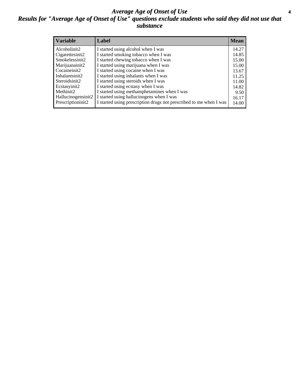### *Average Age of Onset of Use* **4** *Results for "Average Age of Onset of Use" questions exclude students who said they did not use that substance*

| <b>Variable</b>       | Label                                                              | <b>Mean</b> |
|-----------------------|--------------------------------------------------------------------|-------------|
| Alcoholinit2          | I started using alcohol when I was                                 | 14.27       |
| Cigarettesinit2       | I started smoking tobacco when I was                               | 14.85       |
| Smokelessinit2        | I started chewing tobacco when I was                               | 15.00       |
| Marijuanainit2        | I started using marijuana when I was                               | 15.00       |
| Cocaineinit2          | I started using cocaine when I was                                 | 13.67       |
| Inhalantsinit2        | I started using inhalants when I was                               | 11.25       |
| Steroidsinit2         | I started using steroids when I was                                | 11.00       |
| Ecstasyinit2          | I started using ecstasy when I was                                 | 14.82       |
| Methinit <sub>2</sub> | I started using methamphetamines when I was                        | 9.50        |
| Hallucinogensinit2    | I started using hallucinogens when I was                           | 16.17       |
| Prescriptioninit2     | I started using prescription drugs not prescribed to me when I was | 14.00       |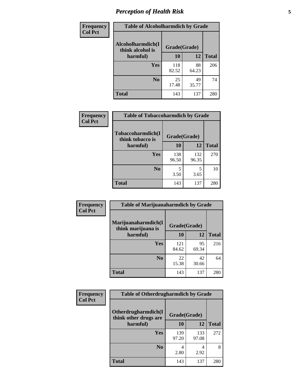# *Perception of Health Risk* **5**

| Frequency      | <b>Table of Alcoholharmdich by Grade</b> |              |             |              |  |
|----------------|------------------------------------------|--------------|-------------|--------------|--|
| <b>Col Pct</b> | Alcoholharmdich(I<br>think alcohol is    | Grade(Grade) |             |              |  |
|                | harmful)                                 | 10           | 12          | <b>Total</b> |  |
|                | Yes                                      | 118<br>82.52 | 88<br>64.23 | 206          |  |
|                | N <sub>0</sub>                           | 25<br>17.48  | 49<br>35.77 | 74           |  |
|                | <b>Total</b>                             | 143          | 137         | 280          |  |

| Frequency      | <b>Table of Tobaccoharmdich by Grade</b> |              |              |              |  |
|----------------|------------------------------------------|--------------|--------------|--------------|--|
| <b>Col Pct</b> | Tobaccoharmdich(I<br>think tobacco is    | Grade(Grade) |              |              |  |
|                | harmful)                                 | 10           | 12           | <b>Total</b> |  |
|                | <b>Yes</b>                               | 138<br>96.50 | 132<br>96.35 | 270          |  |
|                | N <sub>0</sub>                           | 3.50         | 5<br>3.65    | 10           |  |
|                | <b>Total</b>                             | 143          | 137          | 280          |  |

| Frequency<br><b>Col Pct</b> | <b>Table of Marijuanaharmdich by Grade</b>                |              |             |              |  |  |
|-----------------------------|-----------------------------------------------------------|--------------|-------------|--------------|--|--|
|                             | Marijuanaharmdich(I<br>Grade(Grade)<br>think marijuana is |              |             |              |  |  |
|                             | harmful)                                                  | <b>10</b>    | 12          | <b>Total</b> |  |  |
|                             | Yes                                                       | 121<br>84.62 | 95<br>69.34 | 216          |  |  |
|                             | N <sub>0</sub>                                            | 22<br>15.38  | 42<br>30.66 | 64           |  |  |
|                             | <b>Total</b>                                              | 143          | 137         | 280          |  |  |

| <b>Frequency</b> | <b>Table of Otherdrugharmdich by Grade</b>                   |              |              |              |  |  |
|------------------|--------------------------------------------------------------|--------------|--------------|--------------|--|--|
| <b>Col Pct</b>   | Otherdrugharmdich(I<br>Grade(Grade)<br>think other drugs are |              |              |              |  |  |
|                  | harmful)                                                     | 10           | 12           | <b>Total</b> |  |  |
|                  | <b>Yes</b>                                                   | 139<br>97.20 | 133<br>97.08 | 272          |  |  |
|                  | N <sub>0</sub>                                               | 2.80         | 4<br>2.92    | 8            |  |  |
|                  | <b>Total</b>                                                 | 143          | 137          | 280          |  |  |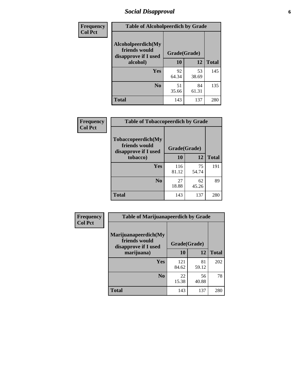# *Social Disapproval* **6**

| Frequency      | <b>Table of Alcoholpeerdich by Grade</b>                    |              |             |              |
|----------------|-------------------------------------------------------------|--------------|-------------|--------------|
| <b>Col Pct</b> | Alcoholpeerdich(My<br>friends would<br>disapprove if I used | Grade(Grade) |             |              |
|                | alcohol)                                                    | 10           | 12          | <b>Total</b> |
|                | <b>Yes</b>                                                  | 92<br>64.34  | 53<br>38.69 | 145          |
|                | N <sub>0</sub>                                              | 51<br>35.66  | 84<br>61.31 | 135          |
|                | <b>Total</b>                                                | 143          | 137         | 280          |

| <b>Frequency</b> |
|------------------|
| <b>Col Pct</b>   |

| <b>Table of Tobaccopeerdich by Grade</b>                            |              |             |              |  |
|---------------------------------------------------------------------|--------------|-------------|--------------|--|
| <b>Tobaccopeerdich</b> (My<br>friends would<br>disapprove if I used | Grade(Grade) |             |              |  |
| tobacco)                                                            | 10           | 12          | <b>Total</b> |  |
| Yes                                                                 | 116<br>81.12 | 75<br>54.74 | 191          |  |
| N <sub>0</sub>                                                      | 27<br>18.88  | 62<br>45.26 | 89           |  |
| <b>Total</b>                                                        | 143          | 137         | 280          |  |

| Frequency      | <b>Table of Marijuanapeerdich by Grade</b>                    |              |             |              |  |  |
|----------------|---------------------------------------------------------------|--------------|-------------|--------------|--|--|
| <b>Col Pct</b> | Marijuanapeerdich(My<br>friends would<br>disapprove if I used | Grade(Grade) |             |              |  |  |
|                | marijuana)                                                    | 10           | 12          | <b>Total</b> |  |  |
|                | <b>Yes</b>                                                    | 121<br>84.62 | 81<br>59.12 | 202          |  |  |
|                | N <sub>0</sub>                                                | 22<br>15.38  | 56<br>40.88 | 78           |  |  |
|                | <b>Total</b>                                                  | 143          | 137         | 280          |  |  |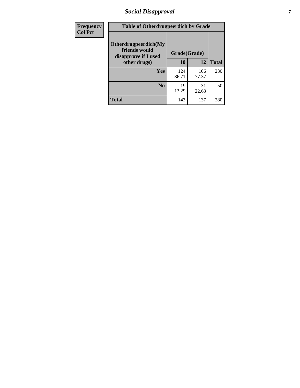# *Social Disapproval* **7**

| Frequency      | <b>Table of Otherdrugpeerdich by Grade</b>                    |              |              |              |  |  |
|----------------|---------------------------------------------------------------|--------------|--------------|--------------|--|--|
| <b>Col Pct</b> | Otherdrugpeerdich(My<br>friends would<br>disapprove if I used | Grade(Grade) |              |              |  |  |
|                | other drugs)                                                  | 10           | 12           | <b>Total</b> |  |  |
|                | Yes                                                           | 124<br>86.71 | 106<br>77.37 | 230          |  |  |
|                | N <sub>0</sub>                                                | 19<br>13.29  | 31<br>22.63  | 50           |  |  |
|                | <b>Total</b>                                                  | 143          | 137          | 280          |  |  |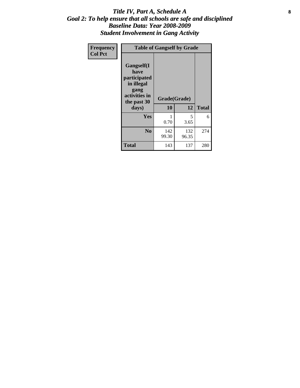### Title IV, Part A, Schedule A **8** *Goal 2: To help ensure that all schools are safe and disciplined Baseline Data: Year 2008-2009 Student Involvement in Gang Activity*

| Frequency      | <b>Table of Gangself by Grade</b>                                                                 |                    |              |              |
|----------------|---------------------------------------------------------------------------------------------------|--------------------|--------------|--------------|
| <b>Col Pct</b> | Gangself(I<br>have<br>participated<br>in illegal<br>gang<br>activities in<br>the past 30<br>days) | Grade(Grade)<br>10 | 12           | <b>Total</b> |
|                | Yes                                                                                               | 1<br>0.70          | 5<br>3.65    | 6            |
|                | N <sub>0</sub>                                                                                    | 142<br>99.30       | 132<br>96.35 | 274          |
|                | <b>Total</b>                                                                                      | 143                | 137          | 280          |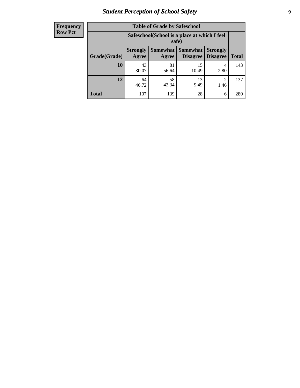# *Student Perception of School Safety* **9**

| <b>Frequency</b><br>Row Pct |
|-----------------------------|
|                             |

| <b>Table of Grade by Safeschool</b> |                          |                                                        |                             |                                    |              |  |
|-------------------------------------|--------------------------|--------------------------------------------------------|-----------------------------|------------------------------------|--------------|--|
|                                     |                          | Safeschool (School is a place at which I feel<br>safe) |                             |                                    |              |  |
| Grade(Grade)                        | <b>Strongly</b><br>Agree | <b>Somewhat</b><br>Agree                               | <b>Somewhat</b><br>Disagree | <b>Strongly</b><br><b>Disagree</b> | <b>Total</b> |  |
| 10                                  | 43<br>30.07              | 81<br>56.64                                            | 15<br>10.49                 | 4<br>2.80                          | 143          |  |
| 12                                  | 64<br>46.72              | 58<br>42.34                                            | 13<br>9.49                  | $\mathfrak{D}$<br>1.46             | 137          |  |
| <b>Total</b>                        | 107                      | 139                                                    | 28                          | 6                                  | 280          |  |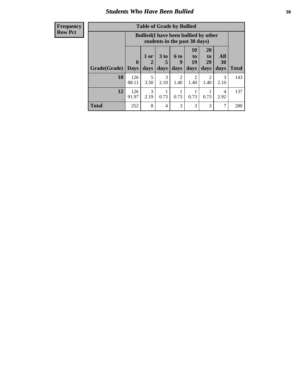### *Students Who Have Been Bullied* **10**

### **Frequency Row Pct**

| <b>Table of Grade by Bullied</b> |                         |                                                                               |                              |                          |                        |                               |                   |              |
|----------------------------------|-------------------------|-------------------------------------------------------------------------------|------------------------------|--------------------------|------------------------|-------------------------------|-------------------|--------------|
|                                  |                         | <b>Bullied</b> (I have been bullied by other<br>students in the past 30 days) |                              |                          |                        |                               |                   |              |
| Grade(Grade)                     | $\bf{0}$<br><b>Days</b> | 1 or<br>days                                                                  | 3 <sub>to</sub><br>5<br>days | <b>6 to</b><br>9<br>days | 10<br>to<br>19<br>days | <b>20</b><br>to<br>29<br>days | All<br>30<br>days | <b>Total</b> |
| 10                               | 126<br>88.11            | 5<br>3.50                                                                     | 3<br>2.10                    | $\overline{2}$<br>1.40   | $\overline{2}$<br>1.40 | 2<br>1.40                     | 3<br>2.10         | 143          |
| 12                               | 126<br>91.97            | 3<br>2.19                                                                     | 0.73                         | 0.73                     | 0.73                   | 0.73                          | 4<br>2.92         | 137          |
| <b>Total</b>                     | 252                     | 8                                                                             | 4                            | 3                        | 3                      | 3                             | ⇁                 | 280          |

 $\blacksquare$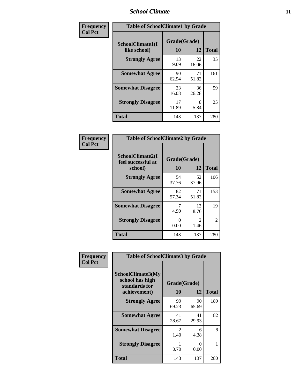### *School Climate* **11**

| Frequency      | <b>Table of SchoolClimate1 by Grade</b> |                    |             |              |  |  |
|----------------|-----------------------------------------|--------------------|-------------|--------------|--|--|
| <b>Col Pct</b> | SchoolClimate1(I<br>like school)        | Grade(Grade)<br>10 | 12          | <b>Total</b> |  |  |
|                | <b>Strongly Agree</b>                   | 13<br>9.09         | 22<br>16.06 | 35           |  |  |
|                | <b>Somewhat Agree</b>                   | 90<br>62.94        | 71<br>51.82 | 161          |  |  |
|                | <b>Somewhat Disagree</b>                | 23<br>16.08        | 36<br>26.28 | 59           |  |  |
|                | <b>Strongly Disagree</b>                | 17<br>11.89        | 8<br>5.84   | 25           |  |  |
|                | <b>Total</b>                            | 143                | 137         | 280          |  |  |

| Frequency      | <b>Table of SchoolClimate2 by Grade</b> |              |             |              |  |  |
|----------------|-----------------------------------------|--------------|-------------|--------------|--|--|
| <b>Col Pct</b> | SchoolClimate2(I<br>feel successful at  | Grade(Grade) |             |              |  |  |
|                | school)                                 | 10           | 12          | <b>Total</b> |  |  |
|                | <b>Strongly Agree</b>                   | 54<br>37.76  | 52<br>37.96 | 106          |  |  |
|                | <b>Somewhat Agree</b>                   | 82<br>57.34  | 71<br>51.82 | 153          |  |  |
|                | <b>Somewhat Disagree</b>                | 4.90         | 12<br>8.76  | 19           |  |  |
|                | <b>Strongly Disagree</b>                | 0<br>0.00    | 2<br>1.46   | 2            |  |  |
|                | <b>Total</b>                            | 143          | 137         | 280          |  |  |

| Frequency<br><b>Col Pct</b> | <b>Table of SchoolClimate3 by Grade</b>               |                       |             |              |
|-----------------------------|-------------------------------------------------------|-----------------------|-------------|--------------|
|                             | SchoolClimate3(My<br>school has high<br>standards for | Grade(Grade)          |             |              |
|                             | achievement)                                          | <b>10</b>             | 12          | <b>Total</b> |
|                             | <b>Strongly Agree</b>                                 | 99<br>69.23           | 90<br>65.69 | 189          |
|                             | <b>Somewhat Agree</b>                                 | 41<br>28.67           | 41<br>29.93 | 82           |
|                             | <b>Somewhat Disagree</b>                              | $\mathcal{L}$<br>1.40 | 6<br>4.38   | 8            |
|                             | <b>Strongly Disagree</b>                              | 0.70                  | 0<br>0.00   |              |
|                             | Total                                                 | 143                   | 137         | 280          |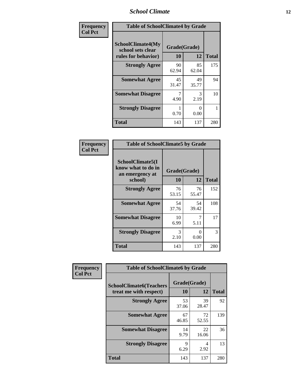### *School Climate* **12**

| Frequency      | <b>Table of SchoolClimate4 by Grade</b>                              |                    |                           |              |
|----------------|----------------------------------------------------------------------|--------------------|---------------------------|--------------|
| <b>Col Pct</b> | <b>SchoolClimate4(My</b><br>school sets clear<br>rules for behavior) | Grade(Grade)<br>10 | 12                        | <b>Total</b> |
|                | <b>Strongly Agree</b>                                                | 90<br>62.94        | 85<br>62.04               | 175          |
|                | <b>Somewhat Agree</b>                                                | 45<br>31.47        | 49<br>35.77               | 94           |
|                | <b>Somewhat Disagree</b>                                             | 7<br>4.90          | 3<br>2.19                 | 10           |
|                | <b>Strongly Disagree</b>                                             | 0.70               | $\mathbf{\Omega}$<br>0.00 | 1            |
|                | <b>Total</b>                                                         | 143                | 137                       | 280          |

| <b>Table of SchoolClimate5 by Grade</b>                   |              |             |              |  |  |
|-----------------------------------------------------------|--------------|-------------|--------------|--|--|
| SchoolClimate5(I<br>know what to do in<br>an emergency at | Grade(Grade) |             |              |  |  |
| school)                                                   | 10           | 12          | <b>Total</b> |  |  |
| <b>Strongly Agree</b>                                     | 76<br>53.15  | 76<br>55.47 | 152          |  |  |
| <b>Somewhat Agree</b>                                     | 54<br>37.76  | 54<br>39.42 | 108          |  |  |
| <b>Somewhat Disagree</b>                                  | 10<br>6.99   | 7<br>5.11   | 17           |  |  |
| <b>Strongly Disagree</b>                                  | 3<br>2.10    | 0<br>0.00   | 3            |  |  |
| <b>Total</b>                                              | 143          | 137         | 280          |  |  |

| Frequency      | <b>Table of SchoolClimate6 by Grade</b>                  |                    |             |              |  |
|----------------|----------------------------------------------------------|--------------------|-------------|--------------|--|
| <b>Col Pct</b> | <b>SchoolClimate6(Teachers</b><br>treat me with respect) | Grade(Grade)<br>10 | 12          | <b>Total</b> |  |
|                | <b>Strongly Agree</b>                                    | 53<br>37.06        | 39<br>28.47 | 92           |  |
|                | <b>Somewhat Agree</b>                                    | 67<br>46.85        | 72<br>52.55 | 139          |  |
|                | <b>Somewhat Disagree</b>                                 | 14<br>9.79         | 22<br>16.06 | 36           |  |
|                | <b>Strongly Disagree</b>                                 | 9<br>6.29          | 4<br>2.92   | 13           |  |
|                | <b>Total</b>                                             | 143                | 137         | 280          |  |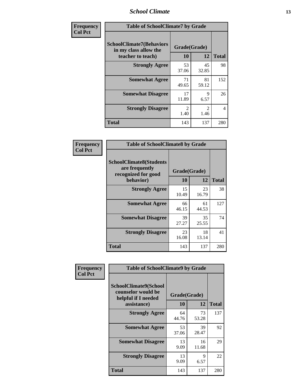### *School Climate* **13**

| Frequency      | <b>Table of SchoolClimate7 by Grade</b>                                       |                           |                        |                |
|----------------|-------------------------------------------------------------------------------|---------------------------|------------------------|----------------|
| <b>Col Pct</b> | <b>SchoolClimate7(Behaviors</b><br>in my class allow the<br>teacher to teach) | Grade(Grade)<br><b>10</b> | 12                     | <b>Total</b>   |
|                | <b>Strongly Agree</b>                                                         | 53<br>37.06               | 45<br>32.85            | 98             |
|                | <b>Somewhat Agree</b>                                                         | 71<br>49.65               | 81<br>59.12            | 152            |
|                | <b>Somewhat Disagree</b>                                                      | 17<br>11.89               | $\mathbf Q$<br>6.57    | 26             |
|                | <b>Strongly Disagree</b>                                                      | $\overline{2}$<br>1.40    | $\mathfrak{D}$<br>1.46 | $\overline{4}$ |
|                | <b>Total</b>                                                                  | 143                       | 137                    | 280            |

| Frequency      | <b>Table of SchoolClimate8 by Grade</b>                                              |                    |             |              |
|----------------|--------------------------------------------------------------------------------------|--------------------|-------------|--------------|
| <b>Col Pct</b> | <b>SchoolClimate8(Students</b><br>are frequently<br>recognized for good<br>behavior) | Grade(Grade)<br>10 | 12          | <b>Total</b> |
|                | <b>Strongly Agree</b>                                                                | 15<br>10.49        | 23<br>16.79 | 38           |
|                | <b>Somewhat Agree</b>                                                                | 66<br>46.15        | 61<br>44.53 | 127          |
|                | <b>Somewhat Disagree</b>                                                             | 39<br>27.27        | 35<br>25.55 | 74           |
|                | <b>Strongly Disagree</b>                                                             | 23<br>16.08        | 18<br>13.14 | 41           |
|                | <b>Total</b>                                                                         | 143                | 137         | 280          |

| Frequency      | <b>Table of SchoolClimate9 by Grade</b>                                           |                    |                     |              |
|----------------|-----------------------------------------------------------------------------------|--------------------|---------------------|--------------|
| <b>Col Pct</b> | SchoolClimate9(School<br>counselor would be<br>helpful if I needed<br>assistance) | Grade(Grade)<br>10 | 12                  | <b>Total</b> |
|                | <b>Strongly Agree</b>                                                             | 64<br>44.76        | 73<br>53.28         | 137          |
|                | <b>Somewhat Agree</b>                                                             | 53<br>37.06        | 39<br>28.47         | 92           |
|                | <b>Somewhat Disagree</b>                                                          | 13<br>9.09         | 16<br>11.68         | 29           |
|                | <b>Strongly Disagree</b>                                                          | 13<br>9.09         | $\mathbf Q$<br>6.57 | 22           |
|                | Total                                                                             | 143                | 137                 | 280          |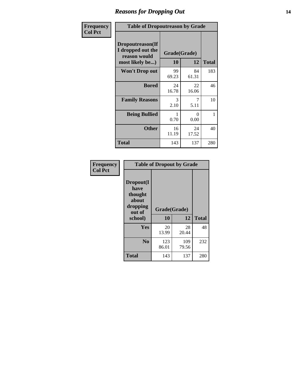### *Reasons for Dropping Out* **14**

| <b>Frequency</b> | <b>Table of Dropoutreason by Grade</b>                                   |             |                    |              |
|------------------|--------------------------------------------------------------------------|-------------|--------------------|--------------|
| <b>Col Pct</b>   | Dropoutreason(If<br>I dropped out the<br>reason would<br>most likely be) | 10          | Grade(Grade)<br>12 | <b>Total</b> |
|                  | <b>Won't Drop out</b>                                                    | 99<br>69.23 | 84<br>61.31        | 183          |
|                  | <b>Bored</b>                                                             | 24<br>16.78 | 22<br>16.06        | 46           |
|                  | <b>Family Reasons</b>                                                    | 3<br>2.10   | 7<br>5.11          | 10           |
|                  | <b>Being Bullied</b>                                                     | 1<br>0.70   | $\Omega$<br>0.00   | 1            |
|                  | <b>Other</b>                                                             | 16<br>11.19 | 24<br>17.52        | 40           |
|                  | <b>Total</b>                                                             | 143         | 137                | 280          |

| Frequency      | <b>Table of Dropout by Grade</b>                                       |                    |              |              |  |
|----------------|------------------------------------------------------------------------|--------------------|--------------|--------------|--|
| <b>Col Pct</b> | Dropout(I<br>have<br>thought<br>about<br>dropping<br>out of<br>school) | Grade(Grade)<br>10 | 12           | <b>Total</b> |  |
|                | Yes                                                                    | 20<br>13.99        | 28<br>20.44  | 48           |  |
|                | N <sub>0</sub>                                                         | 123<br>86.01       | 109<br>79.56 | 232          |  |
|                | <b>Total</b>                                                           | 143                | 137          | 280          |  |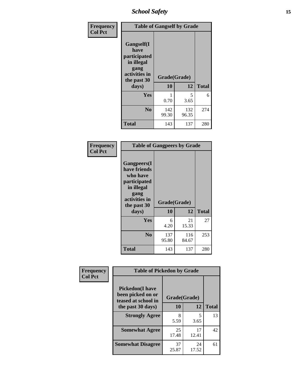*School Safety* **15**

| Frequency      | <b>Table of Gangself by Grade</b>                                                                 |                    |              |              |
|----------------|---------------------------------------------------------------------------------------------------|--------------------|--------------|--------------|
| <b>Col Pct</b> | Gangself(I<br>have<br>participated<br>in illegal<br>gang<br>activities in<br>the past 30<br>days) | Grade(Grade)<br>10 | 12           | <b>Total</b> |
|                |                                                                                                   |                    |              |              |
|                | Yes                                                                                               | 1<br>0.70          | 5<br>3.65    | 6            |
|                | N <sub>0</sub>                                                                                    | 142<br>99.30       | 132<br>96.35 | 274          |
|                | <b>Total</b>                                                                                      | 143                | 137          | 280          |

| Frequency<br><b>Col Pct</b> | <b>Table of Gangpeers by Grade</b>                                                                                             |                    |              |              |
|-----------------------------|--------------------------------------------------------------------------------------------------------------------------------|--------------------|--------------|--------------|
|                             | <b>Gangpeers</b> (I<br>have friends<br>who have<br>participated<br>in illegal<br>gang<br>activities in<br>the past 30<br>days) | Grade(Grade)<br>10 | 12           | <b>Total</b> |
|                             | <b>Yes</b>                                                                                                                     | 6<br>4.20          | 21<br>15.33  | 27           |
|                             | N <sub>0</sub>                                                                                                                 | 137<br>95.80       | 116<br>84.67 | 253          |
|                             | <b>Total</b>                                                                                                                   | 143                | 137          | 280          |

| Frequency      | <b>Table of Pickedon by Grade</b>                                   |              |             |              |
|----------------|---------------------------------------------------------------------|--------------|-------------|--------------|
| <b>Col Pct</b> | <b>Pickedon</b> (I have<br>been picked on or<br>teased at school in | Grade(Grade) |             |              |
|                | the past 30 days)                                                   | 10           | 12          | <b>Total</b> |
|                | <b>Strongly Agree</b>                                               | 8<br>5.59    | 5<br>3.65   | 13           |
|                | <b>Somewhat Agree</b>                                               | 25<br>17.48  | 17<br>12.41 | 42           |
|                | <b>Somewhat Disagree</b>                                            | 37<br>25.87  | 24<br>17.52 | 61           |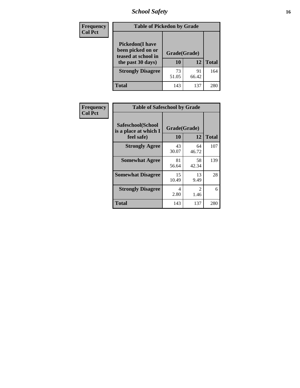# *School Safety* **16**

| <b>Frequency</b> | <b>Table of Pickedon by Grade</b>                                                        |                    |             |              |
|------------------|------------------------------------------------------------------------------------------|--------------------|-------------|--------------|
| <b>Col Pct</b>   | <b>Pickedon</b> (I have<br>been picked on or<br>teased at school in<br>the past 30 days) | Grade(Grade)<br>10 | 12          | <b>Total</b> |
|                  | <b>Strongly Disagree</b>                                                                 | 73<br>51.05        | 91<br>66.42 | 164          |
|                  | Total                                                                                    | 143                | 137         | 280          |

| Frequency      | <b>Table of Safeschool by Grade</b>                      |                    |                                     |              |  |  |  |  |  |
|----------------|----------------------------------------------------------|--------------------|-------------------------------------|--------------|--|--|--|--|--|
| <b>Col Pct</b> | Safeschool(School<br>is a place at which I<br>feel safe) | Grade(Grade)<br>10 | 12                                  | <b>Total</b> |  |  |  |  |  |
|                | <b>Strongly Agree</b>                                    | 43<br>30.07        | 64<br>46.72                         | 107          |  |  |  |  |  |
|                | <b>Somewhat Agree</b>                                    | 81<br>56.64        | 58<br>42.34                         | 139          |  |  |  |  |  |
|                | <b>Somewhat Disagree</b>                                 | 15<br>10.49        | 13<br>9.49                          | 28           |  |  |  |  |  |
|                | <b>Strongly Disagree</b>                                 | 4<br>2.80          | $\mathcal{D}_{\mathcal{L}}$<br>1.46 | 6            |  |  |  |  |  |
|                | <b>Total</b>                                             | 143                | 137                                 | 280          |  |  |  |  |  |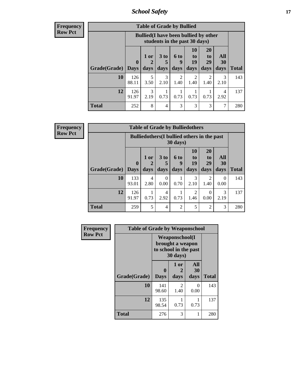*School Safety* **17**

**Frequency Row Pct**

| <b>Table of Grade by Bullied</b> |              |                                                                               |                   |                   |                        |                        |                          |              |  |  |  |
|----------------------------------|--------------|-------------------------------------------------------------------------------|-------------------|-------------------|------------------------|------------------------|--------------------------|--------------|--|--|--|
|                                  |              | <b>Bullied</b> (I have been bullied by other<br>students in the past 30 days) |                   |                   |                        |                        |                          |              |  |  |  |
| Grade(Grade)   Days              | $\bf{0}$     | $1$ or<br>2<br>days                                                           | 3 to<br>5<br>days | 6 to<br>9<br>days | 10<br>to<br>19<br>days | 20<br>to<br>29<br>days | All<br><b>30</b><br>days | <b>Total</b> |  |  |  |
| 10                               | 126<br>88.11 | 5<br>3.50                                                                     | 3<br>2.10         | 2<br>1.40         | $\overline{2}$<br>1.40 | 2<br>1.40              | 3<br>2.10                | 143          |  |  |  |
| 12                               | 126<br>91.97 | 3<br>2.19                                                                     | 0.73              | 0.73              | 0.73                   | 0.73                   | 4<br>2.92                | 137          |  |  |  |
| <b>Total</b>                     | 252          | 8                                                                             | 4                 | 3                 | 3                      | 3                      | 7                        | 280          |  |  |  |

**Frequency Row Pct**

| <b>Table of Grade by Bulliedothers</b>                                  |              |                     |                   |                   |                                  |                        |                   |              |  |
|-------------------------------------------------------------------------|--------------|---------------------|-------------------|-------------------|----------------------------------|------------------------|-------------------|--------------|--|
| <b>Bulliedothers</b> (I bullied others in the past<br>$30 \text{ days}$ |              |                     |                   |                   |                                  |                        |                   |              |  |
| Grade(Grade)   Days                                                     | $\mathbf{0}$ | $1$ or<br>2<br>days | 3 to<br>5<br>days | 6 to<br>9<br>days | 10<br>$\mathbf{t}$<br>19<br>days | 20<br>to<br>29<br>days | All<br>30<br>days | <b>Total</b> |  |
| 10                                                                      | 133<br>93.01 | 4<br>2.80           | $\theta$<br>0.00  | 0.70              | 3<br>2.10                        | $\overline{2}$<br>1.40 | 0<br>0.00         | 143          |  |
| 12                                                                      | 126<br>91.97 | 0.73                | 4<br>2.92         | 0.73              | 2<br>1.46                        | $\Omega$<br>0.00       | 3<br>2.19         | 137          |  |
| <b>Total</b>                                                            | 259          | 5                   | $\overline{4}$    | $\overline{c}$    | 5                                | $\overline{c}$         | 3                 | 280          |  |

| Frequency      | <b>Table of Grade by Weaponschool</b> |                                                                         |                        |                   |              |  |  |  |  |
|----------------|---------------------------------------|-------------------------------------------------------------------------|------------------------|-------------------|--------------|--|--|--|--|
| <b>Row Pct</b> |                                       | Weaponschool(I<br>brought a weapon<br>to school in the past<br>30 days) |                        |                   |              |  |  |  |  |
|                | Grade(Grade)                          | $\bf{0}$<br><b>Days</b>                                                 | 1 or<br>2<br>days      | All<br>30<br>days | <b>Total</b> |  |  |  |  |
|                | 10                                    | 141<br>98.60                                                            | $\overline{2}$<br>1.40 | $\Omega$<br>0.00  | 143          |  |  |  |  |
|                | 12                                    | 135<br>98.54                                                            | 0.73                   | 0.73              | 137          |  |  |  |  |
|                | <b>Total</b>                          | 276                                                                     | 3                      | 1                 | 280          |  |  |  |  |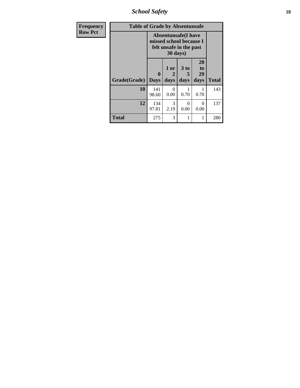*School Safety* **18**

| <b>Frequency</b> | <b>Table of Grade by Absentunsafe</b> |                  |                       |                                                                                  |                        |              |  |  |  |
|------------------|---------------------------------------|------------------|-----------------------|----------------------------------------------------------------------------------|------------------------|--------------|--|--|--|
| <b>Row Pct</b>   |                                       |                  | 30 days)              | <b>Absentunsafe(I have</b><br>missed school because I<br>felt unsafe in the past |                        |              |  |  |  |
|                  | Grade(Grade)                          | 0<br><b>Days</b> | 1 or<br>2<br>days     | 3 to<br>5<br>days                                                                | 20<br>to<br>29<br>days | <b>Total</b> |  |  |  |
|                  | 10                                    | 141<br>98.60     | 0<br>0.00             | 0.70                                                                             | 0.70                   | 143          |  |  |  |
|                  | 12                                    | 134<br>97.81     | $\mathcal{F}$<br>2.19 | 0<br>0.00                                                                        | $\Omega$<br>0.00       | 137          |  |  |  |
|                  | <b>Total</b>                          | 275              | 3                     | 1                                                                                | 1                      | 280          |  |  |  |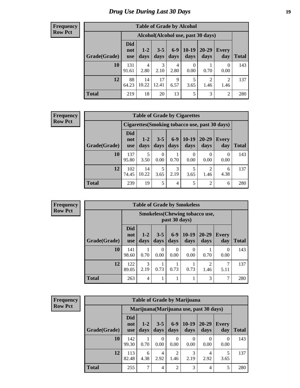# *Drug Use During Last 30 Days* **19**

#### **Frequency Row Pct**

| <b>Table of Grade by Alcohol</b> |                                 |                 |                 |               |                  |                                    |                |              |
|----------------------------------|---------------------------------|-----------------|-----------------|---------------|------------------|------------------------------------|----------------|--------------|
|                                  |                                 |                 |                 |               |                  | Alcohol(Alcohol use, past 30 days) |                |              |
| Grade(Grade)                     | <b>Did</b><br>not<br><b>use</b> | $1 - 2$<br>days | $3 - 5$<br>days | $6-9$<br>days | $10-19$<br>days  | $20 - 29$<br>days                  | Every<br>day   | <b>Total</b> |
| 10                               | 131<br>91.61                    | 4<br>2.80       | 3<br>2.10       | 4<br>2.80     | $\theta$<br>0.00 | 0.70                               | 0<br>0.00      | 143          |
| 12                               | 88<br>64.23                     | 14<br>10.22     | 17<br>12.41     | 9<br>6.57     | 5<br>3.65        | $\overline{2}$<br>1.46             | 2<br>1.46      | 137          |
| <b>Total</b>                     | 219                             | 18              | 20              | 13            | 5                | 3                                  | $\overline{2}$ | 280          |

#### **Frequency Row Pct**

| <b>Table of Grade by Cigarettes</b> |                                 |                 |                 |                 |                                                |               |                     |              |  |
|-------------------------------------|---------------------------------|-----------------|-----------------|-----------------|------------------------------------------------|---------------|---------------------|--------------|--|
|                                     |                                 |                 |                 |                 | Cigarettes (Smoking tobacco use, past 30 days) |               |                     |              |  |
| Grade(Grade)                        | <b>Did</b><br>not<br><b>use</b> | $1 - 2$<br>days | $3 - 5$<br>days | $6 - 9$<br>days | $10-19$<br>days                                | 20-29<br>days | <b>Every</b><br>day | <b>Total</b> |  |
| 10                                  | 137<br>95.80                    | 5<br>3.50       | 0<br>0.00       | 0.70            | $\theta$<br>0.00                               | 0.00          | 0<br>0.00           | 143          |  |
| 12                                  | 102<br>74.45                    | 14<br>10.22     | 5<br>3.65       | 3<br>2.19       | 3.65                                           | ◠<br>1.46     | 6<br>4.38           | 137          |  |
| <b>Total</b>                        | 239                             | 19              | 5               | 4               | 5                                              | ာ             | 6                   | 280          |  |

| <b>Frequency</b> |
|------------------|
| <b>Row Pct</b>   |

| <b>Table of Grade by Smokeless</b> |                                 |                                                        |                 |                  |                 |                        |              |              |  |
|------------------------------------|---------------------------------|--------------------------------------------------------|-----------------|------------------|-----------------|------------------------|--------------|--------------|--|
|                                    |                                 | <b>Smokeless</b> (Chewing tobaccouse,<br>past 30 days) |                 |                  |                 |                        |              |              |  |
| Grade(Grade)                       | <b>Did</b><br>not<br><b>use</b> | $1 - 2$<br>days                                        | $3 - 5$<br>days | $6-9$<br>days    | $10-19$<br>days | $20 - 29$<br>days      | Every<br>day | <b>Total</b> |  |
| 10                                 | 141<br>98.60                    | 0.70                                                   | 0<br>0.00       | $\Omega$<br>0.00 | 0<br>0.00       | 0.70                   | 0<br>0.00    | 143          |  |
| 12                                 | 122<br>89.05                    | 3<br>2.19                                              | 0.73            | 0.73             | 0.73            | $\mathfrak{D}$<br>1.46 | 5.11         | 137          |  |
| <b>Total</b>                       | 263                             | 4                                                      | 1               |                  | 1               | 3                      | 7            | 280          |  |

| <b>Frequency</b> |
|------------------|
| <b>Row Pct</b>   |

|              | <b>Table of Grade by Marijuana</b> |                                         |                  |                        |                 |                  |                  |              |  |  |
|--------------|------------------------------------|-----------------------------------------|------------------|------------------------|-----------------|------------------|------------------|--------------|--|--|
|              |                                    | Marijuana (Marijuana use, past 30 days) |                  |                        |                 |                  |                  |              |  |  |
| Grade(Grade) | <b>Did</b><br>not<br><b>use</b>    | $1 - 2$<br>days                         | $3 - 5$<br>days  | $6 - 9$<br>days        | $10-19$<br>days | 20-29<br>days    | Every<br>day     | <b>Total</b> |  |  |
| 10           | 142<br>99.30                       | 0.70                                    | $\Omega$<br>0.00 | 0<br>0.00              | 0<br>0.00       | $\theta$<br>0.00 | $\theta$<br>0.00 | 143          |  |  |
| 12           | 113<br>82.48                       | 6<br>4.38                               | 4<br>2.92        | $\overline{2}$<br>1.46 | 3<br>2.19       | 4<br>2.92        | 3.65             | 137          |  |  |
| <b>Total</b> | 255                                | 7                                       | $\overline{4}$   | $\overline{2}$         | 3               | 4                | 5                | 280          |  |  |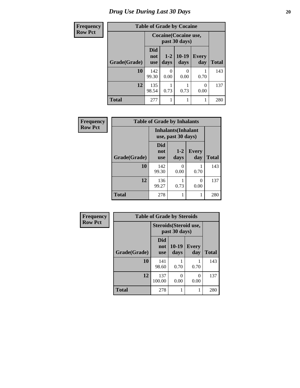# *Drug Use During Last 30 Days* 20

| <b>Frequency</b> | <b>Table of Grade by Cocaine</b> |                                 |                 |                 |                     |              |  |  |
|------------------|----------------------------------|---------------------------------|-----------------|-----------------|---------------------|--------------|--|--|
| <b>Row Pct</b>   |                                  | Cocaine (Cocaine use,           |                 |                 |                     |              |  |  |
|                  | Grade(Grade)                     | <b>Did</b><br>not<br><b>use</b> | $1 - 2$<br>days | $10-19$<br>days | <b>Every</b><br>day | <b>Total</b> |  |  |
|                  | 10                               | 142<br>99.30                    | 0.00            | ∩<br>0.00       | 0.70                | 143          |  |  |
|                  | 12                               | 135<br>98.54                    | 0.73            | 0.73            | 0<br>0.00           | 137          |  |  |
|                  | <b>Total</b>                     | 277                             |                 |                 | 1                   | 280          |  |  |

| Frequency      | <b>Table of Grade by Inhalants</b> |                                                  |                  |                     |              |
|----------------|------------------------------------|--------------------------------------------------|------------------|---------------------|--------------|
| <b>Row Pct</b> |                                    | <b>Inhalants</b> (Inhalant<br>use, past 30 days) |                  |                     |              |
|                | Grade(Grade)                       | <b>Did</b><br>not<br><b>use</b>                  | $1 - 2$<br>days  | <b>Every</b><br>day | <b>Total</b> |
|                | 10                                 | 142<br>99.30                                     | $\theta$<br>0.00 | 0.70                | 143          |
|                | 12                                 | 136<br>99.27                                     | 0.73             | $\Omega$<br>0.00    | 137          |
|                | <b>Total</b>                       | 278                                              |                  | 1                   | 280          |

| Frequency      | <b>Table of Grade by Steroids</b> |                          |                                         |                     |              |
|----------------|-----------------------------------|--------------------------|-----------------------------------------|---------------------|--------------|
| <b>Row Pct</b> |                                   |                          | Steroids (Steroid use,<br>past 30 days) |                     |              |
|                | Grade(Grade)                      | Did<br>not<br><b>use</b> | $10-19$<br>days                         | <b>Every</b><br>day | <b>Total</b> |
|                | 10                                | 141<br>98.60             | 0.70                                    | 0.70                | 143          |
|                | 12                                | 137<br>100.00            | 0<br>0.00                               | 0<br>0.00           | 137          |
|                | <b>Total</b>                      | 278                      |                                         |                     | 280          |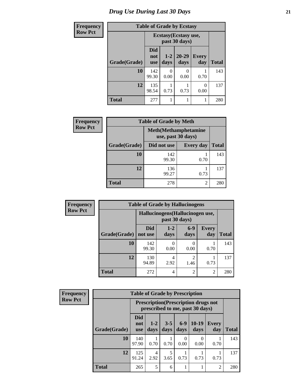# *Drug Use During Last 30 Days* **21**

| <b>Frequency</b> | <b>Table of Grade by Ecstasy</b> |                                 |                 |               |                     |              |  |
|------------------|----------------------------------|---------------------------------|-----------------|---------------|---------------------|--------------|--|
| <b>Row Pct</b>   |                                  | Ecstasy (Ecstasy use,           |                 |               |                     |              |  |
|                  | Grade(Grade)                     | <b>Did</b><br>not<br><b>use</b> | $1 - 2$<br>days | 20-29<br>days | <b>Every</b><br>day | <b>Total</b> |  |
|                  | 10                               | 142<br>99.30                    | 0<br>0.00       | 0<br>0.00     | 0.70                | 143          |  |
|                  | 12                               | 135<br>98.54                    | 0.73            | 0.73          | $\Omega$<br>0.00    | 137          |  |
|                  | <b>Total</b>                     | 277                             | 1               |               |                     | 280          |  |

| Frequency      |              | <b>Table of Grade by Meth</b> |                              |              |
|----------------|--------------|-------------------------------|------------------------------|--------------|
| <b>Row Pct</b> |              | use, past 30 days)            | <b>Meth</b> (Methamphetamine |              |
|                | Grade(Grade) | Did not use                   | <b>Every day</b>             | <b>Total</b> |
|                | 10           | 142<br>99.30                  | 0.70                         | 143          |
|                | 12           | 136<br>99.27                  | 0.73                         | 137          |
|                | <b>Total</b> | 278                           | 2                            | 280          |

| Frequency      | <b>Table of Grade by Hallucinogens</b> |                                 |                 |                       |                     |              |  |  |
|----------------|----------------------------------------|---------------------------------|-----------------|-----------------------|---------------------|--------------|--|--|
| <b>Row Pct</b> |                                        | Hallucinogens(Hallucinogen use, |                 |                       |                     |              |  |  |
|                | Grade(Grade)                           | <b>Did</b><br>not use           | $1 - 2$<br>days | $6-9$<br>days         | <b>Every</b><br>day | <b>Total</b> |  |  |
|                | 10                                     | 142<br>99.30                    | 0.00            | 0.00                  | 0.70                | 143          |  |  |
|                | 12                                     | 130<br>94.89                    | 4<br>2.92       | $\mathcal{D}$<br>1.46 | 0.73                | 137          |  |  |
|                | <b>Total</b>                           | 272                             | 4               | $\overline{c}$        | $\overline{2}$      | 280          |  |  |

| Frequency      | <b>Table of Grade by Prescription</b> |                                 |                                                                                |                 |               |                 |              |              |  |
|----------------|---------------------------------------|---------------------------------|--------------------------------------------------------------------------------|-----------------|---------------|-----------------|--------------|--------------|--|
| <b>Row Pct</b> |                                       |                                 | <b>Prescription</b> (Prescription drugs not<br>prescribed to me, past 30 days) |                 |               |                 |              |              |  |
|                | Grade(Grade)                          | <b>Did</b><br>not<br><b>use</b> | $1-2$<br>days                                                                  | $3 - 5$<br>days | $6-9$<br>days | $10-19$<br>days | Every<br>day | <b>Total</b> |  |
|                | 10                                    | 140<br>97.90                    | 0.70                                                                           | 0.70            | 0.00          | 0<br>0.00       | 0.70         | 143          |  |
|                | 12                                    | 125<br>91.24                    | 4<br>2.92                                                                      | 5<br>3.65       | 0.73          | 0.73            | 0.73         | 137          |  |
|                | <b>Total</b>                          | 265                             | 5                                                                              | 6               |               |                 | 2            | 280          |  |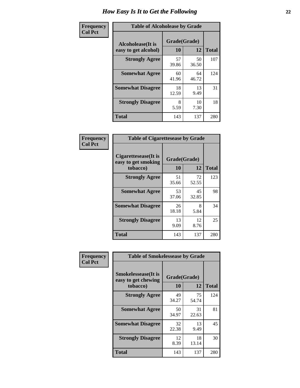| Frequency      | <b>Table of Alcoholease by Grade</b>              |                    |             |              |  |  |
|----------------|---------------------------------------------------|--------------------|-------------|--------------|--|--|
| <b>Col Pct</b> | <b>Alcoholease</b> (It is<br>easy to get alcohol) | Grade(Grade)<br>10 | 12          | <b>Total</b> |  |  |
|                | <b>Strongly Agree</b>                             | 57<br>39.86        | 50<br>36.50 | 107          |  |  |
|                | <b>Somewhat Agree</b>                             | 60<br>41.96        | 64<br>46.72 | 124          |  |  |
|                | <b>Somewhat Disagree</b>                          | 18<br>12.59        | 13<br>9.49  | 31           |  |  |
|                | <b>Strongly Disagree</b>                          | 8<br>5.59          | 10<br>7.30  | 18           |  |  |
|                | <b>Total</b>                                      | 143                | 137         | 280          |  |  |

| Frequency      | <b>Table of Cigarettesease by Grade</b>                 |                    |             |              |  |
|----------------|---------------------------------------------------------|--------------------|-------------|--------------|--|
| <b>Col Pct</b> | Cigarettesease(It is<br>easy to get smoking<br>tobacco) | Grade(Grade)<br>10 | 12          | <b>Total</b> |  |
|                | <b>Strongly Agree</b>                                   | 51<br>35.66        | 72<br>52.55 | 123          |  |
|                | <b>Somewhat Agree</b>                                   | 53<br>37.06        | 45<br>32.85 | 98           |  |
|                | <b>Somewhat Disagree</b>                                | 26<br>18.18        | 8<br>5.84   | 34           |  |
|                | <b>Strongly Disagree</b>                                | 13<br>9.09         | 12<br>8.76  | 25           |  |
|                | <b>Total</b>                                            | 143                | 137         | 280          |  |

| Frequency      | <b>Table of Smokelessease by Grade</b>             |              |             |              |
|----------------|----------------------------------------------------|--------------|-------------|--------------|
| <b>Col Pct</b> | <b>Smokelessease</b> (It is<br>easy to get chewing | Grade(Grade) |             |              |
|                | tobacco)                                           | 10           | 12          | <b>Total</b> |
|                | <b>Strongly Agree</b>                              | 49<br>34.27  | 75<br>54.74 | 124          |
|                | <b>Somewhat Agree</b>                              | 50<br>34.97  | 31<br>22.63 | 81           |
|                | <b>Somewhat Disagree</b>                           | 32<br>22.38  | 13<br>9.49  | 45           |
|                | <b>Strongly Disagree</b>                           | 12<br>8.39   | 18<br>13.14 | 30           |
|                | <b>Total</b>                                       | 143          | 137         | 280          |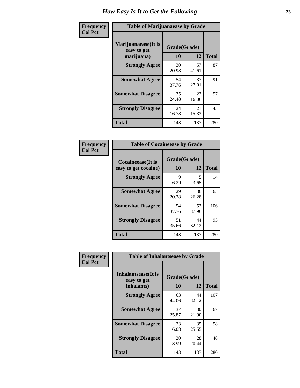| Frequency      | <b>Table of Marijuanaease by Grade</b>           |                    |             |              |  |
|----------------|--------------------------------------------------|--------------------|-------------|--------------|--|
| <b>Col Pct</b> | Marijuanaease(It is<br>easy to get<br>marijuana) | Grade(Grade)<br>10 | 12          | <b>Total</b> |  |
|                | <b>Strongly Agree</b>                            | 30<br>20.98        | 57<br>41.61 | 87           |  |
|                | <b>Somewhat Agree</b>                            | 54<br>37.76        | 37<br>27.01 | 91           |  |
|                | <b>Somewhat Disagree</b>                         | 35<br>24.48        | 22<br>16.06 | 57           |  |
|                | <b>Strongly Disagree</b>                         | 24<br>16.78        | 21<br>15.33 | 45           |  |
|                | <b>Total</b>                                     | 143                | 137         | 280          |  |

| <b>Table of Cocaineease by Grade</b>              |                    |              |     |  |  |  |
|---------------------------------------------------|--------------------|--------------|-----|--|--|--|
| <b>Cocaineease</b> (It is<br>easy to get cocaine) | Grade(Grade)<br>10 | <b>Total</b> |     |  |  |  |
| <b>Strongly Agree</b>                             | 9<br>6.29          | 5<br>3.65    | 14  |  |  |  |
| <b>Somewhat Agree</b>                             | 29<br>20.28        | 36<br>26.28  | 65  |  |  |  |
| <b>Somewhat Disagree</b>                          | 54<br>37.76        | 52<br>37.96  | 106 |  |  |  |
| <b>Strongly Disagree</b>                          | 51<br>35.66        | 44<br>32.12  | 95  |  |  |  |
| <b>Total</b>                                      | 143                | 137          | 280 |  |  |  |

| Frequency      | <b>Table of Inhalantsease by Grade</b>     |              |             |              |
|----------------|--------------------------------------------|--------------|-------------|--------------|
| <b>Col Pct</b> | <b>Inhalantsease</b> (It is<br>easy to get | Grade(Grade) |             |              |
|                | inhalants)                                 | 10           | 12          | <b>Total</b> |
|                | <b>Strongly Agree</b>                      | 63<br>44.06  | 44<br>32.12 | 107          |
|                | <b>Somewhat Agree</b>                      | 37<br>25.87  | 30<br>21.90 | 67           |
|                | <b>Somewhat Disagree</b>                   | 23<br>16.08  | 35<br>25.55 | 58           |
|                | <b>Strongly Disagree</b>                   | 20<br>13.99  | 28<br>20.44 | 48           |
|                | <b>Total</b>                               | 143          | 137         | 280          |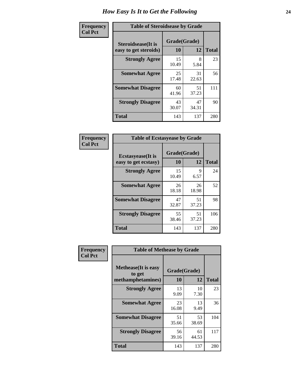| Frequency      | <b>Table of Steroidsease by Grade</b>               |                    |             |              |  |  |  |  |  |  |
|----------------|-----------------------------------------------------|--------------------|-------------|--------------|--|--|--|--|--|--|
| <b>Col Pct</b> | <b>Steroidsease</b> (It is<br>easy to get steroids) | Grade(Grade)<br>10 | 12          | <b>Total</b> |  |  |  |  |  |  |
|                | <b>Strongly Agree</b>                               | 15<br>10.49        | 8<br>5.84   | 23           |  |  |  |  |  |  |
|                | <b>Somewhat Agree</b>                               | 25<br>17.48        | 31<br>22.63 | 56           |  |  |  |  |  |  |
|                | <b>Somewhat Disagree</b>                            | 60<br>41.96        | 51<br>37.23 | 111          |  |  |  |  |  |  |
|                | <b>Strongly Disagree</b>                            | 43<br>30.07        | 47<br>34.31 | 90           |  |  |  |  |  |  |
|                | <b>Total</b>                                        | 143                | 137         | 280          |  |  |  |  |  |  |

| Frequency      |                                                   |                           | <b>Table of Ecstasyease by Grade</b> |              |  |  |  |  |  |  |  |  |
|----------------|---------------------------------------------------|---------------------------|--------------------------------------|--------------|--|--|--|--|--|--|--|--|
| <b>Col Pct</b> | <b>Ecstasyease</b> (It is<br>easy to get ecstasy) | Grade(Grade)<br><b>10</b> | 12                                   | <b>Total</b> |  |  |  |  |  |  |  |  |
|                | <b>Strongly Agree</b>                             | 15<br>10.49               | 9<br>6.57                            | 24           |  |  |  |  |  |  |  |  |
|                | <b>Somewhat Agree</b>                             | 26<br>18.18               | 26<br>18.98                          | 52           |  |  |  |  |  |  |  |  |
|                | <b>Somewhat Disagree</b>                          | 47<br>32.87               | 51<br>37.23                          | 98           |  |  |  |  |  |  |  |  |
|                | <b>Strongly Disagree</b>                          | 55<br>38.46               | 51<br>37.23                          | 106          |  |  |  |  |  |  |  |  |
|                | <b>Total</b>                                      | 143                       | 137                                  | 280          |  |  |  |  |  |  |  |  |

| Frequency      | <b>Table of Methease by Grade</b>                          |                    |             |              |
|----------------|------------------------------------------------------------|--------------------|-------------|--------------|
| <b>Col Pct</b> | <b>Methease</b> (It is easy<br>to get<br>methamphetamines) | Grade(Grade)<br>10 | 12          | <b>Total</b> |
|                | <b>Strongly Agree</b>                                      | 13<br>9.09         | 10<br>7.30  | 23           |
|                | <b>Somewhat Agree</b>                                      | 23<br>16.08        | 13<br>9.49  | 36           |
|                | <b>Somewhat Disagree</b>                                   | 51<br>35.66        | 53<br>38.69 | 104          |
|                | <b>Strongly Disagree</b>                                   | 56<br>39.16        | 61<br>44.53 | 117          |
|                | Total                                                      | 143                | 137         | 280          |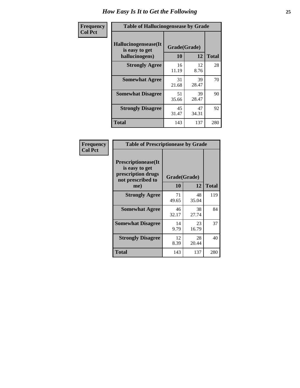| Frequency      | <b>Table of Hallucinogensease by Grade</b>               |                    |              |     |  |  |  |  |  |
|----------------|----------------------------------------------------------|--------------------|--------------|-----|--|--|--|--|--|
| <b>Col Pct</b> | Hallucinogensease(It<br>is easy to get<br>hallucinogens) | Grade(Grade)<br>10 | <b>Total</b> |     |  |  |  |  |  |
|                | <b>Strongly Agree</b>                                    | 16<br>11.19        | 12<br>8.76   | 28  |  |  |  |  |  |
|                | <b>Somewhat Agree</b>                                    | 31<br>21.68        | 39<br>28.47  | 70  |  |  |  |  |  |
|                | <b>Somewhat Disagree</b>                                 | 51<br>35.66        | 39<br>28.47  | 90  |  |  |  |  |  |
|                | <b>Strongly Disagree</b>                                 | 45<br>31.47        | 47<br>34.31  | 92  |  |  |  |  |  |
|                | <b>Total</b>                                             | 143                | 137          | 280 |  |  |  |  |  |

| <b>Table of Prescriptionease by Grade</b>                                                |              |             |              |
|------------------------------------------------------------------------------------------|--------------|-------------|--------------|
| <b>Prescriptionease</b> (It<br>is easy to get<br>prescription drugs<br>not prescribed to | Grade(Grade) |             |              |
| me)                                                                                      | 10           | 12          | <b>Total</b> |
| <b>Strongly Agree</b>                                                                    | 71<br>49.65  | 48<br>35.04 | 119          |
| <b>Somewhat Agree</b>                                                                    | 46<br>32.17  | 38<br>27.74 | 84           |
| <b>Somewhat Disagree</b>                                                                 | 14<br>9.79   | 23<br>16.79 | 37           |
| <b>Strongly Disagree</b>                                                                 | 12<br>8.39   | 28<br>20.44 | 40           |
| Total                                                                                    | 143          | 137         | 280          |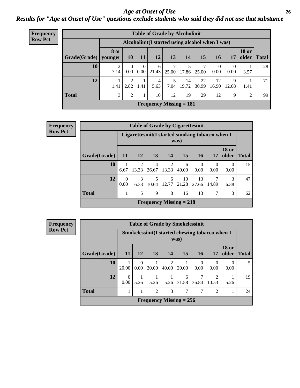### *Age at Onset of Use* **26** *Results for "Age at Onset of Use" questions exclude students who said they did not use that substance*

| <b>Frequency</b> | <b>Table of Grade by Alcoholinit</b> |      |                  |                      |            |       |                                                  |             |                  |                  |                       |              |
|------------------|--------------------------------------|------|------------------|----------------------|------------|-------|--------------------------------------------------|-------------|------------------|------------------|-----------------------|--------------|
| <b>Row Pct</b>   |                                      |      |                  |                      |            |       | Alcoholinit (I started using alcohol when I was) |             |                  |                  |                       |              |
|                  | Grade(Grade)   younger               | 8 or | <b>10</b>        | <b>11</b>            | 12         | 13    | 14                                               | 15          | <b>16</b>        | 17               | <b>18 or</b><br>older | <b>Total</b> |
|                  | 10                                   | 7.14 | $\Omega$<br>0.00 | $\theta$<br>$0.00\,$ | 6<br>21.43 | 25.00 | 17.86                                            | 7<br>25.00  | $\theta$<br>0.00 | $\Omega$<br>0.00 | 3.57                  | 28           |
|                  | 12                                   | 1.41 | ∍<br>2.82        | 1.41                 | 4<br>5.63  | 7.04  | 14<br>19.72                                      | 22<br>30.99 | 12<br>16.90      | 9<br>12.68       | 1.41                  | 71           |
|                  | <b>Total</b>                         | 3    | $\overline{2}$   |                      | 10         | 12    | 19                                               | 29          | 12               | 9                | 2                     | 99           |
|                  |                                      |      |                  |                      |            |       | <b>Frequency Missing = 181</b>                   |             |                  |                  |                       |              |

| Frequency      |              |                  |                         |            |            | <b>Table of Grade by Cigarettesinit</b>                 |                  |       |                       |              |
|----------------|--------------|------------------|-------------------------|------------|------------|---------------------------------------------------------|------------------|-------|-----------------------|--------------|
| <b>Row Pct</b> |              |                  |                         |            |            | Cigarettesinit(I started smoking tobacco when I<br>was) |                  |       |                       |              |
|                | Grade(Grade) | 11               | <b>12</b>               | <b>13</b>  | 14         | 15                                                      | 16               | 17    | <b>18 or</b><br>older | <b>Total</b> |
|                | 10           | 6.67             | $\overline{2}$<br>13.33 | 4<br>26.67 | 2<br>13.33 | 6<br>40.00                                              | $\Omega$<br>0.00 | 0.00  | $\theta$<br>0.00      | 15           |
|                | 12           | $\theta$<br>0.00 | 3<br>6.38               | 5<br>10.64 | 6<br>12.77 | 10<br>21.28                                             | 13<br>27.66      | 14.89 | 3<br>6.38             | 47           |
|                | <b>Total</b> | 1                | 5                       | 9          | 8          | 16                                                      | 13               | 7     | 3                     | 62           |
|                |              |                  |                         |            |            | Frequency Missing $= 218$                               |                  |       |                       |              |

| <b>Frequency</b> |              |                                                         |                  | <b>Table of Grade by Smokelessinit</b> |       |            |                        |                         |                       |              |
|------------------|--------------|---------------------------------------------------------|------------------|----------------------------------------|-------|------------|------------------------|-------------------------|-----------------------|--------------|
| <b>Row Pct</b>   |              | Smokelessinit (I started chewing tobacco when I<br>was) |                  |                                        |       |            |                        |                         |                       |              |
|                  | Grade(Grade) | 11                                                      | <b>12</b>        | <b>13</b>                              | 14    | 15         | 16                     | 17                      | <b>18 or</b><br>older | <b>Total</b> |
|                  | 10           | 20.00                                                   | $\Omega$<br>0.00 | 20.00                                  | 40.00 | 20.00      | $\overline{0}$<br>0.00 | 0<br>0.00               | 0.00                  | 5            |
|                  | 12           | $\Omega$<br>0.00                                        | 5.26             | 5.26                                   | 5.26  | 6<br>31.58 | 7<br>36.84             | $\mathfrak{D}$<br>10.53 | 5.26                  | 19           |
|                  | <b>Total</b> |                                                         |                  | $\overline{2}$                         | 3     | ┑          | 7                      | $\overline{2}$          |                       | 24           |
|                  |              |                                                         |                  | Frequency Missing $= 256$              |       |            |                        |                         |                       |              |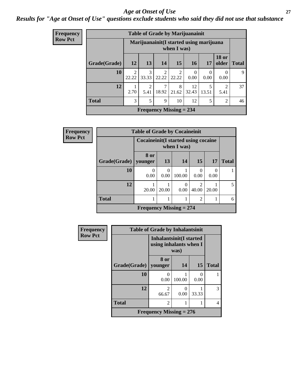### *Age at Onset of Use* **27**

### *Results for "Age at Onset of Use" questions exclude students who said they did not use that substance*

| Frequency      |              |            |                                                         |                         | <b>Table of Grade by Marijuanainit</b> |                  |                  |                        |              |  |  |
|----------------|--------------|------------|---------------------------------------------------------|-------------------------|----------------------------------------|------------------|------------------|------------------------|--------------|--|--|
| <b>Row Pct</b> |              |            | Marijuanainit (I started using marijuana<br>when I was) |                         |                                        |                  |                  |                        |              |  |  |
|                | Grade(Grade) | 12         | 13                                                      | <b>14</b>               | 15                                     | <b>16</b>        | 17               | <b>18 or</b><br>older  | <b>Total</b> |  |  |
|                | 10           | 2<br>22.22 | $\mathcal{R}$<br>33.33                                  | 2<br>22.22              | $\overline{2}$<br>22.22                | $\Omega$<br>0.00 | $\Omega$<br>0.00 | $\left($<br>0.00       | 9            |  |  |
|                | 12           | 2.70       | $\mathfrak{D}$<br>5.41                                  | $\overline{7}$<br>18.92 | 8<br>21.62                             | 12<br>32.43      | 5<br>13.51       | $\overline{2}$<br>5.41 | 37           |  |  |
|                | <b>Total</b> | 3          | 5                                                       | 9                       | 10                                     | 12               | 5                | $\overline{2}$         | 46           |  |  |
|                |              |            |                                                         |                         | Frequency Missing $= 234$              |                  |                  |                        |              |  |  |

| <b>Frequency</b> |                                                       | <b>Table of Grade by Cocaineinit</b> |                  |        |                                      |           |              |  |
|------------------|-------------------------------------------------------|--------------------------------------|------------------|--------|--------------------------------------|-----------|--------------|--|
| <b>Row Pct</b>   | Cocaine in it (I started using cocaine<br>when I was) |                                      |                  |        |                                      |           |              |  |
|                  | Grade(Grade)   younger                                | 8 or                                 | 13               | 14     | 15 <sup>1</sup>                      | <b>17</b> | <b>Total</b> |  |
|                  | 10                                                    | 0.00                                 | $\Omega$<br>0.00 | 100.00 | 0<br>0.00                            | 0.00      |              |  |
|                  | 12                                                    | 20.00                                | 20.00            | 0.00   | $\mathcal{D}_{\mathcal{L}}$<br>40.00 | 20.00     | 5            |  |
|                  | <b>Total</b>                                          |                                      |                  |        | $\overline{2}$                       |           | 6            |  |
|                  |                                                       | Frequency Missing $= 274$            |                  |        |                                      |           |              |  |

| Frequency      | <b>Table of Grade by Inhalantsinit</b> |                                                                  |           |           |              |  |  |  |  |  |  |
|----------------|----------------------------------------|------------------------------------------------------------------|-----------|-----------|--------------|--|--|--|--|--|--|
| <b>Row Pct</b> |                                        | <b>Inhalantsinit(I started</b><br>using inhalants when I<br>was) |           |           |              |  |  |  |  |  |  |
|                | Grade(Grade)                           | 8 or<br>younger                                                  | 14        | 15        | <b>Total</b> |  |  |  |  |  |  |
|                | 10                                     | 0<br>0.00                                                        | 100.00    | 0<br>0.00 |              |  |  |  |  |  |  |
|                | 12                                     | $\overline{c}$<br>66.67                                          | 0<br>0.00 | 33.33     | 3            |  |  |  |  |  |  |
|                | <b>Total</b>                           | 2                                                                |           |           | 4            |  |  |  |  |  |  |
|                | <b>Frequency Missing = 276</b>         |                                                                  |           |           |              |  |  |  |  |  |  |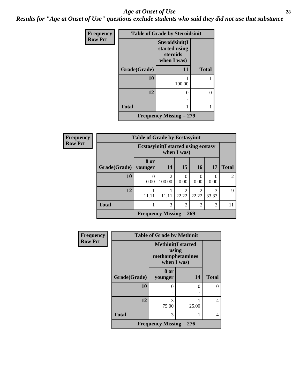#### *Age at Onset of Use* **28**

*Results for "Age at Onset of Use" questions exclude students who said they did not use that substance*

| <b>Frequency</b> | <b>Table of Grade by Steroidsinit</b> |                                                            |              |  |  |
|------------------|---------------------------------------|------------------------------------------------------------|--------------|--|--|
| <b>Row Pct</b>   |                                       | Steroidsinit(I<br>started using<br>steroids<br>when I was) |              |  |  |
|                  | Grade(Grade)                          | 11                                                         | <b>Total</b> |  |  |
|                  | 10                                    | 100.00                                                     |              |  |  |
|                  | 12                                    | ∩                                                          | 0            |  |  |
|                  | <b>Total</b>                          |                                                            | 1            |  |  |
|                  |                                       | <b>Frequency Missing = 279</b>                             |              |  |  |

| <b>Frequency</b> | <b>Table of Grade by Ecstasyinit</b> |                                                            |                                    |                |                         |                  |                |
|------------------|--------------------------------------|------------------------------------------------------------|------------------------------------|----------------|-------------------------|------------------|----------------|
| <b>Row Pct</b>   |                                      | <b>Ecstasyinit</b> (I started using ecstasy<br>when I was) |                                    |                |                         |                  |                |
|                  | Grade(Grade)                         | 8 or<br>younger                                            | 14                                 | <b>15</b>      | <b>16</b>               | 17               | <b>Total</b>   |
|                  | 10                                   | 0<br>0.00                                                  | $\overline{\mathcal{L}}$<br>100.00 | 0<br>0.00      | 0<br>0.00               | $\Omega$<br>0.00 | $\mathfrak{D}$ |
|                  | 12                                   | 11.11                                                      | 11.11                              | 2<br>22.22     | $\mathfrak{D}$<br>22.22 | 3<br>33.33       | 9              |
|                  | <b>Total</b>                         |                                                            | 3                                  | $\overline{2}$ | $\overline{2}$          | 3                | 11             |
|                  |                                      | Frequency Missing $= 269$                                  |                                    |                |                         |                  |                |

| <b>Frequency</b> | <b>Table of Grade by Methinit</b> |                                                                        |       |              |  |
|------------------|-----------------------------------|------------------------------------------------------------------------|-------|--------------|--|
| <b>Row Pct</b>   |                                   | <b>Methinit</b> (I started<br>using<br>methamphetamines<br>when I was) |       |              |  |
|                  | Grade(Grade)                      | 8 or<br>younger                                                        | 14    | <b>Total</b> |  |
|                  | 10                                | $\theta$                                                               | ∩     | $\Omega$     |  |
|                  | 12                                | 3<br>75.00                                                             | 25.00 | 4            |  |
|                  | <b>Total</b>                      | 3                                                                      |       | 4            |  |
|                  |                                   | Frequency Missing $= 276$                                              |       |              |  |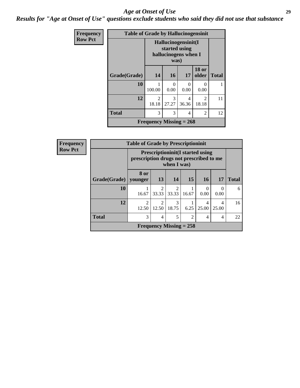#### *Age at Onset of Use* **29**

*Results for "Age at Onset of Use" questions exclude students who said they did not use that substance*

| <b>Frequency</b> | <b>Table of Grade by Hallucinogensinit</b> |                                                                      |            |                |                         |              |
|------------------|--------------------------------------------|----------------------------------------------------------------------|------------|----------------|-------------------------|--------------|
| <b>Row Pct</b>   |                                            | Hallucinogensinit(I<br>started using<br>hallucinogens when I<br>was) |            |                |                         |              |
|                  | Grade(Grade)                               | 14                                                                   | <b>16</b>  | 17             | <b>18 or</b><br>older   | <b>Total</b> |
|                  | 10                                         | 100.00                                                               | 0<br>0.00  | 0<br>0.00      | ∩<br>0.00               |              |
|                  | 12                                         | 2<br>18.18                                                           | 3<br>27.27 | 4<br>36.36     | $\mathfrak{D}$<br>18.18 | 11           |
|                  | <b>Total</b>                               | 3                                                                    | 3          | $\overline{4}$ | $\mathfrak{D}$          | 12           |
|                  |                                            | Frequency Missing $= 268$                                            |            |                |                         |              |

| <b>Frequency</b> |              | <b>Table of Grade by Prescriptioninit</b> |                                                                                                    |                           |                |            |            |              |
|------------------|--------------|-------------------------------------------|----------------------------------------------------------------------------------------------------|---------------------------|----------------|------------|------------|--------------|
| <b>Row Pct</b>   |              |                                           | <b>Prescriptioninit (I started using</b><br>prescription drugs not prescribed to me<br>when I was) |                           |                |            |            |              |
|                  | Grade(Grade) | 8 or<br>vounger                           | 13                                                                                                 | <b>14</b>                 | 15             | <b>16</b>  | <b>17</b>  | <b>Total</b> |
|                  | 10           | 16.67                                     | $\mathfrak{D}$<br>33.33                                                                            | $\mathfrak{D}$<br>33.33   | 16.67          | 0<br>0.00  | 0<br>0.00  | 6            |
|                  | 12           | $\mathfrak{D}$<br>12.50                   | $\mathfrak{D}$<br>12.50                                                                            | 3<br>18.75                | 6.25           | 4<br>25.00 | 4<br>25.00 | 16           |
|                  | <b>Total</b> | 3                                         | 4                                                                                                  | 5                         | $\overline{2}$ | 4          | 4          | 22           |
|                  |              |                                           |                                                                                                    | Frequency Missing $= 258$ |                |            |            |              |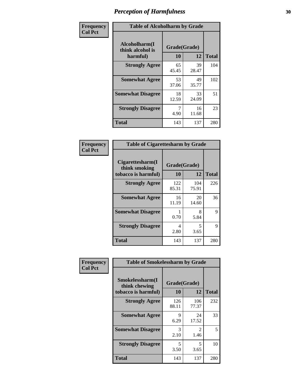| Frequency      | <b>Table of Alcoholharm by Grade</b>          |                    |             |              |
|----------------|-----------------------------------------------|--------------------|-------------|--------------|
| <b>Col Pct</b> | Alcoholharm(I<br>think alcohol is<br>harmful) | Grade(Grade)<br>10 | 12          | <b>Total</b> |
|                | <b>Strongly Agree</b>                         | 65<br>45.45        | 39<br>28.47 | 104          |
|                | <b>Somewhat Agree</b>                         | 53<br>37.06        | 49<br>35.77 | 102          |
|                | <b>Somewhat Disagree</b>                      | 18<br>12.59        | 33<br>24.09 | 51           |
|                | <b>Strongly Disagree</b>                      | 4.90               | 16<br>11.68 | 23           |
|                | <b>Total</b>                                  | 143                | 137         | 280          |

|                                                          | <b>Table of Cigarettesharm by Grade</b> |              |              |  |  |  |  |
|----------------------------------------------------------|-----------------------------------------|--------------|--------------|--|--|--|--|
| Cigarettesharm(I<br>think smoking<br>tobacco is harmful) | Grade(Grade)<br>10                      | 12           | <b>Total</b> |  |  |  |  |
| <b>Strongly Agree</b>                                    | 122<br>85.31                            | 104<br>75.91 | 226          |  |  |  |  |
| <b>Somewhat Agree</b>                                    | 16<br>11.19                             | 20<br>14.60  | 36           |  |  |  |  |
| <b>Somewhat Disagree</b>                                 | 1<br>0.70                               | 8<br>5.84    | 9            |  |  |  |  |
| <b>Strongly Disagree</b>                                 | 4<br>2.80                               | 5<br>3.65    | 9            |  |  |  |  |
| <b>Total</b>                                             | 143                                     | 137          | 280          |  |  |  |  |

| Frequency      | <b>Table of Smokelessharm by Grade</b>                  |                           |                       |              |  |  |
|----------------|---------------------------------------------------------|---------------------------|-----------------------|--------------|--|--|
| <b>Col Pct</b> | Smokelessharm(I<br>think chewing<br>tobacco is harmful) | Grade(Grade)<br><b>10</b> | 12                    | <b>Total</b> |  |  |
|                | <b>Strongly Agree</b>                                   | 126<br>88.11              | 106<br>77.37          | 232          |  |  |
|                | <b>Somewhat Agree</b>                                   | 9<br>6.29                 | 24<br>17.52           | 33           |  |  |
|                | <b>Somewhat Disagree</b>                                | 3<br>2.10                 | $\mathcal{L}$<br>1.46 | 5            |  |  |
|                | <b>Strongly Disagree</b>                                | 5<br>3.50                 | 5<br>3.65             | 10           |  |  |
|                | Total                                                   | 143                       | 137                   | 280          |  |  |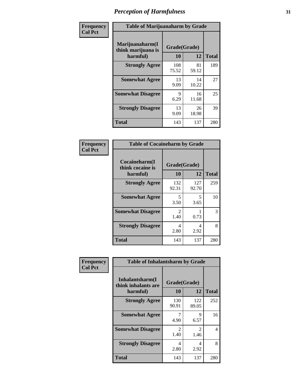| Frequency      | <b>Table of Marijuanaharm by Grade</b>            |                    |             |              |
|----------------|---------------------------------------------------|--------------------|-------------|--------------|
| <b>Col Pct</b> | Marijuanaharm(I<br>think marijuana is<br>harmful) | Grade(Grade)<br>10 | 12          | <b>Total</b> |
|                | <b>Strongly Agree</b>                             | 108<br>75.52       | 81<br>59.12 | 189          |
|                | <b>Somewhat Agree</b>                             | 13<br>9.09         | 14<br>10.22 | 27           |
|                | <b>Somewhat Disagree</b>                          | 9<br>6.29          | 16<br>11.68 | 25           |
|                | <b>Strongly Disagree</b>                          | 13<br>9.09         | 26<br>18.98 | 39           |
|                | <b>Total</b>                                      | 143                | 137         | 280          |

|                                               | <b>Table of Cocaineharm by Grade</b> |              |     |  |  |  |  |
|-----------------------------------------------|--------------------------------------|--------------|-----|--|--|--|--|
| Cocaineharm(I<br>think cocaine is<br>harmful) | Grade(Grade)<br>10                   | <b>Total</b> |     |  |  |  |  |
| <b>Strongly Agree</b>                         | 132<br>92.31                         | 127<br>92.70 | 259 |  |  |  |  |
| <b>Somewhat Agree</b>                         | 5<br>3.50                            | 5<br>3.65    | 10  |  |  |  |  |
| <b>Somewhat Disagree</b>                      | 2<br>1.40                            | 0.73         | 3   |  |  |  |  |
| <b>Strongly Disagree</b>                      | 4<br>2.80                            | 4<br>2.92    | 8   |  |  |  |  |
| <b>Total</b>                                  | 143                                  | 137          | 280 |  |  |  |  |

| Frequency      | <b>Table of Inhalantsharm by Grade</b>             |                        |                                     |              |  |  |
|----------------|----------------------------------------------------|------------------------|-------------------------------------|--------------|--|--|
| <b>Col Pct</b> | Inhalantsharm(I<br>think inhalants are<br>harmful) | Grade(Grade)<br>10     | 12                                  | <b>Total</b> |  |  |
|                | <b>Strongly Agree</b>                              | 130<br>90.91           | 122<br>89.05                        | 252          |  |  |
|                | <b>Somewhat Agree</b>                              | 4.90                   | 9<br>6.57                           | 16           |  |  |
|                | <b>Somewhat Disagree</b>                           | $\mathfrak{D}$<br>1.40 | $\mathcal{D}_{\mathcal{L}}$<br>1.46 | 4            |  |  |
|                | <b>Strongly Disagree</b>                           | 4<br>2.80              | 4<br>2.92                           | 8            |  |  |
|                | <b>Total</b>                                       | 143                    | 137                                 | 280          |  |  |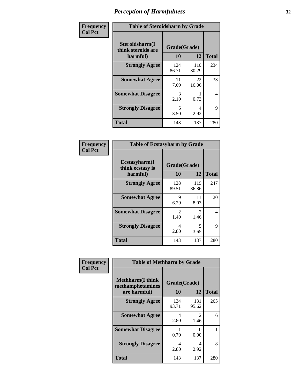| Frequency      | <b>Table of Steroidsharm by Grade</b>            |                    |              |              |
|----------------|--------------------------------------------------|--------------------|--------------|--------------|
| <b>Col Pct</b> | Steroidsharm(I<br>think steroids are<br>harmful) | Grade(Grade)<br>10 | 12           | <b>Total</b> |
|                | <b>Strongly Agree</b>                            | 124<br>86.71       | 110<br>80.29 | 234          |
|                | <b>Somewhat Agree</b>                            | 11<br>7.69         | 22<br>16.06  | 33           |
|                | <b>Somewhat Disagree</b>                         | 3<br>2.10          | 0.73         | 4            |
|                | <b>Strongly Disagree</b>                         | 5<br>3.50          | 4<br>2.92    | 9            |
|                | <b>Total</b>                                     | 143                | 137          | 280          |

| <b>Table of Ecstasyharm by Grade</b>                |                    |                        |     |  |  |  |  |
|-----------------------------------------------------|--------------------|------------------------|-----|--|--|--|--|
| $E$ cstasyharm $(I$<br>think ecstasy is<br>harmful) | Grade(Grade)<br>10 | <b>Total</b>           |     |  |  |  |  |
| <b>Strongly Agree</b>                               | 128<br>89.51       | 119<br>86.86           | 247 |  |  |  |  |
| <b>Somewhat Agree</b>                               | 9<br>6.29          | 11<br>8.03             | 20  |  |  |  |  |
| <b>Somewhat Disagree</b>                            | 2<br>1.40          | $\mathfrak{D}$<br>1.46 | 4   |  |  |  |  |
| <b>Strongly Disagree</b>                            | 4<br>2.80          | 5<br>3.65              | 9   |  |  |  |  |
| Total                                               | 143                | 137                    | 280 |  |  |  |  |

| Frequency      | <b>Table of Methharm by Grade</b>                            |                    |                       |              |  |
|----------------|--------------------------------------------------------------|--------------------|-----------------------|--------------|--|
| <b>Col Pct</b> | <b>Methharm</b> (I think<br>methamphetamines<br>are harmful) | Grade(Grade)<br>10 | 12                    | <b>Total</b> |  |
|                | <b>Strongly Agree</b>                                        | 134<br>93.71       | 131<br>95.62          | 265          |  |
|                | <b>Somewhat Agree</b>                                        | 4<br>2.80          | $\mathcal{L}$<br>1.46 | 6            |  |
|                | <b>Somewhat Disagree</b>                                     | 0.70               | 0<br>0.00             |              |  |
|                | <b>Strongly Disagree</b>                                     | 4<br>2.80          | 4<br>2.92             | 8            |  |
|                | <b>Total</b>                                                 | 143                | 137                   | 280          |  |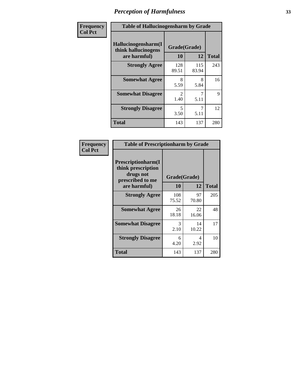| Frequency      | <b>Table of Hallucinogensharm by Grade</b>                 |                    |              |              |  |
|----------------|------------------------------------------------------------|--------------------|--------------|--------------|--|
| <b>Col Pct</b> | Hallucinogensharm(I<br>think hallucinogens<br>are harmful) | Grade(Grade)<br>10 | 12           | <b>Total</b> |  |
|                | <b>Strongly Agree</b>                                      | 128<br>89.51       | 115<br>83.94 | 243          |  |
|                | <b>Somewhat Agree</b>                                      | 8<br>5.59          | 8<br>5.84    | 16           |  |
|                | <b>Somewhat Disagree</b>                                   | 2<br>1.40          | 5.11         | 9            |  |
|                | <b>Strongly Disagree</b>                                   | 5<br>3.50          | 7<br>5.11    | 12           |  |
|                | <b>Total</b>                                               | 143                | 137          | 280          |  |

| <b>Table of Prescriptionharm by Grade</b>                                                         |                    |             |              |  |  |
|---------------------------------------------------------------------------------------------------|--------------------|-------------|--------------|--|--|
| <b>Prescriptionharm</b> (I<br>think prescription<br>drugs not<br>prescribed to me<br>are harmful) | Grade(Grade)<br>10 | 12          | <b>Total</b> |  |  |
| <b>Strongly Agree</b>                                                                             | 108<br>75.52       | 97<br>70.80 | 205          |  |  |
| <b>Somewhat Agree</b>                                                                             | 26<br>18.18        | 22<br>16.06 | 48           |  |  |
| <b>Somewhat Disagree</b>                                                                          | 3<br>2.10          | 14<br>10.22 | 17           |  |  |
| <b>Strongly Disagree</b>                                                                          | 6<br>4.20          | 4<br>2.92   | 10           |  |  |
| <b>Total</b>                                                                                      | 143                | 137         | 280          |  |  |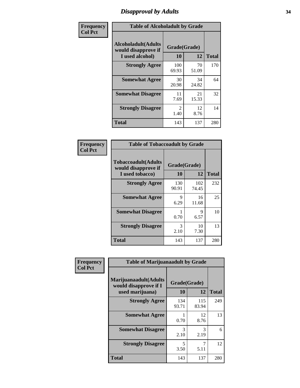# *Disapproval by Adults* **34**

| Frequency      | <b>Table of Alcoholadult by Grade</b>                                 |                        |             |              |  |
|----------------|-----------------------------------------------------------------------|------------------------|-------------|--------------|--|
| <b>Col Pct</b> | <b>Alcoholadult</b> (Adults<br>would disapprove if<br>I used alcohol) | Grade(Grade)<br>10     | 12          | <b>Total</b> |  |
|                | <b>Strongly Agree</b>                                                 | 100<br>69.93           | 70<br>51.09 | 170          |  |
|                | <b>Somewhat Agree</b>                                                 | 30<br>20.98            | 34<br>24.82 | 64           |  |
|                | <b>Somewhat Disagree</b>                                              | 11<br>7.69             | 21<br>15.33 | 32           |  |
|                | <b>Strongly Disagree</b>                                              | $\mathfrak{D}$<br>1.40 | 12<br>8.76  | 14           |  |
|                | <b>Total</b>                                                          | 143                    | 137         | 280          |  |

| <b>Table of Tobaccoadult by Grade</b>                                                             |              |              |     |  |  |  |
|---------------------------------------------------------------------------------------------------|--------------|--------------|-----|--|--|--|
| <b>Tobaccoadult</b> (Adults<br>Grade(Grade)<br>would disapprove if<br>10<br>12<br>I used tobacco) |              |              |     |  |  |  |
| <b>Strongly Agree</b>                                                                             | 130<br>90.91 | 102<br>74.45 | 232 |  |  |  |
| <b>Somewhat Agree</b>                                                                             | 9<br>6.29    | 16<br>11.68  | 25  |  |  |  |
| <b>Somewhat Disagree</b>                                                                          | 0.70         | 9<br>6.57    | 10  |  |  |  |
| <b>Strongly Disagree</b>                                                                          | 3<br>2.10    | 10<br>7.30   | 13  |  |  |  |
| <b>Total</b>                                                                                      | 143          | 137          | 280 |  |  |  |

| Frequency      | <b>Table of Marijuanaadult by Grade</b>                           |                    |              |              |  |
|----------------|-------------------------------------------------------------------|--------------------|--------------|--------------|--|
| <b>Col Pct</b> | Marijuanaadult(Adults<br>would disapprove if I<br>used marijuana) | Grade(Grade)<br>10 | 12           | <b>Total</b> |  |
|                | <b>Strongly Agree</b>                                             | 134<br>93.71       | 115<br>83.94 | 249          |  |
|                | <b>Somewhat Agree</b>                                             | 0.70               | 12<br>8.76   | 13           |  |
|                | <b>Somewhat Disagree</b>                                          | 3<br>2.10          | 3<br>2.19    | 6            |  |
|                | <b>Strongly Disagree</b>                                          | 5<br>3.50          | 7<br>5.11    | 12           |  |
|                | <b>Total</b>                                                      | 143                | 137          | 280          |  |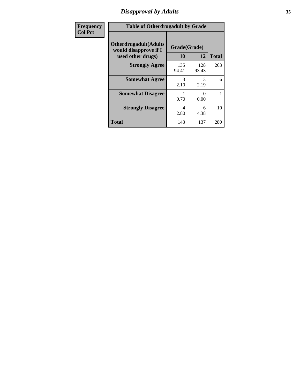# *Disapproval by Adults* **35**

| <b>Frequency</b> | <b>Table of Otherdrugadult by Grade</b>                                     |                    |              |              |  |
|------------------|-----------------------------------------------------------------------------|--------------------|--------------|--------------|--|
| <b>Col Pct</b>   | <b>Otherdrugadult</b> (Adults<br>would disapprove if I<br>used other drugs) | Grade(Grade)<br>10 | 12           | <b>Total</b> |  |
|                  | <b>Strongly Agree</b>                                                       | 135<br>94.41       | 128<br>93.43 | 263          |  |
|                  | <b>Somewhat Agree</b>                                                       | 3<br>2.10          | 3<br>2.19    | 6            |  |
|                  | <b>Somewhat Disagree</b>                                                    | 0.70               | 0<br>0.00    |              |  |
|                  | <b>Strongly Disagree</b>                                                    | 4<br>2.80          | 6<br>4.38    | 10           |  |
|                  | <b>Total</b>                                                                | 143                | 137          | 280          |  |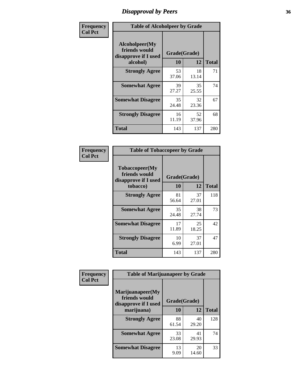# *Disapproval by Peers* **36**

| Frequency      | <b>Table of Alcoholpeer by Grade</b>                    |              |             |              |
|----------------|---------------------------------------------------------|--------------|-------------|--------------|
| <b>Col Pct</b> | Alcoholpeer(My<br>friends would<br>disapprove if I used | Grade(Grade) |             |              |
|                | alcohol)                                                | 10           | 12          | <b>Total</b> |
|                | <b>Strongly Agree</b>                                   | 53<br>37.06  | 18<br>13.14 | 71           |
|                | <b>Somewhat Agree</b>                                   | 39<br>27.27  | 35<br>25.55 | 74           |
|                | <b>Somewhat Disagree</b>                                | 35<br>24.48  | 32<br>23.36 | 67           |
|                | <b>Strongly Disagree</b>                                | 16<br>11.19  | 52<br>37.96 | 68           |
|                | Total                                                   | 143          | 137         | 280          |

| Frequency      | <b>Table of Tobaccopeer by Grade</b>                    |              |             |              |  |
|----------------|---------------------------------------------------------|--------------|-------------|--------------|--|
| <b>Col Pct</b> | Tobaccopeer(My<br>friends would<br>disapprove if I used | Grade(Grade) |             |              |  |
|                | tobacco)                                                | 10           | 12          | <b>Total</b> |  |
|                | <b>Strongly Agree</b>                                   | 81<br>56.64  | 37<br>27.01 | 118          |  |
|                | <b>Somewhat Agree</b>                                   | 35<br>24.48  | 38<br>27.74 | 73           |  |
|                | <b>Somewhat Disagree</b>                                | 17<br>11.89  | 25<br>18.25 | 42           |  |
|                | <b>Strongly Disagree</b>                                | 10<br>6.99   | 37<br>27.01 | 47           |  |
|                | Total                                                   | 143          | 137         | 280          |  |

| Frequency      | <b>Table of Marijuanapeer by Grade</b>                    |              |             |              |  |
|----------------|-----------------------------------------------------------|--------------|-------------|--------------|--|
| <b>Col Pct</b> | Marijuanapeer(My<br>friends would<br>disapprove if I used | Grade(Grade) |             |              |  |
|                | marijuana)                                                | 10           | 12          | <b>Total</b> |  |
|                | <b>Strongly Agree</b>                                     | 88<br>61.54  | 40<br>29.20 | 128          |  |
|                | <b>Somewhat Agree</b>                                     | 33<br>23.08  | 41<br>29.93 | 74           |  |
|                | <b>Somewhat Disagree</b>                                  | 13<br>9.09   | 20<br>14.60 | 33           |  |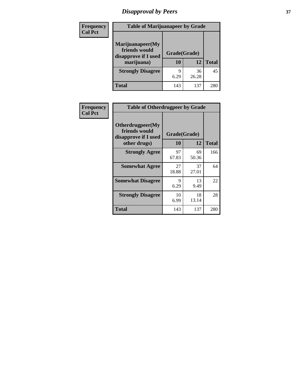# *Disapproval by Peers* **37**

| Frequency<br><b>Col Pct</b> | <b>Table of Marijuanapeer by Grade</b>                                  |                          |             |              |  |
|-----------------------------|-------------------------------------------------------------------------|--------------------------|-------------|--------------|--|
|                             | Marijuanapeer(My<br>friends would<br>disapprove if I used<br>marijuana) | Grade(Grade)<br>10<br>12 |             | <b>Total</b> |  |
|                             | <b>Strongly Disagree</b>                                                | q<br>6.29                | 36<br>26.28 | 45           |  |
|                             | Total                                                                   | 143                      | 137         | 280          |  |

| <b>Frequency</b> | <b>Table of Otherdrugpeer by Grade</b>                                    |             |                    |              |
|------------------|---------------------------------------------------------------------------|-------------|--------------------|--------------|
| <b>Col Pct</b>   | Otherdrugpeer(My<br>friends would<br>disapprove if I used<br>other drugs) | <b>10</b>   | Grade(Grade)<br>12 | <b>Total</b> |
|                  | <b>Strongly Agree</b>                                                     | 97<br>67.83 | 69<br>50.36        | 166          |
|                  | <b>Somewhat Agree</b>                                                     | 27<br>18.88 | 37<br>27.01        | 64           |
|                  | <b>Somewhat Disagree</b>                                                  | 9<br>6.29   | 13<br>9.49         | 22           |
|                  | <b>Strongly Disagree</b>                                                  | 10<br>6.99  | 18<br>13.14        | 28           |
|                  | Total                                                                     | 143         | 137                | 280          |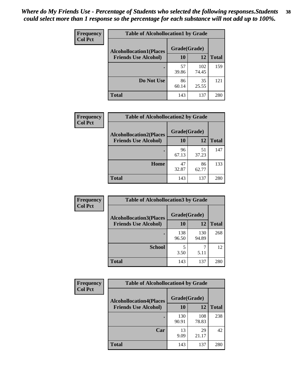| Frequency      | <b>Table of Alcohollocation1 by Grade</b>      |             |              |              |  |
|----------------|------------------------------------------------|-------------|--------------|--------------|--|
| <b>Col Pct</b> | Grade(Grade)<br><b>Alcohollocation1(Places</b> |             |              |              |  |
|                | <b>Friends Use Alcohol)</b>                    | 10          | 12           | <b>Total</b> |  |
|                |                                                | 57<br>39.86 | 102<br>74.45 | 159          |  |
|                | Do Not Use                                     | 86<br>60.14 | 35<br>25.55  | 121          |  |
|                | <b>Total</b>                                   | 143         | 137          | 280          |  |

| Frequency      | <b>Table of Alcohollocation2 by Grade</b>                     |                    |             |              |
|----------------|---------------------------------------------------------------|--------------------|-------------|--------------|
| <b>Col Pct</b> | <b>Alcohollocation2(Places</b><br><b>Friends Use Alcohol)</b> | Grade(Grade)<br>10 | <b>12</b>   | <b>Total</b> |
|                |                                                               | 96<br>67.13        | 51<br>37.23 | 147          |
|                | Home                                                          | 47<br>32.87        | 86<br>62.77 | 133          |
|                | <b>Total</b>                                                  | 143                | 137         | 280          |

| Frequency<br><b>Col Pct</b> | <b>Table of Alcohollocation 3 by Grade</b>                    |                    |              |              |
|-----------------------------|---------------------------------------------------------------|--------------------|--------------|--------------|
|                             | <b>Alcohollocation3(Places</b><br><b>Friends Use Alcohol)</b> | Grade(Grade)<br>10 | 12           | <b>Total</b> |
|                             |                                                               | 138<br>96.50       | 130<br>94.89 | 268          |
|                             | <b>School</b>                                                 | 5<br>3.50          | 5.11         | 12           |
|                             | <b>Total</b>                                                  | 143                | 137          | 280          |

| <b>Frequency</b> | <b>Table of Alcohollocation4 by Grade</b> |              |              |              |  |
|------------------|-------------------------------------------|--------------|--------------|--------------|--|
| <b>Col Pct</b>   | <b>Alcohollocation4(Places</b>            | Grade(Grade) |              |              |  |
|                  | <b>Friends Use Alcohol)</b>               | 10           | 12           | <b>Total</b> |  |
|                  |                                           | 130<br>90.91 | 108<br>78.83 | 238          |  |
|                  | Car                                       | 13<br>9.09   | 29<br>21.17  | 42           |  |
|                  | <b>Total</b>                              | 143          | 137          | 280          |  |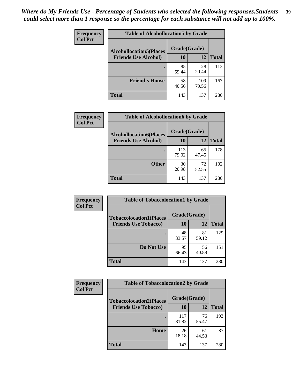| Frequency<br><b>Col Pct</b> | <b>Table of Alcohollocation5 by Grade</b> |              |              |              |  |
|-----------------------------|-------------------------------------------|--------------|--------------|--------------|--|
|                             | <b>Alcohollocation5(Places</b>            | Grade(Grade) |              |              |  |
|                             | <b>Friends Use Alcohol)</b>               | 10           | 12           | <b>Total</b> |  |
|                             |                                           | 85<br>59.44  | 28<br>20.44  | 113          |  |
|                             | <b>Friend's House</b>                     | 58<br>40.56  | 109<br>79.56 | 167          |  |
|                             | <b>Total</b>                              | 143          | 137          | 280          |  |

| <b>Frequency</b> | <b>Table of Alcohollocation6 by Grade</b>                     |                           |             |              |
|------------------|---------------------------------------------------------------|---------------------------|-------------|--------------|
| <b>Col Pct</b>   | <b>Alcohollocation6(Places</b><br><b>Friends Use Alcohol)</b> | Grade(Grade)<br><b>10</b> | 12          | <b>Total</b> |
|                  |                                                               | 113<br>79.02              | 65<br>47.45 | 178          |
|                  | <b>Other</b>                                                  | 30<br>20.98               | 72<br>52.55 | 102          |
|                  | <b>Total</b>                                                  | 143                       | 137         | 280          |

| <b>Frequency</b> | <b>Table of Tobaccolocation1 by Grade</b> |              |             |              |
|------------------|-------------------------------------------|--------------|-------------|--------------|
| <b>Col Pct</b>   | <b>Tobaccolocation1(Places</b>            | Grade(Grade) |             |              |
|                  | <b>Friends Use Tobacco)</b>               | 10           | 12          | <b>Total</b> |
|                  |                                           | 48<br>33.57  | 81<br>59.12 | 129          |
|                  | Do Not Use                                | 95<br>66.43  | 56<br>40.88 | 151          |
|                  | <b>Total</b>                              | 143          | 137         | 280          |

| <b>Frequency</b> | <b>Table of Tobaccolocation2 by Grade</b> |              |             |              |  |
|------------------|-------------------------------------------|--------------|-------------|--------------|--|
| <b>Col Pct</b>   | <b>Tobaccolocation2(Places</b>            | Grade(Grade) |             |              |  |
|                  | <b>Friends Use Tobacco)</b>               | 10           | 12          | <b>Total</b> |  |
|                  |                                           | 117<br>81.82 | 76<br>55.47 | 193          |  |
|                  | Home                                      | 26<br>18.18  | 61<br>44.53 | 87           |  |
|                  | <b>Total</b>                              | 143          | 137         | 280          |  |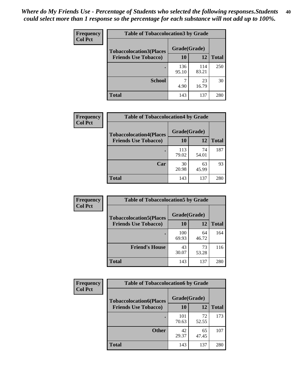| Frequency<br><b>Col Pct</b> | <b>Table of Tobaccolocation 3 by Grade</b> |              |              |              |
|-----------------------------|--------------------------------------------|--------------|--------------|--------------|
|                             | <b>Tobaccolocation3(Places</b>             | Grade(Grade) |              |              |
|                             | <b>Friends Use Tobacco)</b>                | 10           | 12           | <b>Total</b> |
|                             |                                            | 136<br>95.10 | 114<br>83.21 | 250          |
|                             | <b>School</b>                              | ┑<br>4.90    | 23<br>16.79  | 30           |
|                             | <b>Total</b>                               | 143          | 137          | 280          |

| Frequency      | <b>Table of Tobaccolocation4 by Grade</b>                     |                    |             |              |
|----------------|---------------------------------------------------------------|--------------------|-------------|--------------|
| <b>Col Pct</b> | <b>Tobaccolocation4(Places</b><br><b>Friends Use Tobacco)</b> | Grade(Grade)<br>10 | 12          | <b>Total</b> |
|                |                                                               | 113<br>79.02       | 74<br>54.01 | 187          |
|                | Car                                                           | 30<br>20.98        | 63<br>45.99 | 93           |
|                | <b>Total</b>                                                  | 143                | 137         | 280          |

| <b>Frequency</b> | <b>Table of Tobaccolocation5 by Grade</b> |              |             |              |
|------------------|-------------------------------------------|--------------|-------------|--------------|
| <b>Col Pct</b>   | <b>Tobaccolocation5(Places</b>            | Grade(Grade) |             |              |
|                  | <b>Friends Use Tobacco)</b>               | 10           | 12          | <b>Total</b> |
|                  |                                           | 100<br>69.93 | 64<br>46.72 | 164          |
|                  | <b>Friend's House</b>                     | 43<br>30.07  | 73<br>53.28 | 116          |
|                  | <b>Total</b>                              | 143          | 137         | 280          |

| <b>Frequency</b> | <b>Table of Tobaccolocation6 by Grade</b> |              |             |              |  |
|------------------|-------------------------------------------|--------------|-------------|--------------|--|
| <b>Col Pct</b>   | <b>Tobaccolocation6(Places</b>            | Grade(Grade) |             |              |  |
|                  | <b>Friends Use Tobacco)</b>               | 10           | 12          | <b>Total</b> |  |
|                  |                                           | 101<br>70.63 | 72<br>52.55 | 173          |  |
|                  | <b>Other</b>                              | 42<br>29.37  | 65<br>47.45 | 107          |  |
|                  | <b>Total</b>                              | 143          | 137         | 280          |  |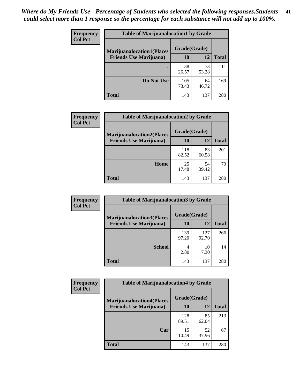| Frequency      | <b>Table of Marijuanalocation1 by Grade</b> |              |             |              |
|----------------|---------------------------------------------|--------------|-------------|--------------|
| <b>Col Pct</b> | <b>Marijuanalocation1(Places</b>            | Grade(Grade) |             |              |
|                | <b>Friends Use Marijuana</b> )              | 10           | 12          | <b>Total</b> |
|                |                                             | 38<br>26.57  | 73<br>53.28 | 111          |
|                | Do Not Use                                  | 105<br>73.43 | 64<br>46.72 | 169          |
|                | <b>Total</b>                                | 143          | 137         | 280          |

| <b>Frequency</b> | <b>Table of Marijuanalocation2 by Grade</b>                        |                    |             |              |
|------------------|--------------------------------------------------------------------|--------------------|-------------|--------------|
| <b>Col Pct</b>   | <b>Marijuanalocation2(Places</b><br><b>Friends Use Marijuana</b> ) | Grade(Grade)<br>10 | 12          | <b>Total</b> |
|                  |                                                                    | 118<br>82.52       | 83<br>60.58 | 201          |
|                  | Home                                                               | 25<br>17.48        | 54<br>39.42 | 79           |
|                  | <b>Total</b>                                                       | 143                | 137         | 280          |

| Frequency<br><b>Col Pct</b> | <b>Table of Marijuanalocation3 by Grade</b> |              |              |              |
|-----------------------------|---------------------------------------------|--------------|--------------|--------------|
|                             | <b>Marijuanalocation3</b> (Places           | Grade(Grade) |              |              |
|                             | <b>Friends Use Marijuana</b> )              | 10           | 12           | <b>Total</b> |
|                             |                                             | 139<br>97.20 | 127<br>92.70 | 266          |
|                             | <b>School</b>                               | 4<br>2.80    | 10<br>7.30   | 14           |
|                             | <b>Total</b>                                | 143          | 137          | 280          |

| <b>Frequency</b> | <b>Table of Marijuanalocation4 by Grade</b> |              |             |              |  |
|------------------|---------------------------------------------|--------------|-------------|--------------|--|
| <b>Col Pct</b>   | <b>Marijuanalocation4(Places</b>            | Grade(Grade) |             |              |  |
|                  | <b>Friends Use Marijuana</b> )              | <b>10</b>    | 12          | <b>Total</b> |  |
|                  |                                             | 128<br>89.51 | 85<br>62.04 | 213          |  |
|                  | Car                                         | 15<br>10.49  | 52<br>37.96 | 67           |  |
|                  | <b>Total</b>                                | 143          | 137         | 280          |  |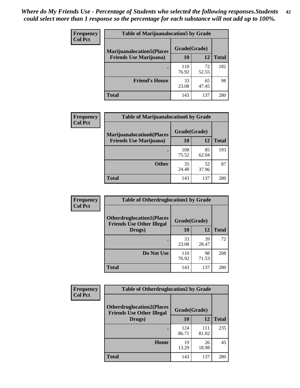| <b>Frequency</b> | <b>Table of Marijuanalocation5 by Grade</b>                         |              |             |              |
|------------------|---------------------------------------------------------------------|--------------|-------------|--------------|
| <b>Col Pct</b>   | <b>Marijuanalocation5(Places)</b><br><b>Friends Use Marijuana</b> ) | Grade(Grade) |             |              |
|                  |                                                                     | 10           | 12          | <b>Total</b> |
|                  |                                                                     | 110<br>76.92 | 72<br>52.55 | 182          |
|                  | <b>Friend's House</b>                                               | 33<br>23.08  | 65<br>47.45 | 98           |
|                  | <b>Total</b>                                                        | 143          | 137         | 280          |

| <b>Frequency</b> | <b>Table of Marijuanalocation6 by Grade</b>                        |                    |             |              |
|------------------|--------------------------------------------------------------------|--------------------|-------------|--------------|
| <b>Col Pct</b>   | <b>Marijuanalocation6(Places</b><br><b>Friends Use Marijuana</b> ) | Grade(Grade)<br>10 | 12          | <b>Total</b> |
|                  |                                                                    | 108<br>75.52       | 85<br>62.04 | 193          |
|                  | <b>Other</b>                                                       | 35<br>24.48        | 52<br>37.96 | 87           |
|                  | <b>Total</b>                                                       | 143                | 137         | 280          |

| <b>Frequency</b> | <b>Table of Otherdruglocation1 by Grade</b>                          |              |             |              |
|------------------|----------------------------------------------------------------------|--------------|-------------|--------------|
| <b>Col Pct</b>   | <b>Otherdruglocation1(Places</b><br><b>Friends Use Other Illegal</b> | Grade(Grade) |             |              |
|                  | Drugs)                                                               | 10           | 12          | <b>Total</b> |
|                  |                                                                      | 33<br>23.08  | 39<br>28.47 | 72           |
|                  | Do Not Use                                                           | 110<br>76.92 | 98<br>71.53 | 208          |
|                  | <b>Total</b>                                                         | 143          | 137         | 280          |

| <b>Frequency</b> | <b>Table of Otherdruglocation2 by Grade</b>                          |              |              |              |  |
|------------------|----------------------------------------------------------------------|--------------|--------------|--------------|--|
| <b>Col Pct</b>   | <b>Otherdruglocation2(Places</b><br><b>Friends Use Other Illegal</b> | Grade(Grade) |              |              |  |
|                  | Drugs)                                                               | 10           | 12           | <b>Total</b> |  |
|                  |                                                                      | 124<br>86.71 | 111<br>81.02 | 235          |  |
|                  | Home                                                                 | 19<br>13.29  | 26<br>18.98  | 45           |  |
|                  | <b>Total</b>                                                         | 143          | 137          | 280          |  |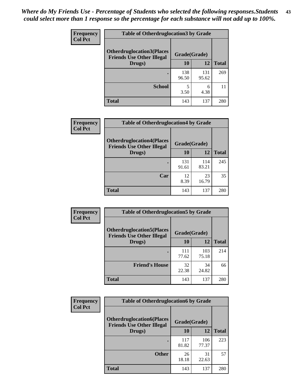| <b>Frequency</b> | <b>Table of Otherdruglocation 3 by Grade</b>                         |              |              |              |
|------------------|----------------------------------------------------------------------|--------------|--------------|--------------|
| <b>Col Pct</b>   | <b>Otherdruglocation3(Places</b><br><b>Friends Use Other Illegal</b> | Grade(Grade) |              |              |
|                  | Drugs)                                                               | 10           | 12           | <b>Total</b> |
|                  |                                                                      | 138<br>96.50 | 131<br>95.62 | 269          |
|                  | <b>School</b>                                                        | 3.50         | 6<br>4.38    |              |
|                  | <b>Total</b>                                                         | 143          | 137          | 280          |

| Frequency      | <b>Table of Otherdruglocation4 by Grade</b>                          |              |              |              |
|----------------|----------------------------------------------------------------------|--------------|--------------|--------------|
| <b>Col Pct</b> | <b>Otherdruglocation4(Places</b><br><b>Friends Use Other Illegal</b> | Grade(Grade) |              |              |
|                | Drugs)                                                               | 10           | 12           | <b>Total</b> |
|                |                                                                      | 131<br>91.61 | 114<br>83.21 | 245          |
|                | Car                                                                  | 12<br>8.39   | 23<br>16.79  | 35           |
|                | <b>Total</b>                                                         | 143          | 137          | 280          |

| <b>Frequency</b> | <b>Table of Otherdruglocation5 by Grade</b>                          |              |              |              |
|------------------|----------------------------------------------------------------------|--------------|--------------|--------------|
| <b>Col Pct</b>   | <b>Otherdruglocation5(Places</b><br><b>Friends Use Other Illegal</b> |              | Grade(Grade) |              |
|                  | Drugs)                                                               | <b>10</b>    | 12           | <b>Total</b> |
|                  |                                                                      | 111<br>77.62 | 103<br>75.18 | 214          |
|                  | <b>Friend's House</b>                                                | 32<br>22.38  | 34<br>24.82  | 66           |
|                  | <b>Total</b>                                                         | 143          | 137          | 280          |

| <b>Frequency</b> | <b>Table of Otherdruglocation6 by Grade</b>                           |              |              |              |
|------------------|-----------------------------------------------------------------------|--------------|--------------|--------------|
| <b>Col Pct</b>   | <b>Otherdruglocation6(Places)</b><br><b>Friends Use Other Illegal</b> | Grade(Grade) |              |              |
|                  | Drugs)                                                                | 10           | 12           | <b>Total</b> |
|                  |                                                                       | 117<br>81.82 | 106<br>77.37 | 223          |
|                  | <b>Other</b>                                                          | 26<br>18.18  | 31<br>22.63  | 57           |
|                  | <b>Total</b>                                                          | 143          | 137          | 280          |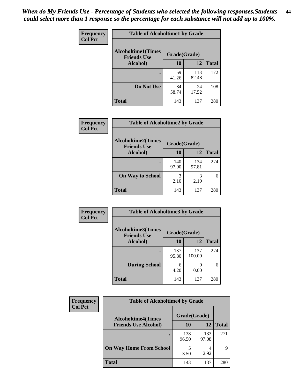| Frequency      | <b>Table of Alcoholtime1 by Grade</b> |              |              |              |
|----------------|---------------------------------------|--------------|--------------|--------------|
| <b>Col Pct</b> | <b>Alcoholtime1(Times</b>             | Grade(Grade) |              |              |
|                | <b>Friends Use</b><br>Alcohol)        | 10           | 12           | <b>Total</b> |
|                |                                       | 59<br>41.26  | 113<br>82.48 | 172          |
|                | Do Not Use                            | 84<br>58.74  | 24<br>17.52  | 108          |
|                | <b>Total</b>                          | 143          | 137          | 280          |

| Frequency      | <b>Table of Alcoholtime2 by Grade</b>           |              |              |              |
|----------------|-------------------------------------------------|--------------|--------------|--------------|
| <b>Col Pct</b> | <b>Alcoholtime2(Times</b><br><b>Friends Use</b> | Grade(Grade) |              |              |
|                | Alcohol)                                        | 10           | 12           | <b>Total</b> |
|                |                                                 | 140<br>97.90 | 134<br>97.81 | 274          |
|                | <b>On Way to School</b>                         | 3<br>2.10    | 3<br>2.19    | 6            |
|                | <b>Total</b>                                    | 143          | 137          | 280          |

| Frequency<br><b>Col Pct</b> | <b>Table of Alcoholtime3 by Grade</b>           |              |               |              |  |
|-----------------------------|-------------------------------------------------|--------------|---------------|--------------|--|
|                             | <b>Alcoholtime3(Times</b><br><b>Friends Use</b> | Grade(Grade) |               |              |  |
|                             | Alcohol)                                        | 10           | 12            | <b>Total</b> |  |
|                             |                                                 | 137<br>95.80 | 137<br>100.00 | 274          |  |
|                             | <b>During School</b>                            | 6<br>4.20    | 0.00          | 6            |  |
|                             | <b>Total</b>                                    | 143          | 137           | 280          |  |

| <b>Frequency</b> | <b>Table of Alcoholtime4 by Grade</b> |              |              |              |  |
|------------------|---------------------------------------|--------------|--------------|--------------|--|
| <b>Col Pct</b>   | <b>Alcoholtime4(Times</b>             | Grade(Grade) |              |              |  |
|                  | <b>Friends Use Alcohol)</b>           | 10           | 12           | <b>Total</b> |  |
|                  | ٠                                     | 138<br>96.50 | 133<br>97.08 | 271          |  |
|                  | <b>On Way Home From School</b>        | 5<br>3.50    | 2.92         | 9            |  |
|                  | <b>Total</b>                          | 143          | 137          | 280          |  |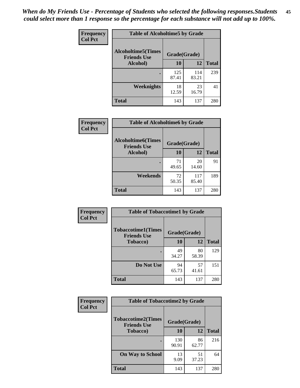*When do My Friends Use - Percentage of Students who selected the following responses.Students could select more than 1 response so the percentage for each substance will not add up to 100%.* **45**

| Frequency      | <b>Table of Alcoholtime5 by Grade</b> |              |              |              |
|----------------|---------------------------------------|--------------|--------------|--------------|
| <b>Col Pct</b> | <b>Alcoholtime5(Times</b>             | Grade(Grade) |              |              |
|                | <b>Friends Use</b><br>Alcohol)        | 10           | 12           | <b>Total</b> |
|                |                                       | 125<br>87.41 | 114<br>83.21 | 239          |
|                | Weeknights                            | 18<br>12.59  | 23<br>16.79  | 41           |
|                | <b>Total</b>                          | 143          | 137          | 280          |

| Frequency      | <b>Table of Alcoholtime6 by Grade</b>           |              |              |              |
|----------------|-------------------------------------------------|--------------|--------------|--------------|
| <b>Col Pct</b> | <b>Alcoholtime6(Times</b><br><b>Friends Use</b> | Grade(Grade) |              |              |
|                | Alcohol)                                        | 10           | 12           | <b>Total</b> |
|                |                                                 | 71<br>49.65  | 20<br>14.60  | 91           |
|                | Weekends                                        | 72<br>50.35  | 117<br>85.40 | 189          |
|                | <b>Total</b>                                    | 143          | 137          | 280          |

| <b>Frequency</b> | <b>Table of Tobaccotime1 by Grade</b>           |              |             |              |
|------------------|-------------------------------------------------|--------------|-------------|--------------|
| <b>Col Pct</b>   | <b>Tobaccotime1(Times</b><br><b>Friends Use</b> | Grade(Grade) |             |              |
|                  | <b>Tobacco</b> )                                | 10           | 12          | <b>Total</b> |
|                  |                                                 | 49<br>34.27  | 80<br>58.39 | 129          |
|                  | Do Not Use                                      | 94<br>65.73  | 57<br>41.61 | 151          |
|                  | <b>Total</b>                                    | 143          | 137         | 280          |

| <b>Frequency</b> | <b>Table of Tobaccotime2 by Grade</b>           |              |             |              |
|------------------|-------------------------------------------------|--------------|-------------|--------------|
| <b>Col Pct</b>   | <b>Tobaccotime2(Times</b><br><b>Friends Use</b> | Grade(Grade) |             |              |
|                  | <b>Tobacco</b> )                                | 10           | 12          | <b>Total</b> |
|                  |                                                 | 130<br>90.91 | 86<br>62.77 | 216          |
|                  | <b>On Way to School</b>                         | 13<br>9.09   | 51<br>37.23 | 64           |
|                  | <b>Total</b>                                    | 143          | 137         | 280          |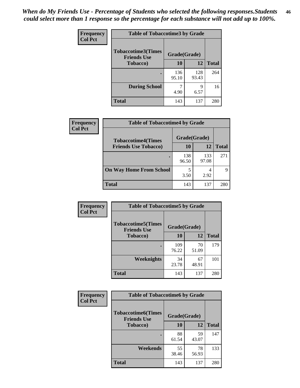| <b>Frequency</b> | <b>Table of Tobaccotime3 by Grade</b>           |              |              |              |  |
|------------------|-------------------------------------------------|--------------|--------------|--------------|--|
| <b>Col Pct</b>   | <b>Tobaccotime3(Times</b><br><b>Friends Use</b> | Grade(Grade) |              |              |  |
|                  | <b>Tobacco</b> )                                | 10           | 12           | <b>Total</b> |  |
|                  |                                                 | 136<br>95.10 | 128<br>93.43 | 264          |  |
|                  | <b>During School</b>                            | 4.90         | 9<br>6.57    | 16           |  |
|                  | <b>Total</b>                                    | 143          | 137          | 280          |  |

| Frequency<br><b>Col Pct</b> | <b>Table of Tobaccotime4 by Grade</b> |              |              |              |  |
|-----------------------------|---------------------------------------|--------------|--------------|--------------|--|
|                             | <b>Tobaccotime4(Times</b>             | Grade(Grade) |              |              |  |
|                             | <b>Friends Use Tobacco)</b>           | 10           | 12           | <b>Total</b> |  |
|                             |                                       | 138<br>96.50 | 133<br>97.08 | 271          |  |
|                             | <b>On Way Home From School</b>        | 5<br>3.50    | 2.92         | 9            |  |
|                             | Total                                 | 143          | 137          | 280          |  |

| <b>Frequency</b> | <b>Table of Tobaccotime5 by Grade</b>           |              |             |              |
|------------------|-------------------------------------------------|--------------|-------------|--------------|
| <b>Col Pct</b>   | <b>Tobaccotime5(Times</b><br><b>Friends Use</b> | Grade(Grade) |             |              |
|                  | <b>Tobacco</b> )                                | 10           | 12          | <b>Total</b> |
|                  |                                                 | 109<br>76.22 | 70<br>51.09 | 179          |
|                  | Weeknights                                      | 34<br>23.78  | 67<br>48.91 | 101          |
|                  | <b>Total</b>                                    | 143          | 137         | 280          |

| Frequency<br><b>Col Pct</b> | <b>Table of Tobaccotime6 by Grade</b>                           |             |              |     |
|-----------------------------|-----------------------------------------------------------------|-------------|--------------|-----|
|                             | <b>Tobaccotime6(Times</b><br>Grade(Grade)<br><b>Friends Use</b> |             |              |     |
| <b>Tobacco</b> )            | 10                                                              | 12          | <b>Total</b> |     |
|                             |                                                                 | 88<br>61.54 | 59<br>43.07  | 147 |
|                             | Weekends                                                        | 55<br>38.46 | 78<br>56.93  | 133 |
|                             | <b>Total</b>                                                    | 143         | 137          | 280 |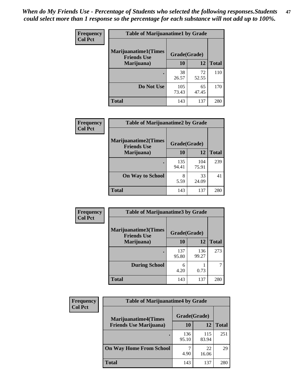| Frequency      | <b>Table of Marijuanatime1 by Grade</b>           |              |             |              |  |
|----------------|---------------------------------------------------|--------------|-------------|--------------|--|
| <b>Col Pct</b> | <b>Marijuanatime1(Times</b><br><b>Friends Use</b> | Grade(Grade) |             |              |  |
|                | Marijuana)                                        | 10           | 12          | <b>Total</b> |  |
|                |                                                   | 38<br>26.57  | 72<br>52.55 | 110          |  |
|                | Do Not Use                                        | 105<br>73.43 | 65<br>47.45 | 170          |  |
|                | <b>Total</b>                                      | 143          | 137         | 280          |  |

| <b>Frequency</b> | <b>Table of Marijuanatime2 by Grade</b>           |              |              |     |  |
|------------------|---------------------------------------------------|--------------|--------------|-----|--|
| <b>Col Pct</b>   | <b>Marijuanatime2(Times</b><br><b>Friends Use</b> | Grade(Grade) |              |     |  |
| Marijuana)       | 10                                                | 12           | <b>Total</b> |     |  |
|                  |                                                   | 135<br>94.41 | 104<br>75.91 | 239 |  |
|                  | <b>On Way to School</b>                           | 8<br>5.59    | 33<br>24.09  | 41  |  |
|                  | <b>Total</b>                                      | 143          | 137          | 280 |  |

| Frequency      | <b>Table of Marijuanatime3 by Grade</b>    |              |              |              |
|----------------|--------------------------------------------|--------------|--------------|--------------|
| <b>Col Pct</b> | Marijuanatime3(Times<br><b>Friends Use</b> | Grade(Grade) |              |              |
|                | Marijuana)                                 | 10           | 12           | <b>Total</b> |
|                |                                            | 137<br>95.80 | 136<br>99.27 | 273          |
|                | <b>During School</b>                       | 6<br>4.20    | 0.73         |              |
|                | <b>Total</b>                               | 143          | 137          | 280          |

| <b>Frequency</b> | <b>Table of Marijuanatime4 by Grade</b> |              |              |              |
|------------------|-----------------------------------------|--------------|--------------|--------------|
| <b>Col Pct</b>   | <b>Marijuanatime4(Times</b>             | Grade(Grade) |              |              |
|                  | <b>Friends Use Marijuana</b> )          | 10           | 12           | <b>Total</b> |
|                  |                                         | 136<br>95.10 | 115<br>83.94 | 251          |
|                  | <b>On Way Home From School</b>          | 4.90         | 22<br>16.06  | 29           |
|                  | <b>Total</b>                            | 143          | 137          | 280          |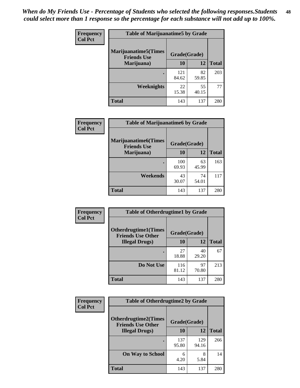| Frequency      | <b>Table of Marijuanatime5 by Grade</b>            |              |             |              |  |
|----------------|----------------------------------------------------|--------------|-------------|--------------|--|
| <b>Col Pct</b> | <b>Marijuanatime5</b> (Times<br><b>Friends Use</b> | Grade(Grade) |             |              |  |
|                | Marijuana)                                         | 10           | 12          | <b>Total</b> |  |
|                |                                                    | 121<br>84.62 | 82<br>59.85 | 203          |  |
|                | Weeknights                                         | 22<br>15.38  | 55<br>40.15 | 77           |  |
|                | <b>Total</b>                                       | 143          | 137         | 280          |  |

| Frequency      | <b>Table of Marijuanatime6 by Grade</b>           |              |             |              |
|----------------|---------------------------------------------------|--------------|-------------|--------------|
| <b>Col Pct</b> | <b>Marijuanatime6(Times</b><br><b>Friends Use</b> | Grade(Grade) |             |              |
|                | Marijuana)                                        | 10           | 12          | <b>Total</b> |
|                |                                                   | 100<br>69.93 | 63<br>45.99 | 163          |
|                | Weekends                                          | 43<br>30.07  | 74<br>54.01 | 117          |
|                | <b>Total</b>                                      | 143          | 137         | 280          |

| <b>Frequency</b> | <b>Table of Otherdrugtime1 by Grade</b>                  |              |             |              |  |
|------------------|----------------------------------------------------------|--------------|-------------|--------------|--|
| <b>Col Pct</b>   | <b>Otherdrugtime1</b> (Times<br><b>Friends Use Other</b> | Grade(Grade) |             |              |  |
|                  | <b>Illegal Drugs</b> )                                   | 10           | 12          | <b>Total</b> |  |
|                  |                                                          | 27<br>18.88  | 40<br>29.20 | 67           |  |
|                  | Do Not Use                                               | 116<br>81.12 | 97<br>70.80 | 213          |  |
|                  | <b>Total</b>                                             | 143          | 137         | 280          |  |

| Frequency      | <b>Table of Otherdrugtime2 by Grade</b>                 |              |              |              |  |
|----------------|---------------------------------------------------------|--------------|--------------|--------------|--|
| <b>Col Pct</b> | <b>Otherdrugtime2(Times</b><br><b>Friends Use Other</b> | Grade(Grade) |              |              |  |
|                | <b>Illegal Drugs</b> )                                  | 10           | 12           | <b>Total</b> |  |
|                |                                                         | 137<br>95.80 | 129<br>94.16 | 266          |  |
|                | <b>On Way to School</b>                                 | 6<br>4.20    | 8<br>5.84    | 14           |  |
|                | Total                                                   | 143          | 137          | 280          |  |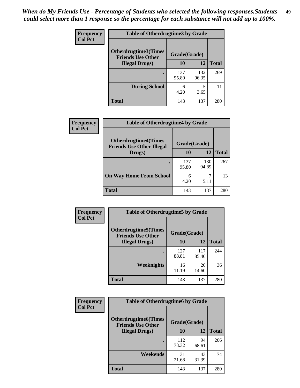| <b>Frequency</b>       | <b>Table of Otherdrugtime3 by Grade</b>          |              |              |     |  |
|------------------------|--------------------------------------------------|--------------|--------------|-----|--|
| <b>Col Pct</b>         | Otherdrugtime3(Times<br><b>Friends Use Other</b> | Grade(Grade) |              |     |  |
| <b>Illegal Drugs</b> ) | 10                                               | 12           | <b>Total</b> |     |  |
|                        |                                                  | 137<br>95.80 | 132<br>96.35 | 269 |  |
|                        | <b>During School</b>                             | 6<br>4.20    | 5<br>3.65    | 11  |  |
|                        | <b>Total</b>                                     | 143          | 137          | 280 |  |

| Frequency      | <b>Table of Otherdrugtime4 by Grade</b>                         |              |              |              |
|----------------|-----------------------------------------------------------------|--------------|--------------|--------------|
| <b>Col Pct</b> | <b>Otherdrugtime4(Times</b><br><b>Friends Use Other Illegal</b> | Grade(Grade) |              |              |
|                | Drugs)                                                          | 10           | 12           | <b>Total</b> |
|                | $\bullet$                                                       | 137<br>95.80 | 130<br>94.89 | 267          |
|                | <b>On Way Home From School</b>                                  | 6<br>4.20    | 5.11         | 13           |
|                | <b>Total</b>                                                    | 143          | 137          | 280          |

| <b>Frequency</b> | <b>Table of Otherdrugtime5 by Grade</b>                  |              |              |              |  |  |  |
|------------------|----------------------------------------------------------|--------------|--------------|--------------|--|--|--|
| <b>Col Pct</b>   | <b>Otherdrugtime5</b> (Times<br><b>Friends Use Other</b> | Grade(Grade) |              |              |  |  |  |
|                  | <b>Illegal Drugs</b> )                                   | 10           | 12           | <b>Total</b> |  |  |  |
|                  |                                                          | 127<br>88.81 | 117<br>85.40 | 244          |  |  |  |
|                  | Weeknights                                               | 16<br>11.19  | 20<br>14.60  | 36           |  |  |  |
|                  | <b>Total</b>                                             | 143          | 137          | 280          |  |  |  |

| Frequency      | <b>Table of Otherdrugtime6 by Grade</b>                                 |              |             |              |  |  |
|----------------|-------------------------------------------------------------------------|--------------|-------------|--------------|--|--|
| <b>Col Pct</b> | <b>Otherdrugtime6(Times</b><br>Grade(Grade)<br><b>Friends Use Other</b> |              |             |              |  |  |
|                | <b>Illegal Drugs</b> )                                                  | 10           | 12          | <b>Total</b> |  |  |
|                |                                                                         | 112<br>78.32 | 94<br>68.61 | 206          |  |  |
|                | Weekends                                                                | 31<br>21.68  | 43<br>31.39 | 74           |  |  |
|                | <b>Total</b>                                                            | 143          | 137         | 280          |  |  |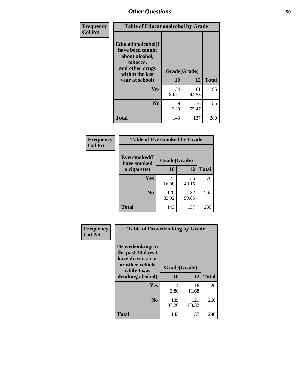| Frequency      | <b>Table of Educationalcohol by Grade</b>                                                                  |              |             |              |  |  |  |
|----------------|------------------------------------------------------------------------------------------------------------|--------------|-------------|--------------|--|--|--|
| <b>Col Pct</b> | Educationalcohol(I<br>have been taught<br>about alcohol,<br>tobacco,<br>and other drugs<br>within the last | Grade(Grade) |             |              |  |  |  |
|                | year at school)                                                                                            | 10           | 12          | <b>Total</b> |  |  |  |
|                | <b>Yes</b>                                                                                                 | 134<br>93.71 | 61<br>44.53 | 195          |  |  |  |
|                | N <sub>0</sub>                                                                                             | 9<br>6.29    | 76<br>55.47 | 85           |  |  |  |
|                | <b>Total</b>                                                                                               | 143          | 137         | 280          |  |  |  |

| Frequency      | <b>Table of Eversmoked by Grade</b> |              |             |              |  |  |  |
|----------------|-------------------------------------|--------------|-------------|--------------|--|--|--|
| <b>Col Pct</b> | Eversmoked(I<br>have smoked         |              |             |              |  |  |  |
|                | a cigarette)                        | 10           | 12          | <b>Total</b> |  |  |  |
|                | <b>Yes</b>                          | 23<br>16.08  | 55<br>40.15 | 78           |  |  |  |
|                | N <sub>0</sub>                      | 120<br>83.92 | 82<br>59.85 | 202          |  |  |  |
|                | <b>Total</b>                        | 143          | 137         | 280          |  |  |  |

| Frequency<br><b>Col Pct</b> | <b>Table of Drovedrinking by Grade</b>                                                                              |                    |              |              |  |  |  |
|-----------------------------|---------------------------------------------------------------------------------------------------------------------|--------------------|--------------|--------------|--|--|--|
|                             | Drovedrinking(In<br>the past 30 days I<br>have driven a car<br>or other vehicle<br>while I was<br>drinking alcohol) | Grade(Grade)<br>10 | 12           | <b>Total</b> |  |  |  |
|                             | <b>Yes</b>                                                                                                          | 4<br>2.80          | 16<br>11.68  | 20           |  |  |  |
|                             | N <sub>0</sub>                                                                                                      | 139<br>97.20       | 121<br>88.32 | 260          |  |  |  |
|                             | <b>Total</b>                                                                                                        | 143                | 137          | 280          |  |  |  |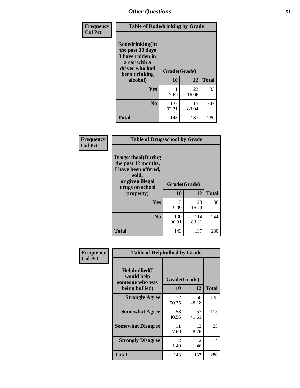| Frequency<br><b>Col Pct</b> | <b>Table of Rodedrinking by Grade</b>                                                                             |              |              |              |  |  |  |
|-----------------------------|-------------------------------------------------------------------------------------------------------------------|--------------|--------------|--------------|--|--|--|
|                             | <b>Rodedrinking(In</b><br>the past 30 days<br>I have ridden in<br>a car with a<br>driver who had<br>been drinking | Grade(Grade) |              |              |  |  |  |
|                             | alcohol)                                                                                                          | 10           | 12           | <b>Total</b> |  |  |  |
|                             | Yes                                                                                                               | 11<br>7.69   | 22<br>16.06  | 33           |  |  |  |
|                             | N <sub>0</sub>                                                                                                    | 132<br>92.31 | 115<br>83.94 | 247          |  |  |  |
|                             | <b>Total</b>                                                                                                      | 143          | 137          | 280          |  |  |  |

#### **Frequency Col Pct**

| <b>Table of Drugsschool by Grade</b>                                                                                      |              |              |              |  |  |  |  |
|---------------------------------------------------------------------------------------------------------------------------|--------------|--------------|--------------|--|--|--|--|
| <b>Drugsschool</b> (During<br>the past 12 months,<br>I have been offered,<br>sold,<br>or given illegal<br>drugs on school | Grade(Grade) |              |              |  |  |  |  |
| property)                                                                                                                 | 10           | 12           | <b>Total</b> |  |  |  |  |
| <b>Yes</b>                                                                                                                | 13<br>9.09   | 23<br>16.79  | 36           |  |  |  |  |
| N <sub>0</sub>                                                                                                            | 130<br>90.91 | 114<br>83.21 | 244          |  |  |  |  |
| <b>Total</b>                                                                                                              | 143          | 137          | 280          |  |  |  |  |

| Frequency      | <b>Table of Helpbullied by Grade</b>                             |                           |             |              |  |  |  |  |
|----------------|------------------------------------------------------------------|---------------------------|-------------|--------------|--|--|--|--|
| <b>Col Pct</b> | Helpbullied(I<br>would help<br>someone who was<br>being bullied) | Grade(Grade)<br><b>10</b> | 12          | <b>Total</b> |  |  |  |  |
|                |                                                                  |                           |             |              |  |  |  |  |
|                | <b>Strongly Agree</b>                                            | 72<br>50.35               | 66<br>48.18 | 138          |  |  |  |  |
|                | <b>Somewhat Agree</b>                                            | 58<br>40.56               | 57<br>41.61 | 115          |  |  |  |  |
|                | <b>Somewhat Disagree</b>                                         | 11<br>7.69                | 12<br>8.76  | 23           |  |  |  |  |
|                | <b>Strongly Disagree</b>                                         | 2<br>1.40                 | 2<br>1.46   | 4            |  |  |  |  |
|                | Total                                                            | 143                       | 137         | 280          |  |  |  |  |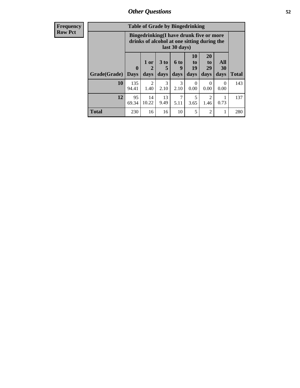| <b>Frequency</b><br>Row Pct |
|-----------------------------|
|                             |

| <b>Table of Grade by Bingedrinking</b> |                             |                                                                                                         |                   |                          |                        |                        |                          |              |
|----------------------------------------|-----------------------------|---------------------------------------------------------------------------------------------------------|-------------------|--------------------------|------------------------|------------------------|--------------------------|--------------|
|                                        |                             | Bingedrinking(I have drunk five or more<br>drinks of alcohol at one sitting during the<br>last 30 days) |                   |                          |                        |                        |                          |              |
| Grade(Grade)                           | $\mathbf{0}$<br><b>Days</b> | 1 or<br>2<br>days                                                                                       | 3 to<br>5<br>days | <b>6 to</b><br>9<br>days | 10<br>to<br>19<br>days | 20<br>to<br>29<br>days | All<br><b>30</b><br>days | <b>Total</b> |
| 10                                     | 135<br>94.41                | 2<br>1.40                                                                                               | 3<br>2.10         | 3<br>2.10                | 0<br>0.00              | $\Omega$<br>0.00       | $\Omega$<br>0.00         | 143          |
| 12                                     | 95<br>69.34                 | 14<br>10.22                                                                                             | 13<br>9.49        | 7<br>5.11                | 5<br>3.65              | 2<br>1.46              | 0.73                     | 137          |
| <b>Total</b>                           | 230                         | 16                                                                                                      | 16                | 10                       | 5                      | $\overline{2}$         | 1                        | 280          |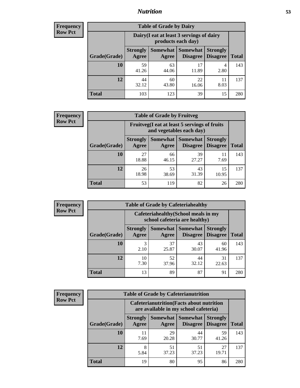## *Nutrition* **53**

| <b>Frequency</b><br>Row Pct |
|-----------------------------|
|                             |

| <b>Table of Grade by Dairy</b> |                                                                                                                           |                                                                 |             |            |     |  |  |
|--------------------------------|---------------------------------------------------------------------------------------------------------------------------|-----------------------------------------------------------------|-------------|------------|-----|--|--|
|                                |                                                                                                                           | Dairy (I eat at least 3 servings of dairy<br>products each day) |             |            |     |  |  |
| Grade(Grade)                   | <b>Somewhat</b><br><b>Somewhat</b><br><b>Strongly</b><br><b>Strongly</b><br><b>Disagree</b><br>Disagree<br>Agree<br>Agree |                                                                 |             |            |     |  |  |
| 10                             | 59<br>41.26                                                                                                               | 63<br>44.06                                                     | 17<br>11.89 | 4<br>2.80  | 143 |  |  |
| 12                             | 44<br>32.12                                                                                                               | 60<br>43.80                                                     | 22<br>16.06 | 11<br>8.03 | 137 |  |  |
| <b>Total</b>                   | 103                                                                                                                       | 123                                                             | 39          | 15         | 280 |  |  |

| <b>Frequency</b> |  |
|------------------|--|
| <b>Row Pct</b>   |  |

| <b>Table of Grade by Fruitveg</b> |                                                                          |                          |                             |                                    |              |  |  |
|-----------------------------------|--------------------------------------------------------------------------|--------------------------|-----------------------------|------------------------------------|--------------|--|--|
|                                   | Fruitveg(I eat at least 5 servings of fruits<br>and vegetables each day) |                          |                             |                                    |              |  |  |
| Grade(Grade)                      | <b>Strongly</b><br>Agree                                                 | <b>Somewhat</b><br>Agree | <b>Somewhat</b><br>Disagree | <b>Strongly</b><br><b>Disagree</b> | <b>Total</b> |  |  |
| 10                                | 27<br>18.88                                                              | 66<br>46.15              | 39<br>27.27                 | 11<br>7.69                         | 143          |  |  |
| 12                                | 26<br>18.98                                                              | 53<br>38.69              | 43<br>31.39                 | 15<br>10.95                        | 137          |  |  |
| <b>Total</b>                      | 53                                                                       | 119                      | 82                          | 26                                 | 280          |  |  |

| <b>Frequency</b> | <b>Table of Grade by Cafeteriahealthy</b> |                          |                                                                       |                 |                                    |              |  |  |
|------------------|-------------------------------------------|--------------------------|-----------------------------------------------------------------------|-----------------|------------------------------------|--------------|--|--|
| <b>Row Pct</b>   |                                           |                          | Cafeteriahealthy (School meals in my<br>school cafeteria are healthy) |                 |                                    |              |  |  |
|                  | Grade(Grade)                              | <b>Strongly</b><br>Agree | Somewhat Somewhat<br>Agree                                            | <b>Disagree</b> | <b>Strongly</b><br><b>Disagree</b> | <b>Total</b> |  |  |
|                  | 10                                        | 3<br>2.10                | 37<br>25.87                                                           | 43<br>30.07     | 60<br>41.96                        | 143          |  |  |
|                  | 12                                        | 10<br>7.30               | 52<br>37.96                                                           | 44<br>32.12     | 31<br>22.63                        | 137          |  |  |
|                  | Total                                     | 13                       | 89                                                                    | 87              | 91                                 | 280          |  |  |

| <b>Frequency</b> |
|------------------|
| <b>Row Pct</b>   |

| <b>Table of Grade by Cafeterianutrition</b> |                                                                                           |             |                                        |                                    |              |  |  |
|---------------------------------------------|-------------------------------------------------------------------------------------------|-------------|----------------------------------------|------------------------------------|--------------|--|--|
|                                             | <b>Cafeterianutrition</b> (Facts about nutrition<br>are available in my school cafeteria) |             |                                        |                                    |              |  |  |
| Grade(Grade)                                | <b>Strongly</b><br>Agree                                                                  | Agree       | Somewhat   Somewhat<br><b>Disagree</b> | <b>Strongly</b><br><b>Disagree</b> | <b>Total</b> |  |  |
| 10                                          | 11<br>7.69                                                                                | 29<br>20.28 | 44<br>30.77                            | 59<br>41.26                        | 143          |  |  |
| 12                                          | 8<br>5.84                                                                                 | 51<br>37.23 | 51<br>37.23                            | 27<br>19.71                        | 137          |  |  |
| Total                                       | 19                                                                                        | 80          | 95                                     | 86                                 | 280          |  |  |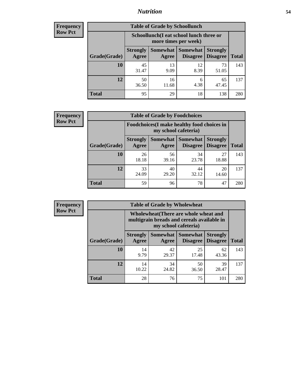## *Nutrition* **54**

| Frequency |
|-----------|
| Row Pct   |

| <b>Table of Grade by Schoollunch</b> |                                                                                                                               |                                                                 |            |             |     |  |  |
|--------------------------------------|-------------------------------------------------------------------------------------------------------------------------------|-----------------------------------------------------------------|------------|-------------|-----|--|--|
|                                      |                                                                                                                               | Schoollunch(I eat school lunch three or<br>more times per week) |            |             |     |  |  |
| Grade(Grade)                         | Somewhat  <br>Somewhat<br><b>Strongly</b><br><b>Strongly</b><br><b>Disagree</b><br>Agree<br>Disagree<br><b>Total</b><br>Agree |                                                                 |            |             |     |  |  |
| 10                                   | 45<br>31.47                                                                                                                   | 13<br>9.09                                                      | 12<br>8.39 | 73<br>51.05 | 143 |  |  |
| 12                                   | 50<br>36.50                                                                                                                   | 16<br>11.68                                                     | 6<br>4.38  | 65<br>47.45 | 137 |  |  |
| <b>Total</b>                         | 95                                                                                                                            | 29                                                              | 18         | 138         | 280 |  |  |

| <b>Frequency</b> |  |
|------------------|--|
| <b>Row Pct</b>   |  |

| <b>Table of Grade by Foodchoices</b>                                |                          |             |                               |                                    |              |  |  |
|---------------------------------------------------------------------|--------------------------|-------------|-------------------------------|------------------------------------|--------------|--|--|
| Foodchoices (I make healthy food choices in<br>my school cafeteria) |                          |             |                               |                                    |              |  |  |
| Grade(Grade)                                                        | <b>Strongly</b><br>Agree | Agree       | Somewhat Somewhat<br>Disagree | <b>Strongly</b><br><b>Disagree</b> | <b>Total</b> |  |  |
| 10                                                                  | 26<br>18.18              | 56<br>39.16 | 34<br>23.78                   | 27<br>18.88                        | 143          |  |  |
| 12                                                                  | 33<br>24.09              | 40<br>29.20 | 44<br>32.12                   | 20<br>14.60                        | 137          |  |  |
| <b>Total</b>                                                        | 59                       | 96          | 78                            | 47                                 | 280          |  |  |

| Frequency      | <b>Table of Grade by Wholewheat</b> |                                                                                                             |                     |                                    |                                    |              |  |  |
|----------------|-------------------------------------|-------------------------------------------------------------------------------------------------------------|---------------------|------------------------------------|------------------------------------|--------------|--|--|
| <b>Row Pct</b> |                                     | Wholewheat (There are whole wheat and<br>multigrain breads and cereals available in<br>my school cafeteria) |                     |                                    |                                    |              |  |  |
|                | Grade(Grade)                        | <b>Strongly</b><br>Agree                                                                                    | Somewhat  <br>Agree | <b>Somewhat</b><br><b>Disagree</b> | <b>Strongly</b><br><b>Disagree</b> | <b>Total</b> |  |  |
|                | 10                                  | 14<br>9.79                                                                                                  | 42<br>29.37         | 25<br>17.48                        | 62<br>43.36                        | 143          |  |  |
|                | 12                                  | 14<br>10.22                                                                                                 | 34<br>24.82         | 50<br>36.50                        | 39<br>28.47                        | 137          |  |  |
|                | <b>Total</b>                        | 28                                                                                                          | 76                  | 75                                 | 101                                | 280          |  |  |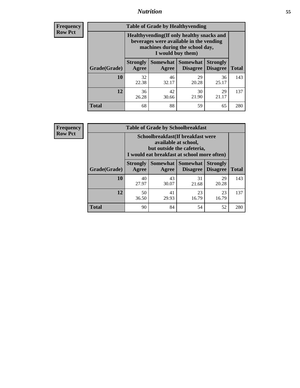## *Nutrition* **55**

**Frequency Row Pct**

| <b>Table of Grade by Healthyvending</b> |                                                                                                                                               |                     |                                    |                                    |              |  |  |
|-----------------------------------------|-----------------------------------------------------------------------------------------------------------------------------------------------|---------------------|------------------------------------|------------------------------------|--------------|--|--|
|                                         | Healthyvending (If only healthy snacks and<br>beverages were available in the vending<br>machines during the school day,<br>I would buy them) |                     |                                    |                                    |              |  |  |
| Grade(Grade)                            | <b>Strongly</b><br>Agree                                                                                                                      | Somewhat  <br>Agree | <b>Somewhat</b><br><b>Disagree</b> | <b>Strongly</b><br><b>Disagree</b> | <b>Total</b> |  |  |
| 10                                      | 32<br>22.38                                                                                                                                   | 46<br>32.17         | 29<br>20.28                        | 36<br>25.17                        | 143          |  |  |
| 12                                      | 36<br>26.28                                                                                                                                   | 42<br>30.66         | 30<br>21.90                        | 29<br>21.17                        | 137          |  |  |
| <b>Total</b>                            | 68                                                                                                                                            | 88                  | 59                                 | 65                                 | 280          |  |  |

**Frequency Row Pct**

| <b>Table of Grade by Schoolbreakfast</b> |                                                                                                                                         |             |             |             |     |  |  |  |
|------------------------------------------|-----------------------------------------------------------------------------------------------------------------------------------------|-------------|-------------|-------------|-----|--|--|--|
|                                          | Schoolbreakfast (If breakfast were<br>available at school,<br>but outside the cafeteria,<br>I would eat breakfast at school more often) |             |             |             |     |  |  |  |
| Grade(Grade)                             | Somewhat   Somewhat<br><b>Strongly</b><br><b>Strongly</b><br><b>Disagree</b><br>Agree<br>Disagree<br>Agree                              |             |             |             |     |  |  |  |
| 10                                       | 40<br>27.97                                                                                                                             | 43<br>30.07 | 31<br>21.68 | 29<br>20.28 | 143 |  |  |  |
| 12                                       | 50<br>36.50                                                                                                                             | 41<br>29.93 | 23<br>16.79 | 23<br>16.79 | 137 |  |  |  |
| <b>Total</b>                             | 90                                                                                                                                      | 84          | 54          | 52          | 280 |  |  |  |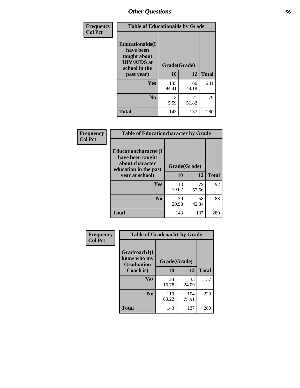| Frequency<br><b>Col Pct</b> | <b>Table of Educationaids by Grade</b>                                                                    |                    |             |              |
|-----------------------------|-----------------------------------------------------------------------------------------------------------|--------------------|-------------|--------------|
|                             | <b>Educationaids</b> (I<br>have been<br>taught about<br><b>HIV/AIDS</b> at<br>school in the<br>past year) | Grade(Grade)<br>10 | 12          | <b>Total</b> |
|                             | Yes                                                                                                       | 135<br>94.41       | 66<br>48.18 | 201          |
|                             | N <sub>0</sub>                                                                                            | 8<br>5.59          | 71<br>51.82 | 79           |
|                             | <b>Total</b>                                                                                              | 143                | 137         | 280          |

| Frequency      | <b>Table of Educationcharacter by Grade</b>      |              |             |              |
|----------------|--------------------------------------------------|--------------|-------------|--------------|
| <b>Col Pct</b> | <b>Educationcharacter(I)</b><br>have been taught |              |             |              |
|                | about character<br>education in the past         | Grade(Grade) |             |              |
|                | year at school)                                  | 10           | 12          | <b>Total</b> |
|                | Yes                                              | 113<br>79.02 | 79<br>57.66 | 192          |
|                | N <sub>0</sub>                                   | 30<br>20.98  | 58<br>42.34 | 88           |
|                | <b>Total</b>                                     | 143          | 137         | 280          |

| Frequency      | <b>Table of Gradcoach1 by Grade</b>              |              |              |              |
|----------------|--------------------------------------------------|--------------|--------------|--------------|
| <b>Col Pct</b> | Gradcoach1(I<br>know who my<br><b>Graduation</b> | Grade(Grade) |              |              |
|                | Coach is)                                        | 10           | 12           | <b>Total</b> |
|                | Yes                                              | 24<br>16.78  | 33<br>24.09  | 57           |
|                | N <sub>0</sub>                                   | 119<br>83.22 | 104<br>75.91 | 223          |
|                | <b>Total</b>                                     | 143          | 137          | 280          |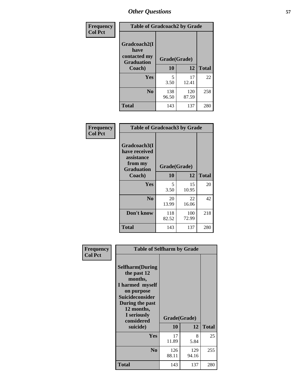| Frequency      | <b>Table of Gradcoach2 by Grade</b>               |              |              |              |
|----------------|---------------------------------------------------|--------------|--------------|--------------|
| <b>Col Pct</b> | Gradcoach2(I<br>have                              |              |              |              |
|                | contacted my<br>Grade(Grade)<br><b>Graduation</b> |              |              |              |
|                | Coach)                                            | 10           | 12           | <b>Total</b> |
|                | Yes                                               | 5<br>3.50    | 17<br>12.41  | 22           |
|                | N <sub>0</sub>                                    | 138<br>96.50 | 120<br>87.59 | 258          |
|                | <b>Total</b>                                      | 143          | 137          | 280          |

| <b>Frequency</b><br><b>Col Pct</b> | <b>Table of Gradcoach3 by Grade</b>                                         |              |              |              |
|------------------------------------|-----------------------------------------------------------------------------|--------------|--------------|--------------|
|                                    | Gradcoach3(I<br>have received<br>assistance<br>from my<br><b>Graduation</b> | Grade(Grade) |              |              |
|                                    | Coach)                                                                      | 10           | 12           | <b>Total</b> |
|                                    | Yes                                                                         | 5<br>3.50    | 15<br>10.95  | 20           |
|                                    | N <sub>0</sub>                                                              | 20<br>13.99  | 22<br>16.06  | 42           |
|                                    | Don't know                                                                  | 118<br>82.52 | 100<br>72.99 | 218          |
|                                    | <b>Total</b>                                                                | 143          | 137          | 280          |

| Frequency      | <b>Table of Selfharm by Grade</b>                                                                                                                                                      |                    |              |              |
|----------------|----------------------------------------------------------------------------------------------------------------------------------------------------------------------------------------|--------------------|--------------|--------------|
| <b>Col Pct</b> | <b>Selfharm</b> (During<br>the past 12<br>months,<br>I harmed myself<br>on purpose<br><b>Suicideconsider</b><br>During the past<br>12 months,<br>I seriously<br>considered<br>suicide) | Grade(Grade)<br>10 | 12           | <b>Total</b> |
|                | Yes                                                                                                                                                                                    | 17                 | 8            | 25           |
|                |                                                                                                                                                                                        | 11.89              | 5.84         |              |
|                | N <sub>0</sub>                                                                                                                                                                         | 126<br>88.11       | 129<br>94.16 | 255          |
|                | <b>Total</b>                                                                                                                                                                           | 143                | 137          | 280          |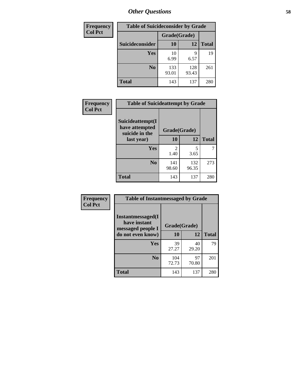| <b>Frequency</b> | <b>Table of Suicideconsider by Grade</b> |              |              |              |
|------------------|------------------------------------------|--------------|--------------|--------------|
| <b>Col Pct</b>   |                                          | Grade(Grade) |              |              |
|                  | Suicideconsider                          | <b>10</b>    | 12           | <b>Total</b> |
|                  | Yes                                      | 10<br>6.99   | q<br>6.57    | 19           |
|                  | N <sub>0</sub>                           | 133<br>93.01 | 128<br>93.43 | 261          |
|                  | <b>Total</b>                             | 143          | 137          | 280          |

| Frequency      | <b>Table of Suicideattempt by Grade</b>              |                       |              |              |
|----------------|------------------------------------------------------|-----------------------|--------------|--------------|
| <b>Col Pct</b> | Suicideattempt(I<br>have attempted<br>suicide in the | Grade(Grade)          |              |              |
|                | last year)                                           | 10                    | 12           | <b>Total</b> |
|                | Yes                                                  | $\mathcal{L}$<br>1.40 | 5<br>3.65    | 7            |
|                | N <sub>0</sub>                                       | 141<br>98.60          | 132<br>96.35 | 273          |
|                | <b>Total</b>                                         | 143                   | 137          | 280          |

| Frequency      | <b>Table of Instantmessaged by Grade</b>               |              |             |              |
|----------------|--------------------------------------------------------|--------------|-------------|--------------|
| <b>Col Pct</b> | Instantmessaged(I<br>have instant<br>messaged people I | Grade(Grade) |             |              |
|                | do not even know)                                      | 10           | 12          | <b>Total</b> |
|                | Yes                                                    | 39<br>27.27  | 40<br>29.20 | 79           |
|                | N <sub>0</sub>                                         | 104<br>72.73 | 97<br>70.80 | 201          |
|                | <b>Total</b>                                           | 143          | 137         | 280          |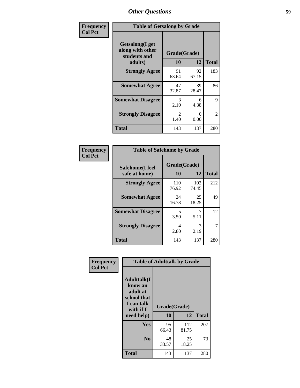| Frequency      | <b>Table of Getsalong by Grade</b>                             |                           |             |              |
|----------------|----------------------------------------------------------------|---------------------------|-------------|--------------|
| <b>Col Pct</b> | Getsalong(I get<br>along with other<br>students and<br>adults) | Grade(Grade)<br><b>10</b> | 12          | <b>Total</b> |
|                | <b>Strongly Agree</b>                                          | 91<br>63.64               | 92<br>67.15 | 183          |
|                | <b>Somewhat Agree</b>                                          | 47<br>32.87               | 39<br>28.47 | 86           |
|                | <b>Somewhat Disagree</b>                                       | 3<br>2.10                 | 6<br>4.38   | 9            |
|                | <b>Strongly Disagree</b>                                       | 2<br>1.40                 | 0<br>0.00   | 2            |
|                | <b>Total</b>                                                   | 143                       | 137         | 280          |

| Frequency      | <b>Table of Safehome by Grade</b> |                    |              |              |
|----------------|-----------------------------------|--------------------|--------------|--------------|
| <b>Col Pct</b> | Safehome(I feel<br>safe at home)  | Grade(Grade)<br>10 | 12           | <b>Total</b> |
|                | <b>Strongly Agree</b>             | 110<br>76.92       | 102<br>74.45 | 212          |
|                | <b>Somewhat Agree</b>             | 24<br>16.78        | 25<br>18.25  | 49           |
|                | <b>Somewhat Disagree</b>          | 5<br>3.50          | 5.11         | 12           |
|                | <b>Strongly Disagree</b>          | 4<br>2.80          | 3<br>2.19    |              |
|                | <b>Total</b>                      | 143                | 137          | 280          |

| Frequency      |                                                                                     | <b>Table of Adulttalk by Grade</b> |              |              |  |
|----------------|-------------------------------------------------------------------------------------|------------------------------------|--------------|--------------|--|
| <b>Col Pct</b> | <b>Adulttalk(I</b><br>know an<br>adult at<br>school that<br>I can talk<br>with if I | Grade(Grade)                       |              |              |  |
|                | need help)                                                                          | 10                                 | 12           | <b>Total</b> |  |
|                | <b>Yes</b>                                                                          | 95<br>66.43                        | 112<br>81.75 | 207          |  |
|                | N <sub>0</sub>                                                                      | 48<br>33.57                        | 25<br>18.25  | 73           |  |
|                | <b>Total</b>                                                                        | 143                                | 137          | 280          |  |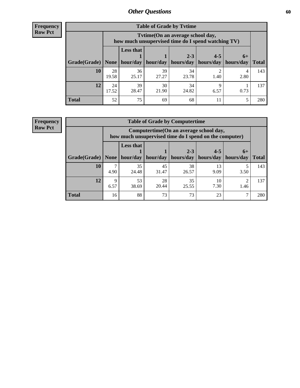**Frequency Row Pct**

| <b>Table of Grade by Tvtime</b> |             |                                                                                         |             |             |                       |           |              |  |  |
|---------------------------------|-------------|-----------------------------------------------------------------------------------------|-------------|-------------|-----------------------|-----------|--------------|--|--|
|                                 |             | Tvtime (On an average school day,<br>how much unsupervised time do I spend watching TV) |             |             |                       |           |              |  |  |
|                                 |             | <b>Less that</b>                                                                        |             | $2 - 3$     | $4 - 5$               | $6+$      |              |  |  |
| Grade(Grade)   None             |             | hour/day                                                                                | hour/day    | hours/day   | hours/day   hours/day |           | <b>Total</b> |  |  |
| 10                              | 28<br>19.58 | 36<br>25.17                                                                             | 39<br>27.27 | 34<br>23.78 | 1.40                  | 4<br>2.80 | 143          |  |  |
| 12                              | 24<br>17.52 | 39<br>28.47                                                                             | 30<br>21.90 | 34<br>24.82 | 6.57                  | 0.73      | 137          |  |  |
| <b>Total</b>                    | 52          | 75                                                                                      | 69          | 68          | 11                    |           | 280          |  |  |

**Frequency Row Pct**

| <b>Table of Grade by Computertime</b> |           |                                                                                                   |       |       |      |           |                     |  |  |
|---------------------------------------|-----------|---------------------------------------------------------------------------------------------------|-------|-------|------|-----------|---------------------|--|--|
|                                       |           | Computertime (On an average school day,<br>how much unsupervised time do I spend on the computer) |       |       |      |           |                     |  |  |
| Grade(Grade)                          | None $ $  | <b>Less that</b><br>$4 - 5$<br>$2 - 3$<br>$6+$<br>hour/day   hour/day<br>hours/day   hours/day    |       |       |      |           |                     |  |  |
| 10                                    |           | 35                                                                                                | 45    | 38    | 13   | hours/day | <b>Total</b><br>143 |  |  |
|                                       | 4.90      | 24.48                                                                                             | 31.47 | 26.57 | 9.09 | 3.50      |                     |  |  |
| 12                                    | Q<br>6.57 | 35<br>53<br>28<br>10<br>◠<br>20.44<br>25.55<br>7.30<br>38.69<br>1.46                              |       |       |      |           |                     |  |  |
| <b>Total</b>                          | 16        | 88                                                                                                | 73    | 73    | 23   |           | 280                 |  |  |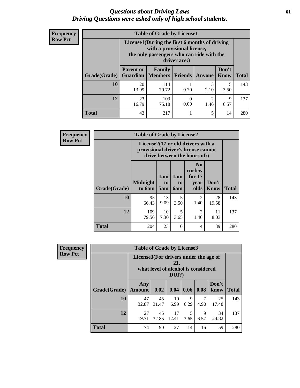### *Questions about Driving Laws* **61** *Driving Questions were asked only of high school students.*

| <b>Frequency</b> |
|------------------|
| <b>Row Pct</b>   |

| <b>Table of Grade by License1</b> |                                     |                                                                                                                                           |                  |           |               |              |  |  |  |
|-----------------------------------|-------------------------------------|-------------------------------------------------------------------------------------------------------------------------------------------|------------------|-----------|---------------|--------------|--|--|--|
|                                   |                                     | License1(During the first 6 months of driving<br>with a provisional license,<br>the only passengers who can ride with the<br>driver are:) |                  |           |               |              |  |  |  |
| Grade(Grade)                      | <b>Parent or</b><br><b>Guardian</b> | Family<br><b>Members</b>                                                                                                                  | <b>Friends</b>   | Anyone    | Don't<br>Know | <b>Total</b> |  |  |  |
| 10                                | 20<br>13.99                         | 114<br>79.72                                                                                                                              | 0.70             | 3<br>2.10 | 5<br>3.50     | 143          |  |  |  |
| 12                                | 23<br>16.79                         | 103<br>75.18                                                                                                                              | $\theta$<br>0.00 | 2<br>1.46 | 9<br>6.57     | 137          |  |  |  |
| <b>Total</b>                      | 43                                  | 217                                                                                                                                       |                  | 5         | 14            | 280          |  |  |  |

| <b>Frequency</b> | <b>Table of Grade by License2</b> |                                                                                                          |                              |                              |                                                      |                      |              |
|------------------|-----------------------------------|----------------------------------------------------------------------------------------------------------|------------------------------|------------------------------|------------------------------------------------------|----------------------|--------------|
| <b>Row Pct</b>   |                                   | License2(17 yr old drivers with a<br>provisional driver's license cannot<br>drive between the hours of:) |                              |                              |                                                      |                      |              |
|                  | Grade(Grade)                      | <b>Midnight</b><br>to 6am                                                                                | 1am<br>t <sub>0</sub><br>5am | 1am<br>t <sub>0</sub><br>6am | N <sub>0</sub><br>curfew<br>for $17$<br>year<br>olds | Don't<br><b>Know</b> | <b>Total</b> |
|                  | 10                                | 95<br>66.43                                                                                              | 13<br>9.09                   | 5<br>3.50                    | $\overline{2}$<br>1.40                               | 28<br>19.58          | 143          |
|                  | 12                                | 109<br>79.56                                                                                             | 10<br>7.30                   | 5<br>3.65                    | $\overline{2}$<br>1.46                               | 11<br>8.03           | 137          |
|                  | <b>Total</b>                      | 204                                                                                                      | 23                           | 10                           | 4                                                    | 39                   | 280          |

| Frequency      |              | <b>Table of Grade by License3</b>     |             |                                                        |           |           |               |              |  |
|----------------|--------------|---------------------------------------|-------------|--------------------------------------------------------|-----------|-----------|---------------|--------------|--|
| <b>Row Pct</b> |              | License3(For drivers under the age of |             | 21,<br>what level of alcohol is considered<br>$DUI$ ?) |           |           |               |              |  |
|                | Grade(Grade) | Any<br><b>Amount</b>                  | 0.02        | 0.04                                                   | 0.06      | 0.08      | Don't<br>know | <b>Total</b> |  |
|                | 10           | 47<br>32.87                           | 45<br>31.47 | 10<br>6.99                                             | 9<br>6.29 | 7<br>4.90 | 25<br>17.48   | 143          |  |
|                | 12           | 27<br>19.71                           | 45<br>32.85 | 17<br>12.41                                            | 5<br>3.65 | 9<br>6.57 | 34<br>24.82   | 137          |  |
|                | <b>Total</b> | 74                                    | 90          | 27                                                     | 14        | 16        | 59            | 280          |  |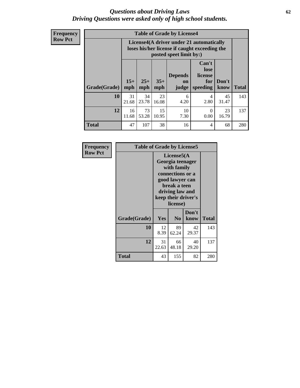### *Questions about Driving Laws* **62** *Driving Questions were asked only of high school students.*

**Frequency Row Pct**

| <b>Table of Grade by License4</b> |             |                                                                                                                                                                                                                                                                                       |             |            |           |             |     |  |
|-----------------------------------|-------------|---------------------------------------------------------------------------------------------------------------------------------------------------------------------------------------------------------------------------------------------------------------------------------------|-------------|------------|-----------|-------------|-----|--|
|                                   |             | License4(A driver under 21 automatically<br>loses his/her license if caught exceeding the<br>posted speet limit by:)<br>Can't<br>lose<br><b>Depends</b><br>license<br>$15+$<br>$25+$<br>$35+$<br>Don't<br>for<br><b>on</b><br>mph<br>speeding<br><b>Total</b><br>know<br>mph<br>judge |             |            |           |             |     |  |
| Grade(Grade)                      | mph         |                                                                                                                                                                                                                                                                                       |             |            |           |             |     |  |
| 10                                | 31<br>21.68 | 34<br>23.78                                                                                                                                                                                                                                                                           | 23<br>16.08 | 6<br>4.20  | 4<br>2.80 | 45<br>31.47 | 143 |  |
| 12                                | 16<br>11.68 | 73<br>53.28                                                                                                                                                                                                                                                                           | 15<br>10.95 | 10<br>7.30 | 0<br>0.00 | 23<br>16.79 | 137 |  |
| <b>Total</b>                      | 47          | 107                                                                                                                                                                                                                                                                                   | 38          | 16         | 4         | 68          | 280 |  |

| Frequency      | <b>Table of Grade by License5</b> |             |                                                                                                                                      |                     |              |
|----------------|-----------------------------------|-------------|--------------------------------------------------------------------------------------------------------------------------------------|---------------------|--------------|
| <b>Row Pct</b> |                                   |             | License5(A)<br>Georgia teenager<br>with family<br>connections or a<br>good lawyer can<br>break a teen<br>driving law and<br>license) | keep their driver's |              |
|                | Grade(Grade)                      | <b>Yes</b>  | N <sub>0</sub>                                                                                                                       | Don't<br>know       | <b>Total</b> |
|                | 10                                | 12<br>8.39  | 89<br>62.24                                                                                                                          | 42<br>29.37         | 143          |
|                | 12                                | 31<br>22.63 | 66<br>48.18                                                                                                                          | 40<br>29.20         | 137          |
|                | <b>Total</b>                      | 43          | 155                                                                                                                                  | 82                  | 280          |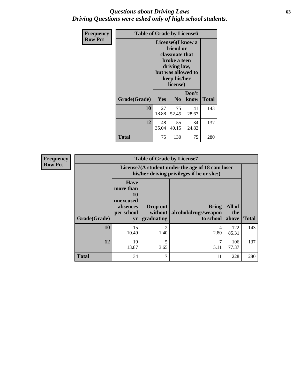### *Questions about Driving Laws* **63** *Driving Questions were asked only of high school students.*

| <b>Frequency</b> | <b>Table of Grade by License6</b> |             |                                                                                                                           |                    |              |  |
|------------------|-----------------------------------|-------------|---------------------------------------------------------------------------------------------------------------------------|--------------------|--------------|--|
| <b>Row Pct</b>   |                                   |             | License <sub>6</sub> (I know a<br>friend or<br>classmate that<br>broke a teen<br>driving law,<br>keep his/her<br>license) | but was allowed to |              |  |
|                  | Grade(Grade)                      | <b>Yes</b>  | N <sub>0</sub>                                                                                                            | Don't<br>know      | <b>Total</b> |  |
|                  | 10                                | 27<br>18.88 | 75<br>52.45                                                                                                               | 41<br>28.67        | 143          |  |
|                  | 12                                | 48<br>35.04 | 55<br>40.15                                                                                                               | 34<br>24.82        | 137          |  |
|                  | <b>Total</b>                      | 75          | 130                                                                                                                       | 75                 | 280          |  |

| <b>Frequency</b> | <b>Table of Grade by License7</b> |                                                                             |                                     |                                                                                               |                        |              |  |  |  |
|------------------|-----------------------------------|-----------------------------------------------------------------------------|-------------------------------------|-----------------------------------------------------------------------------------------------|------------------------|--------------|--|--|--|
| <b>Row Pct</b>   |                                   |                                                                             |                                     | License7(A student under the age of 18 cam loser<br>his/her driving privileges if he or she:) |                        |              |  |  |  |
|                  | Grade(Grade)                      | <b>Have</b><br>more than<br>10<br>unexcused<br>absences<br>per school<br>yr | Drop out<br>without  <br>graduating | <b>Bring</b><br>alcohol/drugs/weapon<br>to school                                             | All of<br>the<br>above | <b>Total</b> |  |  |  |
|                  | 10                                | 15<br>10.49                                                                 | $\overline{2}$<br>1.40              | 4<br>2.80                                                                                     | 122<br>85.31           | 143          |  |  |  |
|                  | 12                                | 19<br>13.87                                                                 | 5<br>3.65                           | 5.11                                                                                          | 106<br>77.37           | 137          |  |  |  |
|                  | <b>Total</b>                      | 34                                                                          | 7                                   | 11                                                                                            | 228                    | 280          |  |  |  |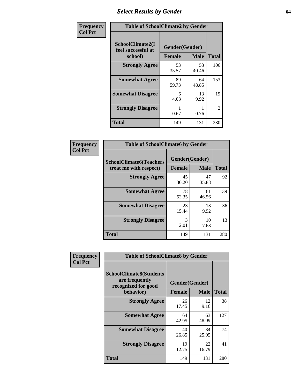# *Select Results by Gender* **64**

| Frequency      |                                                   | <b>Table of SchoolClimate2 by Gender</b> |             |                |  |  |  |  |
|----------------|---------------------------------------------------|------------------------------------------|-------------|----------------|--|--|--|--|
| <b>Col Pct</b> | SchoolClimate2(I<br>feel successful at<br>school) | Gender(Gender)<br><b>Female</b>          | <b>Male</b> | <b>Total</b>   |  |  |  |  |
|                | <b>Strongly Agree</b>                             | 53<br>35.57                              | 53<br>40.46 | 106            |  |  |  |  |
|                | <b>Somewhat Agree</b>                             | 89<br>59.73                              | 64<br>48.85 | 153            |  |  |  |  |
|                | <b>Somewhat Disagree</b>                          | 6<br>4.03                                | 13<br>9.92  | 19             |  |  |  |  |
|                | <b>Strongly Disagree</b>                          | 0.67                                     | 0.76        | $\overline{2}$ |  |  |  |  |
|                | <b>Total</b>                                      | 149                                      | 131         | 280            |  |  |  |  |

| Frequency      | <b>Table of SchoolClimate6 by Gender</b>                 |                                 |             |              |  |  |  |
|----------------|----------------------------------------------------------|---------------------------------|-------------|--------------|--|--|--|
| <b>Col Pct</b> | <b>SchoolClimate6(Teachers</b><br>treat me with respect) | Gender(Gender)<br><b>Female</b> | <b>Male</b> | <b>Total</b> |  |  |  |
|                | <b>Strongly Agree</b>                                    | 45<br>30.20                     | 47<br>35.88 | 92           |  |  |  |
|                | <b>Somewhat Agree</b>                                    | 78<br>52.35                     | 61<br>46.56 | 139          |  |  |  |
|                | <b>Somewhat Disagree</b>                                 | 23<br>15.44                     | 13<br>9.92  | 36           |  |  |  |
|                | <b>Strongly Disagree</b>                                 | 3<br>2.01                       | 10<br>7.63  | 13           |  |  |  |
|                | Total                                                    | 149                             | 131         | 280          |  |  |  |

| Frequency      | <b>Table of SchoolClimate8 by Gender</b>                                             |                                 |             |              |  |
|----------------|--------------------------------------------------------------------------------------|---------------------------------|-------------|--------------|--|
| <b>Col Pct</b> | <b>SchoolClimate8(Students</b><br>are frequently<br>recognized for good<br>behavior) | Gender(Gender)<br><b>Female</b> | <b>Male</b> | <b>Total</b> |  |
|                | <b>Strongly Agree</b>                                                                | 26<br>17.45                     | 12<br>9.16  | 38           |  |
|                | <b>Somewhat Agree</b>                                                                | 64<br>42.95                     | 63<br>48.09 | 127          |  |
|                | <b>Somewhat Disagree</b>                                                             | 40<br>26.85                     | 34<br>25.95 | 74           |  |
|                | <b>Strongly Disagree</b>                                                             | 19<br>12.75                     | 22<br>16.79 | 41           |  |
|                | <b>Total</b>                                                                         | 149                             | 131         | 280          |  |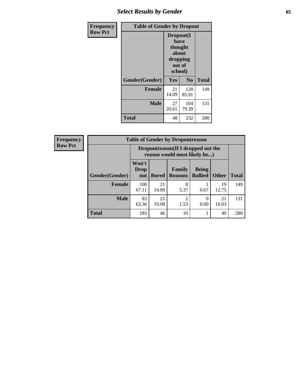# *Select Results by Gender* **65**

| Frequency      | <b>Table of Gender by Dropout</b> |                                                                        |                |              |
|----------------|-----------------------------------|------------------------------------------------------------------------|----------------|--------------|
| <b>Row Pct</b> |                                   | Dropout(I<br>have<br>thought<br>about<br>dropping<br>out of<br>school) |                |              |
|                | Gender(Gender)                    | Yes                                                                    | N <sub>0</sub> | <b>Total</b> |
|                | <b>Female</b>                     | 21<br>14.09                                                            | 128<br>85.91   | 149          |
|                | <b>Male</b>                       | 27<br>20.61                                                            | 104<br>79.39   | 131          |
|                | <b>Total</b>                      | 48                                                                     | 232            | 280          |

| <b>Frequency</b><br><b>Row Pct</b> |                        | <b>Table of Gender by Dropoutreason</b><br>Dropoutreason(If I dropped out the<br>reason would most likely be) |              |                          |                                |              |              |
|------------------------------------|------------------------|---------------------------------------------------------------------------------------------------------------|--------------|--------------------------|--------------------------------|--------------|--------------|
|                                    | <b>Gender</b> (Gender) | Won't<br><b>Drop</b><br>out                                                                                   | <b>Bored</b> | Family<br><b>Reasons</b> | <b>Being</b><br><b>Bullied</b> | <b>Other</b> | <b>Total</b> |
|                                    | <b>Female</b>          | 100<br>67.11                                                                                                  | 21<br>14.09  | 8<br>5.37                | 0.67                           | 19<br>12.75  | 149          |
|                                    | <b>Male</b>            | 83<br>63.36                                                                                                   | 25<br>19.08  | $\mathfrak{D}$<br>1.53   | 0<br>0.00                      | 21<br>16.03  | 131          |
|                                    | <b>Total</b>           | 183                                                                                                           | 46           | 10                       |                                | 40           | 280          |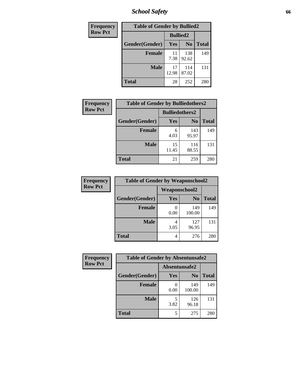*School Safety* **66**

| Frequency      | <b>Table of Gender by Bullied2</b> |                 |                |              |
|----------------|------------------------------------|-----------------|----------------|--------------|
| <b>Row Pct</b> |                                    | <b>Bullied2</b> |                |              |
|                | Gender(Gender)                     | Yes             | N <sub>0</sub> | <b>Total</b> |
|                | <b>Female</b>                      | 11<br>7.38      | 138<br>92.62   | 149          |
|                | <b>Male</b>                        | 17<br>12.98     | 114<br>87.02   | 131          |
|                | Total                              | 28              | 252            | 280          |

| Frequency      | <b>Table of Gender by Bulliedothers2</b> |                       |                |              |
|----------------|------------------------------------------|-----------------------|----------------|--------------|
| <b>Row Pct</b> |                                          | <b>Bulliedothers2</b> |                |              |
|                | Gender(Gender)                           | Yes                   | N <sub>0</sub> | <b>Total</b> |
|                | <b>Female</b>                            | 6<br>4.03             | 143<br>95.97   | 149          |
|                | <b>Male</b>                              | 15<br>11.45           | 116<br>88.55   | 131          |
|                | <b>Total</b>                             | 21                    | 259            | 280          |

| Frequency      | <b>Table of Gender by Weaponschool2</b> |                      |                |              |
|----------------|-----------------------------------------|----------------------|----------------|--------------|
| <b>Row Pct</b> |                                         | <b>Weaponschool2</b> |                |              |
|                | Gender(Gender)                          | Yes                  | N <sub>0</sub> | <b>Total</b> |
|                | Female                                  | 0.00                 | 149<br>100.00  | 149          |
|                | <b>Male</b>                             | 3.05                 | 127<br>96.95   | 131          |
|                | <b>Total</b>                            |                      | 276            | 280          |

| Frequency      | <b>Table of Gender by Absentunsafe2</b> |               |                |              |
|----------------|-----------------------------------------|---------------|----------------|--------------|
| <b>Row Pct</b> |                                         | Absentunsafe2 |                |              |
|                | Gender(Gender)                          | Yes           | N <sub>0</sub> | <b>Total</b> |
|                | <b>Female</b>                           | 0.00          | 149<br>100.00  | 149          |
|                | <b>Male</b>                             | 3.82          | 126<br>96.18   | 131          |
|                | <b>Total</b>                            |               | 275            | 280          |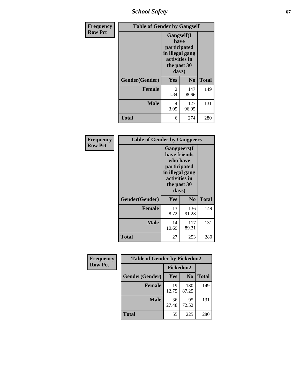*School Safety* **67**

| Frequency      | <b>Table of Gender by Gangself</b> |                                                                                                        |                |              |
|----------------|------------------------------------|--------------------------------------------------------------------------------------------------------|----------------|--------------|
| <b>Row Pct</b> |                                    | <b>Gangself</b> (I<br>have<br>participated<br>in illegal gang<br>activities in<br>the past 30<br>days) |                |              |
|                | Gender(Gender)                     | Yes                                                                                                    | N <sub>0</sub> | <b>Total</b> |
|                | <b>Female</b>                      | 2<br>1.34                                                                                              | 147<br>98.66   | 149          |
|                | <b>Male</b>                        | 4<br>3.05                                                                                              | 127<br>96.95   | 131          |
|                | <b>Total</b>                       | 6                                                                                                      | 274            | 280          |

| Frequency      | <b>Table of Gender by Gangpeers</b> |                                                                                                                             |                |              |
|----------------|-------------------------------------|-----------------------------------------------------------------------------------------------------------------------------|----------------|--------------|
| <b>Row Pct</b> |                                     | <b>Gangpeers</b> (I<br>have friends<br>who have<br>participated<br>in illegal gang<br>activities in<br>the past 30<br>days) |                |              |
|                | Gender(Gender)                      | Yes                                                                                                                         | N <sub>0</sub> | <b>Total</b> |
|                | <b>Female</b>                       | 13<br>8.72                                                                                                                  | 136<br>91.28   | 149          |
|                | <b>Male</b>                         | 14<br>10.69                                                                                                                 | 117<br>89.31   | 131          |
|                | <b>Total</b>                        | 27                                                                                                                          | 253            | 280          |

| Frequency      | <b>Table of Gender by Pickedon2</b> |             |                |              |
|----------------|-------------------------------------|-------------|----------------|--------------|
| <b>Row Pct</b> |                                     | Pickedon2   |                |              |
|                | Gender(Gender)                      | <b>Yes</b>  | N <sub>0</sub> | <b>Total</b> |
|                | <b>Female</b>                       | 19<br>12.75 | 130<br>87.25   | 149          |
|                | <b>Male</b>                         | 36<br>27.48 | 95<br>72.52    | 131          |
|                | <b>Total</b>                        | 55          | 225            | 280          |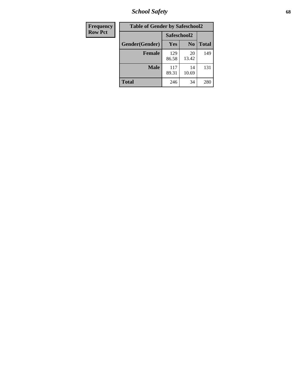*School Safety* **68**

| Frequency      | <b>Table of Gender by Safeschool2</b> |              |                |              |
|----------------|---------------------------------------|--------------|----------------|--------------|
| <b>Row Pct</b> |                                       | Safeschool2  |                |              |
|                | Gender(Gender)                        | <b>Yes</b>   | N <sub>0</sub> | <b>Total</b> |
|                | <b>Female</b>                         | 129<br>86.58 | 20<br>13.42    | 149          |
|                | <b>Male</b>                           | 117<br>89.31 | 14<br>10.69    | 131          |
|                | <b>Total</b>                          | 246          | 34             | 280          |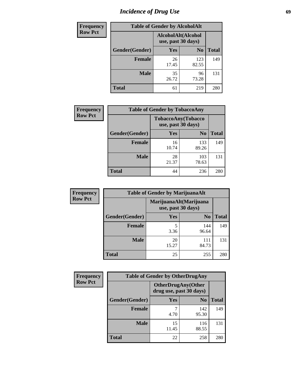# *Incidence of Drug Use* 69

| <b>Frequency</b> | <b>Table of Gender by AlcoholAlt</b> |                                          |                |              |  |
|------------------|--------------------------------------|------------------------------------------|----------------|--------------|--|
| <b>Row Pct</b>   |                                      | AlcoholAlt(Alcohol<br>use, past 30 days) |                |              |  |
|                  | Gender(Gender)                       | <b>Yes</b>                               | N <sub>0</sub> | <b>Total</b> |  |
|                  | <b>Female</b>                        | 26<br>17.45                              | 123<br>82.55   | 149          |  |
|                  | <b>Male</b>                          | 35<br>26.72                              | 96<br>73.28    | 131          |  |
|                  | <b>Total</b>                         | 61                                       | 219            | 280          |  |

| Frequency      | <b>Table of Gender by TobaccoAny</b> |                    |                    |              |  |
|----------------|--------------------------------------|--------------------|--------------------|--------------|--|
| <b>Row Pct</b> |                                      | use, past 30 days) | TobaccoAny(Tobacco |              |  |
|                | Gender(Gender)                       | Yes                | N <sub>0</sub>     | <b>Total</b> |  |
|                | <b>Female</b>                        | 16<br>10.74        | 133<br>89.26       | 149          |  |
|                | <b>Male</b>                          | 28<br>21.37        | 103<br>78.63       | 131          |  |
|                | Total                                | 44                 | 236                | 280          |  |

| <b>Frequency</b> | <b>Table of Gender by MarijuanaAlt</b> |                                              |                |              |
|------------------|----------------------------------------|----------------------------------------------|----------------|--------------|
| <b>Row Pct</b>   |                                        | MarijuanaAlt(Marijuana<br>use, past 30 days) |                |              |
|                  | Gender(Gender)                         | Yes                                          | N <sub>0</sub> | <b>Total</b> |
|                  | Female                                 | 3.36                                         | 144<br>96.64   | 149          |
|                  | <b>Male</b>                            | 20<br>15.27                                  | 111<br>84.73   | 131          |
|                  | <b>Total</b>                           | 25                                           | 255            | 280          |

| <b>Frequency</b> | <b>Table of Gender by OtherDrugAny</b> |                         |                           |              |
|------------------|----------------------------------------|-------------------------|---------------------------|--------------|
| <b>Row Pct</b>   |                                        | drug use, past 30 days) | <b>OtherDrugAny(Other</b> |              |
|                  | Gender(Gender)                         | <b>Yes</b>              | N <sub>0</sub>            | <b>Total</b> |
|                  | <b>Female</b>                          | 4.70                    | 142<br>95.30              | 149          |
|                  | <b>Male</b>                            | 15<br>11.45             | 116<br>88.55              | 131          |
|                  | <b>Total</b>                           | 22                      | 258                       | 280          |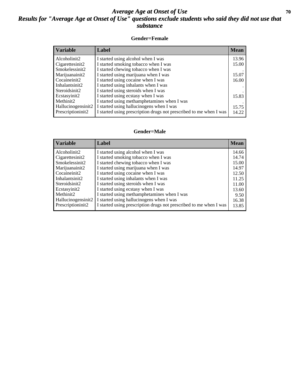### *Average Age at Onset of Use* 70 *Results for "Average Age at Onset of Use" questions exclude students who said they did not use that substance*

#### **Gender=Female**

| <b>Variable</b>    | Label                                                              | <b>Mean</b> |
|--------------------|--------------------------------------------------------------------|-------------|
| Alcoholinit2       | I started using alcohol when I was                                 | 13.96       |
| Cigarettesinit2    | I started smoking tobacco when I was                               | 15.00       |
| Smokelessinit2     | I started chewing tobacco when I was                               |             |
| Marijuanainit2     | I started using marijuana when I was                               | 15.07       |
| Cocaineinit2       | I started using cocaine when I was                                 | 16.00       |
| Inhalantsinit2     | I started using inhalants when I was                               |             |
| Steroidsinit2      | I started using steroids when I was                                |             |
| Ecstasyinit2       | I started using ecstasy when I was                                 | 15.83       |
| Methinit2          | I started using methamphetamines when I was                        |             |
| Hallucinogensinit2 | I started using hallucinogens when I was                           | 15.75       |
| Prescription in t2 | I started using prescription drugs not prescribed to me when I was | 14.22       |

#### **Gender=Male**

| <b>Variable</b>    | Label                                                              | <b>Mean</b> |
|--------------------|--------------------------------------------------------------------|-------------|
| Alcoholinit2       | I started using alcohol when I was                                 | 14.66       |
| Cigarettesinit2    | I started smoking tobacco when I was                               | 14.74       |
| Smokelessinit2     | I started chewing tobacco when I was                               | 15.00       |
| Marijuanainit2     | I started using marijuana when I was                               | 14.97       |
| Cocaineinit2       | I started using cocaine when I was                                 | 12.50       |
| Inhalantsinit2     | I started using inhalants when I was                               | 11.25       |
| Steroidsinit2      | I started using steroids when I was                                | 11.00       |
| Ecstasyinit2       | I started using ecstasy when I was                                 | 13.60       |
| Methinit2          | I started using methamphetamines when I was                        | 9.50        |
| Hallucinogensinit2 | I started using hallucinogens when I was                           | 16.38       |
| Prescriptioninit2  | I started using prescription drugs not prescribed to me when I was | 13.85       |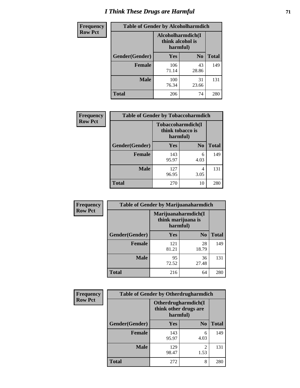# *I Think These Drugs are Harmful* **71**

| <b>Frequency</b> | <b>Table of Gender by Alcoholharmdich</b> |                                       |                |              |
|------------------|-------------------------------------------|---------------------------------------|----------------|--------------|
| <b>Row Pct</b>   |                                           | Alcoholharmdich(I<br>think alcohol is | harmful)       |              |
|                  | Gender(Gender)                            | Yes                                   | N <sub>0</sub> | <b>Total</b> |
|                  | Female                                    | 106<br>71.14                          | 43<br>28.86    | 149          |
|                  | <b>Male</b>                               | 100<br>76.34                          | 31<br>23.66    | 131          |
|                  | <b>Total</b>                              | 206                                   | 74             | 280          |

| Frequency      | <b>Table of Gender by Tobaccoharmdich</b> |                              |                   |              |
|----------------|-------------------------------------------|------------------------------|-------------------|--------------|
| <b>Row Pct</b> |                                           | think tobacco is<br>harmful) | Tobaccoharmdich(I |              |
|                | Gender(Gender)                            | Yes                          | N <sub>0</sub>    | <b>Total</b> |
|                | <b>Female</b>                             | 143<br>95.97                 | 6<br>4.03         | 149          |
|                | <b>Male</b>                               | 127<br>96.95                 | 4<br>3.05         | 131          |
|                | <b>Total</b>                              | 270                          | 10                | 280          |

| Frequency      | <b>Table of Gender by Marijuanaharmdich</b> |                                |                     |              |  |
|----------------|---------------------------------------------|--------------------------------|---------------------|--------------|--|
| <b>Row Pct</b> |                                             | think marijuana is<br>harmful) | Marijuanaharmdich(I |              |  |
|                | Gender(Gender)                              | <b>Yes</b>                     | N <sub>0</sub>      | <b>Total</b> |  |
|                | <b>Female</b>                               | 121<br>81.21                   | 28<br>18.79         | 149          |  |
|                | <b>Male</b>                                 | 95<br>72.52                    | 36<br>27.48         | 131          |  |
|                | <b>Total</b>                                | 216                            | 64                  | 280          |  |

| Frequency      | <b>Table of Gender by Otherdrugharmdich</b> |                                                          |                        |              |
|----------------|---------------------------------------------|----------------------------------------------------------|------------------------|--------------|
| <b>Row Pct</b> |                                             | Otherdrugharmdich(I<br>think other drugs are<br>harmful) |                        |              |
|                | Gender(Gender)                              | <b>Yes</b>                                               | N <sub>0</sub>         | <b>Total</b> |
|                | <b>Female</b>                               | 143<br>95.97                                             | 6<br>4.03              | 149          |
|                | <b>Male</b>                                 | 129<br>98.47                                             | $\overline{c}$<br>1.53 | 131          |
|                | <b>Total</b>                                | 272                                                      | 8                      | 280          |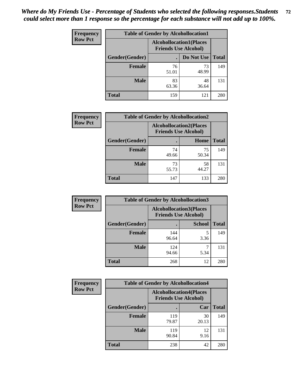| <b>Frequency</b> | <b>Table of Gender by Alcohollocation1</b> |                                                               |             |              |
|------------------|--------------------------------------------|---------------------------------------------------------------|-------------|--------------|
| <b>Row Pct</b>   |                                            | <b>Alcohollocation1(Places</b><br><b>Friends Use Alcohol)</b> |             |              |
|                  | Gender(Gender)                             |                                                               | Do Not Use  | <b>Total</b> |
|                  | <b>Female</b>                              | 76<br>51.01                                                   | 73<br>48.99 | 149          |
|                  | <b>Male</b>                                | 83<br>63.36                                                   | 48<br>36.64 | 131          |
|                  | <b>Total</b>                               | 159                                                           | 121         | 280          |

| <b>Frequency</b> |                | <b>Table of Gender by Alcohollocation2</b>                    |             |              |
|------------------|----------------|---------------------------------------------------------------|-------------|--------------|
| <b>Row Pct</b>   |                | <b>Alcohollocation2(Places</b><br><b>Friends Use Alcohol)</b> |             |              |
|                  | Gender(Gender) |                                                               | Home        | <b>Total</b> |
|                  | <b>Female</b>  | 74<br>49.66                                                   | 75<br>50.34 | 149          |
|                  | <b>Male</b>    | 73<br>55.73                                                   | 58<br>44.27 | 131          |
|                  | <b>Total</b>   | 147                                                           | 133         | 280          |

| Frequency      | <b>Table of Gender by Alcohollocation3</b> |                                                               |               |              |
|----------------|--------------------------------------------|---------------------------------------------------------------|---------------|--------------|
| <b>Row Pct</b> |                                            | <b>Alcohollocation3(Places</b><br><b>Friends Use Alcohol)</b> |               |              |
|                | Gender(Gender)                             |                                                               | <b>School</b> | <b>Total</b> |
|                | <b>Female</b>                              | 144<br>96.64                                                  | 3.36          | 149          |
|                | <b>Male</b>                                | 124<br>94.66                                                  | 5.34          | 131          |
|                | <b>Total</b>                               | 268                                                           | 12            | 280          |

| Frequency      | <b>Table of Gender by Alcohollocation4</b> |                                                               |             |              |
|----------------|--------------------------------------------|---------------------------------------------------------------|-------------|--------------|
| <b>Row Pct</b> |                                            | <b>Alcohollocation4(Places</b><br><b>Friends Use Alcohol)</b> |             |              |
|                | Gender(Gender)                             |                                                               | Car         | <b>Total</b> |
|                | <b>Female</b>                              | 119<br>79.87                                                  | 30<br>20.13 | 149          |
|                | <b>Male</b>                                | 119<br>90.84                                                  | 12<br>9.16  | 131          |
|                | <b>Total</b>                               | 238                                                           | 42          | 280          |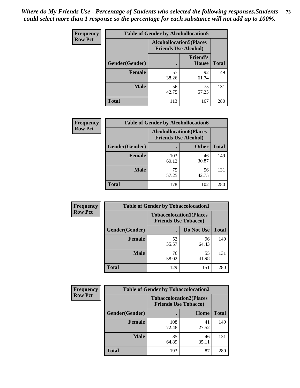| <b>Frequency</b> | <b>Table of Gender by Alcohollocation5</b>                    |             |                                 |              |
|------------------|---------------------------------------------------------------|-------------|---------------------------------|--------------|
| <b>Row Pct</b>   | <b>Alcohollocation5(Places</b><br><b>Friends Use Alcohol)</b> |             |                                 |              |
|                  | Gender(Gender)                                                | $\bullet$   | <b>Friend's</b><br><b>House</b> | <b>Total</b> |
|                  | <b>Female</b>                                                 | 57<br>38.26 | 92<br>61.74                     | 149          |
|                  | <b>Male</b>                                                   | 56<br>42.75 | 75<br>57.25                     | 131          |
|                  | <b>Total</b>                                                  | 113         | 167                             | 280          |

| Frequency      | <b>Table of Gender by Alcohollocation6</b> |                                                               |              |              |  |
|----------------|--------------------------------------------|---------------------------------------------------------------|--------------|--------------|--|
| <b>Row Pct</b> |                                            | <b>Alcohollocation6(Places</b><br><b>Friends Use Alcohol)</b> |              |              |  |
|                | <b>Gender</b> (Gender)                     |                                                               | <b>Other</b> | <b>Total</b> |  |
|                | <b>Female</b>                              | 103<br>69.13                                                  | 46<br>30.87  | 149          |  |
|                | <b>Male</b>                                | 75<br>57.25                                                   | 56<br>42.75  | 131          |  |
|                | <b>Total</b>                               | 178                                                           | 102          | 280          |  |

| Frequency      | <b>Table of Gender by Tobaccolocation1</b>                    |             |             |              |  |
|----------------|---------------------------------------------------------------|-------------|-------------|--------------|--|
| <b>Row Pct</b> | <b>Tobaccolocation1(Places</b><br><b>Friends Use Tobacco)</b> |             |             |              |  |
|                | Gender(Gender)                                                |             | Do Not Use  | <b>Total</b> |  |
|                | Female                                                        | 53<br>35.57 | 96<br>64.43 | 149          |  |
|                | <b>Male</b>                                                   | 76<br>58.02 | 55<br>41.98 | 131          |  |
|                | <b>Total</b>                                                  | 129         | 151         | 280          |  |

| <b>Frequency</b> |                | <b>Table of Gender by Tobaccolocation2</b> |                                |              |
|------------------|----------------|--------------------------------------------|--------------------------------|--------------|
| <b>Row Pct</b>   |                | <b>Friends Use Tobacco)</b>                | <b>Tobaccolocation2(Places</b> |              |
|                  | Gender(Gender) |                                            | Home                           | <b>Total</b> |
|                  | <b>Female</b>  | 108<br>72.48                               | 41<br>27.52                    | 149          |
|                  | <b>Male</b>    | 85<br>64.89                                | 46<br>35.11                    | 131          |
|                  | <b>Total</b>   | 193                                        | 87                             | 280          |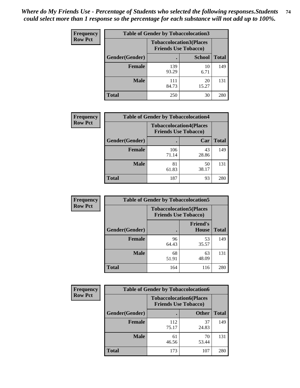| <b>Frequency</b> | <b>Table of Gender by Tobaccolocation3</b> |                             |                                |              |
|------------------|--------------------------------------------|-----------------------------|--------------------------------|--------------|
| <b>Row Pct</b>   |                                            | <b>Friends Use Tobacco)</b> | <b>Tobaccolocation3(Places</b> |              |
|                  | Gender(Gender)                             |                             | <b>School</b>                  | <b>Total</b> |
|                  | Female                                     | 139<br>93.29                | 10<br>6.71                     | 149          |
|                  | <b>Male</b>                                | 111<br>84.73                | 20<br>15.27                    | 131          |
|                  | <b>Total</b>                               | 250                         | 30                             | 280          |

| <b>Frequency</b> | <b>Table of Gender by Tobaccolocation4</b> |                                                               |             |              |
|------------------|--------------------------------------------|---------------------------------------------------------------|-------------|--------------|
| <b>Row Pct</b>   |                                            | <b>Tobaccolocation4(Places</b><br><b>Friends Use Tobacco)</b> |             |              |
|                  | Gender(Gender)                             |                                                               | Car         | <b>Total</b> |
|                  | Female                                     | 106<br>71.14                                                  | 43<br>28.86 | 149          |
|                  | <b>Male</b>                                | 81<br>61.83                                                   | 50<br>38.17 | 131          |
|                  | <b>Total</b>                               | 187                                                           | 93          | 280          |

| <b>Frequency</b> | <b>Table of Gender by Tobaccolocation5</b>                    |             |                                 |              |
|------------------|---------------------------------------------------------------|-------------|---------------------------------|--------------|
| <b>Row Pct</b>   | <b>Tobaccolocation5(Places</b><br><b>Friends Use Tobacco)</b> |             |                                 |              |
|                  | Gender(Gender)                                                |             | <b>Friend's</b><br><b>House</b> | <b>Total</b> |
|                  | <b>Female</b>                                                 | 96<br>64.43 | 53<br>35.57                     | 149          |
|                  | <b>Male</b>                                                   | 68<br>51.91 | 63<br>48.09                     | 131          |
|                  | <b>Total</b>                                                  | 164         | 116                             | 280          |

| <b>Frequency</b> | <b>Table of Gender by Tobaccolocation6</b> |              |                                                               |              |
|------------------|--------------------------------------------|--------------|---------------------------------------------------------------|--------------|
| <b>Row Pct</b>   |                                            |              | <b>Tobaccolocation6(Places</b><br><b>Friends Use Tobacco)</b> |              |
|                  | Gender(Gender)                             |              | <b>Other</b>                                                  | <b>Total</b> |
|                  | Female                                     | 112<br>75.17 | 37<br>24.83                                                   | 149          |
|                  | <b>Male</b>                                | 61<br>46.56  | 70<br>53.44                                                   | 131          |
|                  | <b>Total</b>                               | 173          | 107                                                           | 280          |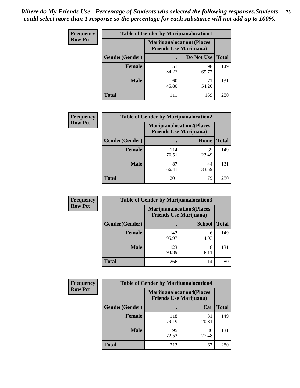| <b>Frequency</b> | <b>Table of Gender by Marijuanalocation1</b>                       |             |             |              |  |
|------------------|--------------------------------------------------------------------|-------------|-------------|--------------|--|
| <b>Row Pct</b>   | <b>Marijuanalocation1(Places</b><br><b>Friends Use Marijuana</b> ) |             |             |              |  |
|                  | Gender(Gender)                                                     |             | Do Not Use  | <b>Total</b> |  |
|                  | <b>Female</b>                                                      | 51<br>34.23 | 98<br>65.77 | 149          |  |
|                  | <b>Male</b>                                                        | 60<br>45.80 | 71<br>54.20 | 131          |  |
|                  | <b>Total</b>                                                       | 111         | 169         | 280          |  |

| <b>Frequency</b> | <b>Table of Gender by Marijuanalocation2</b> |                                                                    |             |       |
|------------------|----------------------------------------------|--------------------------------------------------------------------|-------------|-------|
| <b>Row Pct</b>   |                                              | <b>Marijuanalocation2(Places</b><br><b>Friends Use Marijuana</b> ) |             |       |
|                  | Gender(Gender)                               |                                                                    | Home        | Total |
|                  | Female                                       | 114<br>76.51                                                       | 35<br>23.49 | 149   |
|                  | <b>Male</b>                                  | 87<br>66.41                                                        | 44<br>33.59 | 131   |
|                  | <b>Total</b>                                 | 201                                                                | 79          | 280   |

| Frequency      | <b>Table of Gender by Marijuanalocation3</b> |                                                                     |               |              |
|----------------|----------------------------------------------|---------------------------------------------------------------------|---------------|--------------|
| <b>Row Pct</b> |                                              | <b>Marijuanalocation3(Places)</b><br><b>Friends Use Marijuana</b> ) |               |              |
|                | Gender(Gender)                               |                                                                     | <b>School</b> | <b>Total</b> |
|                | Female                                       | 143<br>95.97                                                        | 6<br>4.03     | 149          |
|                | <b>Male</b>                                  | 123<br>93.89                                                        | 8<br>6.11     | 131          |
|                | <b>Total</b>                                 | 266                                                                 | 14            | 280          |

| Frequency      | <b>Table of Gender by Marijuanalocation4</b> |                                |                                  |              |  |
|----------------|----------------------------------------------|--------------------------------|----------------------------------|--------------|--|
| <b>Row Pct</b> |                                              | <b>Friends Use Marijuana</b> ) | <b>Marijuanalocation4(Places</b> |              |  |
|                | Gender(Gender)                               |                                | Car                              | <b>Total</b> |  |
|                | <b>Female</b>                                | 118<br>79.19                   | 31<br>20.81                      | 149          |  |
|                | <b>Male</b>                                  | 95<br>72.52                    | 36<br>27.48                      | 131          |  |
|                | <b>Total</b>                                 | 213                            | 67                               | 280          |  |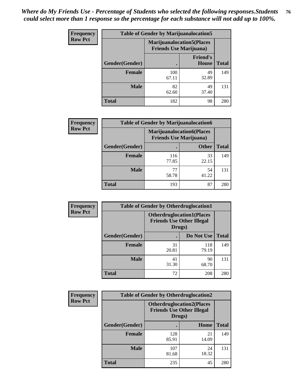| <b>Frequency</b> | <b>Table of Gender by Marijuanalocation5</b> |                                                                     |                          |              |
|------------------|----------------------------------------------|---------------------------------------------------------------------|--------------------------|--------------|
| <b>Row Pct</b>   |                                              | <b>Marijuanalocation5</b> (Places<br><b>Friends Use Marijuana</b> ) |                          |              |
|                  | Gender(Gender)                               |                                                                     | <b>Friend's</b><br>House | <b>Total</b> |
|                  | Female                                       | 100<br>67.11                                                        | 49<br>32.89              | 149          |
|                  | <b>Male</b>                                  | 82<br>62.60                                                         | 49<br>37.40              | 131          |
|                  | <b>Total</b>                                 | 182                                                                 | 98                       | 280          |

| <b>Frequency</b> | <b>Table of Gender by Marijuanalocation6</b> |                                |                                  |              |
|------------------|----------------------------------------------|--------------------------------|----------------------------------|--------------|
| <b>Row Pct</b>   |                                              | <b>Friends Use Marijuana</b> ) | <b>Marijuanalocation6(Places</b> |              |
|                  | <b>Gender</b> (Gender)                       |                                | <b>Other</b>                     | <b>Total</b> |
|                  | <b>Female</b>                                | 116<br>77.85                   | 33<br>22.15                      | 149          |
|                  | <b>Male</b>                                  | 77<br>58.78                    | 54<br>41.22                      | 131          |
|                  | <b>Total</b>                                 | 193                            | 87                               | 280          |

| <b>Frequency</b> | <b>Table of Gender by Otherdruglocation1</b> |                                            |                                  |              |
|------------------|----------------------------------------------|--------------------------------------------|----------------------------------|--------------|
| <b>Row Pct</b>   |                                              | <b>Friends Use Other Illegal</b><br>Drugs) | <b>Otherdruglocation1(Places</b> |              |
|                  | Gender(Gender)                               |                                            | Do Not Use                       | <b>Total</b> |
|                  | <b>Female</b>                                | 31<br>20.81                                | 118<br>79.19                     | 149          |
|                  | <b>Male</b>                                  | 41<br>31.30                                | 90<br>68.70                      | 131          |
|                  | <b>Total</b>                                 | 72                                         | 208                              | 280          |

| <b>Frequency</b> | <b>Table of Gender by Otherdruglocation2</b> |                                                                                |             |              |
|------------------|----------------------------------------------|--------------------------------------------------------------------------------|-------------|--------------|
| <b>Row Pct</b>   |                                              | <b>Otherdruglocation2(Places</b><br><b>Friends Use Other Illegal</b><br>Drugs) |             |              |
|                  | Gender(Gender)                               |                                                                                | Home        | <b>Total</b> |
|                  | Female                                       | 128<br>85.91                                                                   | 21<br>14.09 | 149          |
|                  | <b>Male</b>                                  | 107<br>81.68                                                                   | 24<br>18.32 | 131          |
|                  | <b>Total</b>                                 | 235                                                                            | 45          | 280          |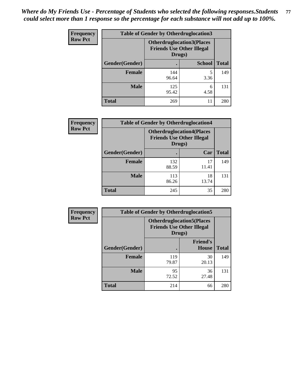| <b>Frequency</b> | <b>Table of Gender by Otherdruglocation3</b> |                                                                                |               |              |
|------------------|----------------------------------------------|--------------------------------------------------------------------------------|---------------|--------------|
| <b>Row Pct</b>   |                                              | <b>Otherdruglocation3(Places</b><br><b>Friends Use Other Illegal</b><br>Drugs) |               |              |
|                  | Gender(Gender)                               |                                                                                | <b>School</b> | <b>Total</b> |
|                  | <b>Female</b>                                | 144<br>96.64                                                                   | 3.36          | 149          |
|                  | <b>Male</b>                                  | 125<br>95.42                                                                   | 6<br>4.58     | 131          |
|                  | <b>Total</b>                                 | 269                                                                            | 11            | 280          |

| Frequency      |                | <b>Table of Gender by Otherdruglocation4</b> |                                                                      |              |
|----------------|----------------|----------------------------------------------|----------------------------------------------------------------------|--------------|
| <b>Row Pct</b> |                | Drugs)                                       | <b>Otherdruglocation4(Places</b><br><b>Friends Use Other Illegal</b> |              |
|                | Gender(Gender) |                                              | Car                                                                  | <b>Total</b> |
|                | <b>Female</b>  | 132<br>88.59                                 | 17<br>11.41                                                          | 149          |
|                | <b>Male</b>    | 113<br>86.26                                 | 18<br>13.74                                                          | 131          |
|                | <b>Total</b>   | 245                                          | 35                                                                   | 280          |

| Frequency      | <b>Table of Gender by Otherdruglocation5</b> |                                            |                                  |              |
|----------------|----------------------------------------------|--------------------------------------------|----------------------------------|--------------|
| <b>Row Pct</b> |                                              | <b>Friends Use Other Illegal</b><br>Drugs) | <b>Otherdruglocation5(Places</b> |              |
|                | Gender(Gender)                               |                                            | <b>Friend's</b><br><b>House</b>  | <b>Total</b> |
|                | <b>Female</b>                                | 119<br>79.87                               | 30<br>20.13                      | 149          |
|                | <b>Male</b>                                  | 95<br>72.52                                | 36<br>27.48                      | 131          |
|                | <b>Total</b>                                 | 214                                        | 66                               | 280          |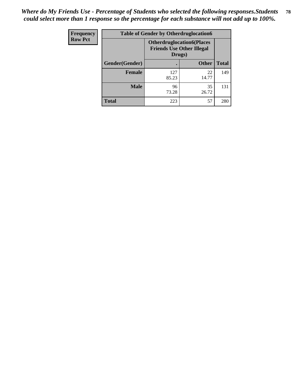| Frequency      | <b>Table of Gender by Otherdruglocation6</b> |                                            |                                  |              |
|----------------|----------------------------------------------|--------------------------------------------|----------------------------------|--------------|
| <b>Row Pct</b> |                                              | <b>Friends Use Other Illegal</b><br>Drugs) | <b>Otherdruglocation6(Places</b> |              |
|                | Gender(Gender)                               |                                            | <b>Other</b>                     | <b>Total</b> |
|                | <b>Female</b>                                | 127<br>85.23                               | 22<br>14.77                      | 149          |
|                | <b>Male</b>                                  | 96<br>73.28                                | 35<br>26.72                      | 131          |
|                | <b>Total</b>                                 | 223                                        | 57                               | 280          |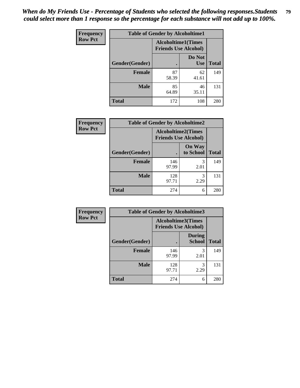| Frequency      | <b>Table of Gender by Alcoholtime1</b> |                                                   |                      |              |
|----------------|----------------------------------------|---------------------------------------------------|----------------------|--------------|
| <b>Row Pct</b> |                                        | Alcoholtime1(Times<br><b>Friends Use Alcohol)</b> |                      |              |
|                | Gender(Gender)                         | $\bullet$                                         | Do Not<br><b>Use</b> | <b>Total</b> |
|                | <b>Female</b>                          | 87<br>58.39                                       | 62<br>41.61          | 149          |
|                | <b>Male</b>                            | 85<br>64.89                                       | 46<br>35.11          | 131          |
|                | <b>Total</b>                           | 172                                               | 108                  | 280          |

| Frequency      | <b>Table of Gender by Alcoholtime2</b> |                                                          |                            |              |
|----------------|----------------------------------------|----------------------------------------------------------|----------------------------|--------------|
| <b>Row Pct</b> |                                        | <b>Alcoholtime2(Times</b><br><b>Friends Use Alcohol)</b> |                            |              |
|                | Gender(Gender)                         |                                                          | <b>On Way</b><br>to School | <b>Total</b> |
|                | <b>Female</b>                          | 146<br>97.99                                             | 3<br>2.01                  | 149          |
|                | <b>Male</b>                            | 128<br>97.71                                             | 3<br>2.29                  | 131          |
|                | <b>Total</b>                           | 274                                                      | 6                          | 280          |

| Frequency      | <b>Table of Gender by Alcoholtime3</b> |                                                   |                                |              |
|----------------|----------------------------------------|---------------------------------------------------|--------------------------------|--------------|
| <b>Row Pct</b> |                                        | Alcoholtime3(Times<br><b>Friends Use Alcohol)</b> |                                |              |
|                | Gender(Gender)                         |                                                   | <b>During</b><br><b>School</b> | <b>Total</b> |
|                | Female                                 | 146<br>97.99                                      | 3<br>2.01                      | 149          |
|                | <b>Male</b>                            | 128<br>97.71                                      | 3<br>2.29                      | 131          |
|                | <b>Total</b>                           | 274                                               | 6                              | 280          |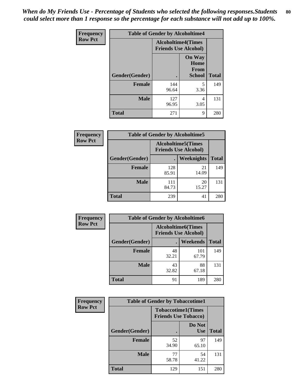*When do My Friends Use - Percentage of Students who selected the following responses.Students could select more than 1 response so the percentage for each substance will not add up to 100%.* **80**

| <b>Frequency</b> | <b>Table of Gender by Alcoholtime4</b> |                                                          |                                                |              |
|------------------|----------------------------------------|----------------------------------------------------------|------------------------------------------------|--------------|
| <b>Row Pct</b>   |                                        | <b>Alcoholtime4(Times</b><br><b>Friends Use Alcohol)</b> |                                                |              |
|                  | Gender(Gender)                         |                                                          | <b>On Way</b><br>Home<br>From<br><b>School</b> | <b>Total</b> |
|                  | <b>Female</b>                          | 144<br>96.64                                             | 5<br>3.36                                      | 149          |
|                  | <b>Male</b>                            | 127<br>96.95                                             | 4<br>3.05                                      | 131          |
|                  | <b>Total</b>                           | 271                                                      | 9                                              | 280          |

| <b>Frequency</b> | <b>Table of Gender by Alcoholtime5</b> |                                                           |             |              |  |
|------------------|----------------------------------------|-----------------------------------------------------------|-------------|--------------|--|
| <b>Row Pct</b>   |                                        | <b>Alcoholtime5</b> (Times<br><b>Friends Use Alcohol)</b> |             |              |  |
|                  | Gender(Gender)                         |                                                           | Weeknights  | <b>Total</b> |  |
|                  | <b>Female</b>                          | 128<br>85.91                                              | 21<br>14.09 | 149          |  |
|                  | <b>Male</b>                            | 111<br>84.73                                              | 20<br>15.27 | 131          |  |
|                  | <b>Total</b>                           | 239                                                       | 41          | 280          |  |

| <b>Frequency</b> | <b>Table of Gender by Alcoholtime6</b> |             |                                                           |              |
|------------------|----------------------------------------|-------------|-----------------------------------------------------------|--------------|
| <b>Row Pct</b>   |                                        |             | <b>Alcoholtime6</b> (Times<br><b>Friends Use Alcohol)</b> |              |
|                  | Gender(Gender)                         |             | Weekends                                                  | <b>Total</b> |
|                  | Female                                 | 48<br>32.21 | 101<br>67.79                                              | 149          |
|                  | <b>Male</b>                            | 43<br>32.82 | 88<br>67.18                                               | 131          |
|                  | <b>Total</b>                           | 91          | 189                                                       | 280          |

| Frequency      | <b>Table of Gender by Tobaccotime1</b> |                                                          |                      |              |
|----------------|----------------------------------------|----------------------------------------------------------|----------------------|--------------|
| <b>Row Pct</b> |                                        | <b>Tobaccotime1(Times</b><br><b>Friends Use Tobacco)</b> |                      |              |
|                | Gender(Gender)                         |                                                          | Do Not<br><b>Use</b> | <b>Total</b> |
|                | <b>Female</b>                          | 52<br>34.90                                              | 97<br>65.10          | 149          |
|                | <b>Male</b>                            | 77<br>58.78                                              | 54<br>41.22          | 131          |
|                | <b>Total</b>                           | 129                                                      | 151                  | 280          |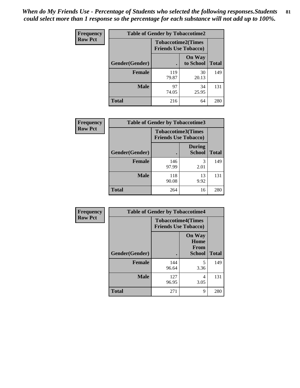*When do My Friends Use - Percentage of Students who selected the following responses.Students could select more than 1 response so the percentage for each substance will not add up to 100%.* **81**

| Frequency      | <b>Table of Gender by Tobaccotime2</b> |                                                          |                            |              |
|----------------|----------------------------------------|----------------------------------------------------------|----------------------------|--------------|
| <b>Row Pct</b> |                                        | <b>Tobaccotime2(Times</b><br><b>Friends Use Tobacco)</b> |                            |              |
|                | Gender(Gender)                         |                                                          | <b>On Way</b><br>to School | <b>Total</b> |
|                | <b>Female</b>                          | 119<br>79.87                                             | 30<br>20.13                | 149          |
|                | <b>Male</b>                            | 97<br>74.05                                              | 34<br>25.95                | 131          |
|                | Total                                  | 216                                                      | 64                         | 280          |

| Frequency      | <b>Table of Gender by Tobaccotime3</b> |                                                          |                                |              |
|----------------|----------------------------------------|----------------------------------------------------------|--------------------------------|--------------|
| <b>Row Pct</b> |                                        | <b>Tobaccotime3(Times</b><br><b>Friends Use Tobacco)</b> |                                |              |
|                | Gender(Gender)                         |                                                          | <b>During</b><br><b>School</b> | <b>Total</b> |
|                | Female                                 | 146<br>97.99                                             | 3<br>2.01                      | 149          |
|                | <b>Male</b>                            | 118<br>90.08                                             | 13<br>9.92                     | 131          |
|                | <b>Total</b>                           | 264                                                      | 16                             | 280          |

| <b>Frequency</b> | <b>Table of Gender by Tobaccotime4</b> |                                                          |                                                |              |
|------------------|----------------------------------------|----------------------------------------------------------|------------------------------------------------|--------------|
| <b>Row Pct</b>   |                                        | <b>Tobaccotime4(Times</b><br><b>Friends Use Tobacco)</b> |                                                |              |
|                  | Gender(Gender)                         |                                                          | <b>On Way</b><br>Home<br>From<br><b>School</b> | <b>Total</b> |
|                  | <b>Female</b>                          | 144<br>96.64                                             | 5<br>3.36                                      | 149          |
|                  | <b>Male</b>                            | 127<br>96.95                                             | 4<br>3.05                                      | 131          |
|                  | <b>Total</b>                           | 271                                                      | 9                                              | 280          |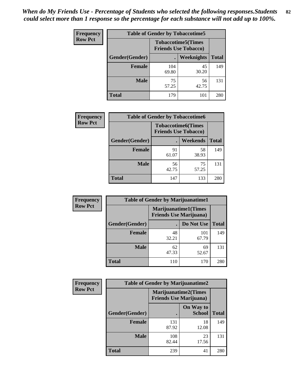| <b>Frequency</b> | <b>Table of Gender by Tobaccotime5</b> |              |                                                           |              |  |
|------------------|----------------------------------------|--------------|-----------------------------------------------------------|--------------|--|
| <b>Row Pct</b>   |                                        |              | <b>Tobaccotime5</b> (Times<br><b>Friends Use Tobacco)</b> |              |  |
|                  | Gender(Gender)                         |              | Weeknights                                                | <b>Total</b> |  |
|                  | <b>Female</b>                          | 104<br>69.80 | 45<br>30.20                                               | 149          |  |
|                  | <b>Male</b>                            | 75<br>57.25  | 56<br>42.75                                               | 131          |  |
|                  | <b>Total</b>                           | 179          | 101                                                       | 280          |  |

| Frequency      | <b>Table of Gender by Tobaccotime6</b> |                             |                           |              |  |
|----------------|----------------------------------------|-----------------------------|---------------------------|--------------|--|
| <b>Row Pct</b> |                                        | <b>Friends Use Tobacco)</b> | <b>Tobaccotime6(Times</b> |              |  |
|                | Gender(Gender)                         |                             | Weekends                  | <b>Total</b> |  |
|                | Female                                 | 91<br>61.07                 | 58<br>38.93               | 149          |  |
|                | <b>Male</b>                            | 56<br>42.75                 | 75<br>57.25               | 131          |  |
|                | <b>Total</b>                           | 147                         | 133                       | 280          |  |

| <b>Frequency</b> | <b>Table of Gender by Marijuanatime1</b> |             |                                                               |              |
|------------------|------------------------------------------|-------------|---------------------------------------------------------------|--------------|
| <b>Row Pct</b>   |                                          |             | <b>Marijuanatime1(Times</b><br><b>Friends Use Marijuana</b> ) |              |
|                  | Gender(Gender)                           |             | Do Not Use                                                    | <b>Total</b> |
|                  | <b>Female</b>                            | 48<br>32.21 | 101<br>67.79                                                  | 149          |
|                  | <b>Male</b>                              | 62<br>47.33 | 69<br>52.67                                                   | 131          |
|                  | <b>Total</b>                             | 110         | 170                                                           | 280          |

| <b>Frequency</b> | <b>Table of Gender by Marijuanatime2</b> |                                |                             |              |
|------------------|------------------------------------------|--------------------------------|-----------------------------|--------------|
| <b>Row Pct</b>   |                                          | <b>Friends Use Marijuana</b> ) | <b>Marijuanatime2(Times</b> |              |
|                  | Gender(Gender)                           |                                | On Way to<br><b>School</b>  | <b>Total</b> |
|                  | <b>Female</b>                            | 131<br>87.92                   | 18<br>12.08                 | 149          |
|                  | <b>Male</b>                              | 108<br>82.44                   | 23<br>17.56                 | 131          |
|                  | <b>Total</b>                             | 239                            | 41                          | 280          |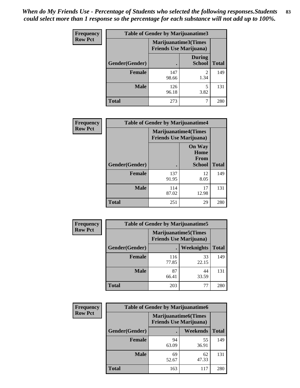| Frequency      | <b>Table of Gender by Marijuanatime3</b> |                                                        |                                |              |
|----------------|------------------------------------------|--------------------------------------------------------|--------------------------------|--------------|
| <b>Row Pct</b> |                                          | Marijuanatime3(Times<br><b>Friends Use Marijuana</b> ) |                                |              |
|                | Gender(Gender)                           |                                                        | <b>During</b><br><b>School</b> | <b>Total</b> |
|                | <b>Female</b>                            | 147<br>98.66                                           | $\mathfrak{D}$<br>1.34         | 149          |
|                | <b>Male</b>                              | 126<br>96.18                                           | 5<br>3.82                      | 131          |
|                | <b>Total</b>                             | 273                                                    |                                | 280          |

| Frequency      | <b>Table of Gender by Marijuanatime4</b> |                                                               |                                                |              |
|----------------|------------------------------------------|---------------------------------------------------------------|------------------------------------------------|--------------|
| <b>Row Pct</b> |                                          | <b>Marijuanatime4(Times</b><br><b>Friends Use Marijuana</b> ) |                                                |              |
|                | Gender(Gender)                           |                                                               | <b>On Way</b><br>Home<br>From<br><b>School</b> | <b>Total</b> |
|                | <b>Female</b>                            | 137<br>91.95                                                  | 12<br>8.05                                     | 149          |
|                | <b>Male</b>                              | 114<br>87.02                                                  | 17<br>12.98                                    | 131          |
|                | <b>Total</b>                             | 251                                                           | 29                                             | 280          |

| Frequency      | <b>Table of Gender by Marijuanatime5</b> |                                                                |             |              |  |
|----------------|------------------------------------------|----------------------------------------------------------------|-------------|--------------|--|
| <b>Row Pct</b> |                                          | <b>Marijuanatime5</b> (Times<br><b>Friends Use Marijuana</b> ) |             |              |  |
|                | Gender(Gender)                           | ٠                                                              | Weeknights  | <b>Total</b> |  |
|                | <b>Female</b>                            | 116<br>77.85                                                   | 33<br>22.15 | 149          |  |
|                | <b>Male</b>                              | 87<br>66.41                                                    | 44<br>33.59 | 131          |  |
|                | <b>Total</b>                             | 203                                                            | 77          | 280          |  |

| Frequency      | <b>Table of Gender by Marijuanatime6</b> |                                                               |                 |              |  |  |
|----------------|------------------------------------------|---------------------------------------------------------------|-----------------|--------------|--|--|
| <b>Row Pct</b> |                                          | <b>Marijuanatime6(Times</b><br><b>Friends Use Marijuana</b> ) |                 |              |  |  |
|                | Gender(Gender)                           |                                                               | <b>Weekends</b> | <b>Total</b> |  |  |
|                | <b>Female</b>                            | 94<br>63.09                                                   | 55<br>36.91     | 149          |  |  |
|                | <b>Male</b>                              | 69<br>52.67                                                   | 62<br>47.33     | 131          |  |  |
|                | <b>Total</b>                             | 163                                                           | 117             | 280          |  |  |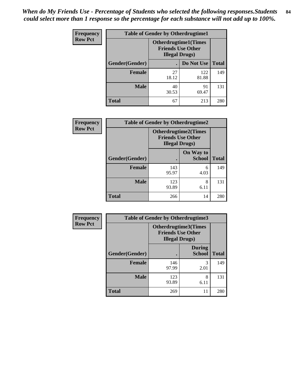*When do My Friends Use - Percentage of Students who selected the following responses.Students could select more than 1 response so the percentage for each substance will not add up to 100%.* **84**

| <b>Frequency</b> |                | <b>Table of Gender by Otherdrugtime1</b>                                           |              |              |  |  |
|------------------|----------------|------------------------------------------------------------------------------------|--------------|--------------|--|--|
| <b>Row Pct</b>   |                | <b>Otherdrugtime1</b> (Times<br><b>Friends Use Other</b><br><b>Illegal Drugs</b> ) |              |              |  |  |
|                  | Gender(Gender) |                                                                                    | Do Not Use   | <b>Total</b> |  |  |
|                  | <b>Female</b>  | 27<br>18.12                                                                        | 122<br>81.88 | 149          |  |  |
|                  | <b>Male</b>    | 40<br>30.53                                                                        | 91<br>69.47  | 131          |  |  |
|                  | <b>Total</b>   | 67                                                                                 | 213          | 280          |  |  |

| Frequency      | <b>Table of Gender by Otherdrugtime2</b> |                                                                                   |                            |              |  |  |
|----------------|------------------------------------------|-----------------------------------------------------------------------------------|----------------------------|--------------|--|--|
| <b>Row Pct</b> |                                          | <b>Otherdrugtime2(Times</b><br><b>Friends Use Other</b><br><b>Illegal Drugs</b> ) |                            |              |  |  |
|                | Gender(Gender)                           | $\bullet$                                                                         | On Way to<br><b>School</b> | <b>Total</b> |  |  |
|                | Female                                   | 143<br>95.97                                                                      | 6<br>4.03                  | 149          |  |  |
|                | <b>Male</b>                              | 123<br>93.89                                                                      | 8<br>6.11                  | 131          |  |  |
|                | <b>Total</b>                             | 266                                                                               | 14                         | 280          |  |  |

| <b>Frequency</b> | Table of Gender by Otherdrugtime3 |                                                                            |                                |              |  |
|------------------|-----------------------------------|----------------------------------------------------------------------------|--------------------------------|--------------|--|
| <b>Row Pct</b>   |                                   | Otherdrugtime3(Times<br><b>Friends Use Other</b><br><b>Illegal Drugs</b> ) |                                |              |  |
|                  | Gender(Gender)                    |                                                                            | <b>During</b><br><b>School</b> | <b>Total</b> |  |
|                  | <b>Female</b>                     | 146<br>97.99                                                               | 3<br>2.01                      | 149          |  |
|                  | <b>Male</b>                       | 123<br>93.89                                                               | 8<br>6.11                      | 131          |  |
|                  | <b>Total</b>                      | 269                                                                        | 11                             | 280          |  |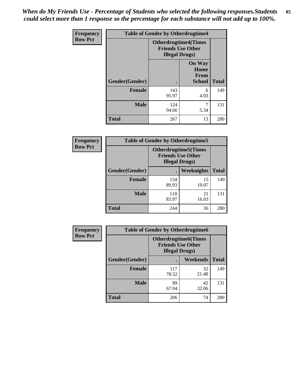*When do My Friends Use - Percentage of Students who selected the following responses.Students could select more than 1 response so the percentage for each substance will not add up to 100%.* **85**

| Frequency      |                | <b>Table of Gender by Otherdrugtime4</b> |                                                         |              |
|----------------|----------------|------------------------------------------|---------------------------------------------------------|--------------|
| <b>Row Pct</b> |                | <b>Illegal Drugs</b> )                   | <b>Otherdrugtime4(Times</b><br><b>Friends Use Other</b> |              |
|                | Gender(Gender) |                                          | <b>On Way</b><br>Home<br><b>From</b><br><b>School</b>   | <b>Total</b> |
|                | <b>Female</b>  | 143<br>95.97                             | 6<br>4.03                                               | 149          |
|                | <b>Male</b>    | 124<br>94.66                             | 5.34                                                    | 131          |
|                | <b>Total</b>   | 267                                      | 13                                                      | 280          |

| <b>Frequency</b> |                | <b>Table of Gender by Otherdrugtime5</b>                                           |             |              |
|------------------|----------------|------------------------------------------------------------------------------------|-------------|--------------|
| <b>Row Pct</b>   |                | <b>Otherdrugtime5</b> (Times<br><b>Friends Use Other</b><br><b>Illegal Drugs</b> ) |             |              |
|                  | Gender(Gender) |                                                                                    | Weeknights  | <b>Total</b> |
|                  | <b>Female</b>  | 134<br>89.93                                                                       | 15<br>10.07 | 149          |
|                  | <b>Male</b>    | 110<br>83.97                                                                       | 21<br>16.03 | 131          |
|                  | <b>Total</b>   | 244                                                                                | 36          | 280          |

| <b>Frequency</b> | <b>Table of Gender by Otherdrugtime6</b> |                                                                                   |             |              |  |
|------------------|------------------------------------------|-----------------------------------------------------------------------------------|-------------|--------------|--|
| <b>Row Pct</b>   |                                          | <b>Otherdrugtime6(Times</b><br><b>Friends Use Other</b><br><b>Illegal Drugs</b> ) |             |              |  |
|                  | Gender(Gender)                           |                                                                                   | Weekends    | <b>Total</b> |  |
|                  | <b>Female</b>                            | 117<br>78.52                                                                      | 32<br>21.48 | 149          |  |
|                  | <b>Male</b>                              | 89<br>67.94                                                                       | 42<br>32.06 | 131          |  |
|                  | <b>Total</b>                             | 206                                                                               | 74          | 280          |  |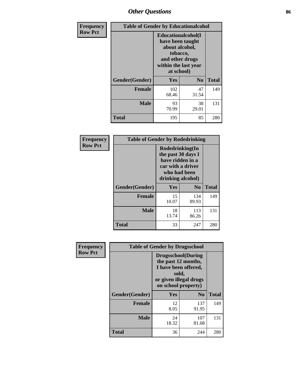# *Other Questions* **86**

| <b>Frequency</b> | <b>Table of Gender by Educationalcohol</b> |                                                                                                                                       |                |              |
|------------------|--------------------------------------------|---------------------------------------------------------------------------------------------------------------------------------------|----------------|--------------|
| <b>Row Pct</b>   |                                            | <b>Educationalcohol</b> (I<br>have been taught<br>about alcohol,<br>tobacco,<br>and other drugs<br>within the last year<br>at school) |                |              |
|                  | Gender(Gender)                             | <b>Yes</b>                                                                                                                            | N <sub>0</sub> | <b>Total</b> |
|                  | <b>Female</b>                              | 102<br>68.46                                                                                                                          | 47<br>31.54    | 149          |
|                  | <b>Male</b>                                | 93<br>70.99                                                                                                                           | 38<br>29.01    | 131          |
|                  | <b>Total</b>                               | 195                                                                                                                                   | 85             | 280          |

| Frequency      | <b>Table of Gender by Rodedrinking</b> |                                                                                                                     |                |              |  |  |
|----------------|----------------------------------------|---------------------------------------------------------------------------------------------------------------------|----------------|--------------|--|--|
| <b>Row Pct</b> |                                        | Rodedrinking(In<br>the past 30 days I<br>have ridden in a<br>car with a driver<br>who had been<br>drinking alcohol) |                |              |  |  |
|                | Gender(Gender)                         | Yes                                                                                                                 | N <sub>0</sub> | <b>Total</b> |  |  |
|                | <b>Female</b>                          | 15<br>10.07                                                                                                         | 134<br>89.93   | 149          |  |  |
|                | <b>Male</b>                            | 18<br>13.74                                                                                                         | 113<br>86.26   | 131          |  |  |
|                | <b>Total</b>                           | 33                                                                                                                  | 247            | 280          |  |  |

| Frequency      |                | <b>Table of Gender by Drugsschool</b>                                                                                               |              |              |
|----------------|----------------|-------------------------------------------------------------------------------------------------------------------------------------|--------------|--------------|
| <b>Row Pct</b> |                | <b>Drugsschool</b> (During<br>the past 12 months,<br>I have been offered,<br>sold,<br>or given illegal drugs<br>on school property) |              |              |
|                | Gender(Gender) | Yes                                                                                                                                 | $\bf No$     | <b>Total</b> |
|                | <b>Female</b>  | 12<br>8.05                                                                                                                          | 137<br>91.95 | 149          |
|                | <b>Male</b>    | 24<br>18.32                                                                                                                         | 107<br>81.68 | 131          |
|                | <b>Total</b>   | 36                                                                                                                                  | 244          | 280          |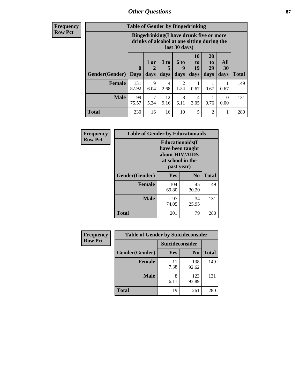## *Other Questions* **87**

**Frequency Row Pct**

| <b>Table of Gender by Bingedrinking</b> |                                                                                                                                                                   |                                                                                                         |            |           |                          |       |                  |     |
|-----------------------------------------|-------------------------------------------------------------------------------------------------------------------------------------------------------------------|---------------------------------------------------------------------------------------------------------|------------|-----------|--------------------------|-------|------------------|-----|
|                                         |                                                                                                                                                                   | Bingedrinking(I have drunk five or more<br>drinks of alcohol at one sitting during the<br>last 30 days) |            |           |                          |       |                  |     |
|                                         | 10<br><b>20</b><br>1 or<br>3 to<br>6 to<br>to<br>to<br>19<br>29<br>$\mathbf 0$<br>5<br>q<br><b>Gender</b> (Gender)   Days<br>days<br>days<br>days<br>days<br>days |                                                                                                         |            |           | All<br><b>30</b><br>days | Total |                  |     |
| <b>Female</b>                           | 131<br>87.92                                                                                                                                                      | 9<br>6.04                                                                                               | 4<br>2.68  | 2<br>1.34 | 0.67                     | 0.67  | 0.67             | 149 |
| <b>Male</b>                             | 99<br>75.57                                                                                                                                                       | 7<br>5.34                                                                                               | 12<br>9.16 | 8<br>6.11 | 4<br>3.05                | 0.76  | $\Omega$<br>0.00 | 131 |
|                                         |                                                                                                                                                                   |                                                                                                         |            |           |                          |       |                  |     |

| Frequency      | <b>Table of Gender by Educationaids</b> |                                                                                                 |             |              |
|----------------|-----------------------------------------|-------------------------------------------------------------------------------------------------|-------------|--------------|
| <b>Row Pct</b> |                                         | <b>Educationaids</b> (I<br>have been taught<br>about HIV/AIDS<br>at school in the<br>past year) |             |              |
|                | Gender(Gender)                          | Yes                                                                                             | $\bf N_0$   | <b>Total</b> |
|                | <b>Female</b>                           | 104<br>69.80                                                                                    | 45<br>30.20 | 149          |
|                | <b>Male</b>                             | 97<br>74.05                                                                                     | 34<br>25.95 | 131          |
|                | <b>Total</b>                            | 201                                                                                             | 79          | 280          |

| <b>Frequency</b> | <b>Table of Gender by Suicideconsider</b> |                        |                |       |
|------------------|-------------------------------------------|------------------------|----------------|-------|
| <b>Row Pct</b>   |                                           | <b>Suicideconsider</b> |                |       |
|                  | Gender(Gender)                            | Yes                    | N <sub>0</sub> | Total |
|                  | Female                                    | 11<br>7.38             | 138<br>92.62   | 149   |
|                  | <b>Male</b>                               | 8<br>6.11              | 123<br>93.89   | 131   |
|                  | <b>Total</b>                              | 19                     | 261            | 280   |